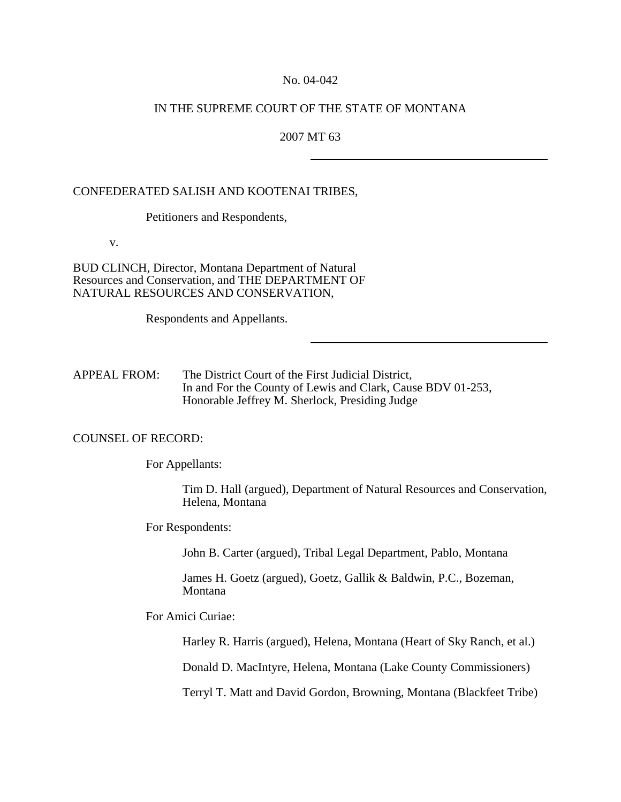#### No. 04-042

## IN THE SUPREME COURT OF THE STATE OF MONTANA

### 2007 MT 63

### CONFEDERATED SALISH AND KOOTENAI TRIBES,

Petitioners and Respondents,

v.

BUD CLINCH, Director, Montana Department of Natural Resources and Conservation, and THE DEPARTMENT OF NATURAL RESOURCES AND CONSERVATION,

Respondents and Appellants.

APPEAL FROM: The District Court of the First Judicial District, In and For the County of Lewis and Clark, Cause BDV 01-253, Honorable Jeffrey M. Sherlock, Presiding Judge

#### COUNSEL OF RECORD:

For Appellants:

Tim D. Hall (argued), Department of Natural Resources and Conservation, Helena, Montana

For Respondents:

John B. Carter (argued), Tribal Legal Department, Pablo, Montana

James H. Goetz (argued), Goetz, Gallik & Baldwin, P.C., Bozeman, Montana

For Amici Curiae:

Harley R. Harris (argued), Helena, Montana (Heart of Sky Ranch, et al.)

Donald D. MacIntyre, Helena, Montana (Lake County Commissioners)

Terryl T. Matt and David Gordon, Browning, Montana (Blackfeet Tribe)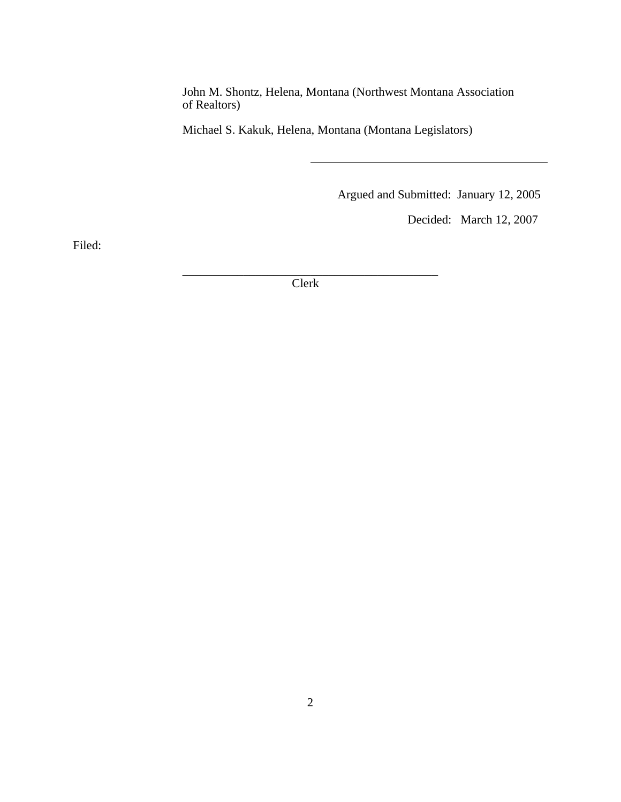John M. Shontz, Helena, Montana (Northwest Montana Association of Realtors)

Michael S. Kakuk, Helena, Montana (Montana Legislators)

Argued and Submitted: January 12, 2005

Decided: March 12, 2007

Filed:

\_\_\_\_\_\_\_\_\_\_\_\_\_\_\_\_\_\_\_\_\_\_\_\_\_\_\_\_\_\_\_\_\_\_\_\_\_\_\_\_\_\_ Clerk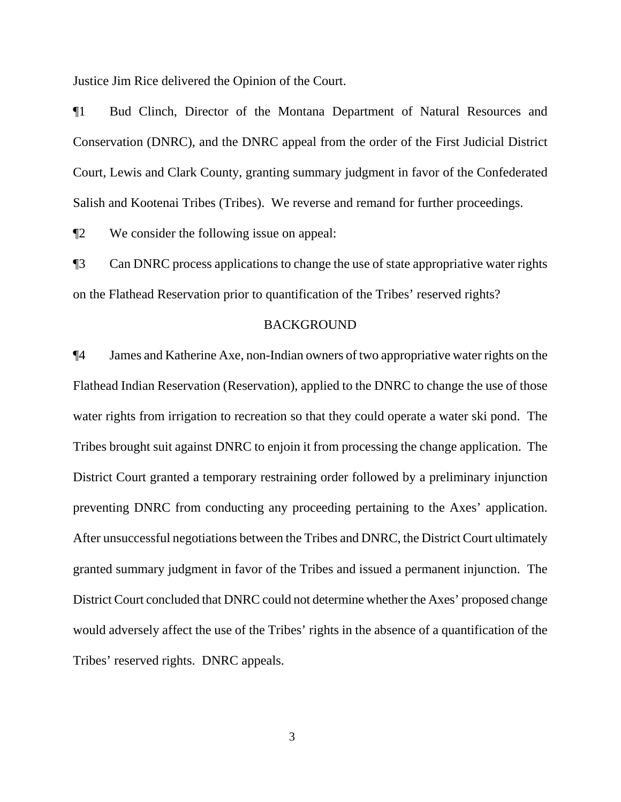Justice Jim Rice delivered the Opinion of the Court.

¶1 Bud Clinch, Director of the Montana Department of Natural Resources and Conservation (DNRC), and the DNRC appeal from the order of the First Judicial District Court, Lewis and Clark County, granting summary judgment in favor of the Confederated Salish and Kootenai Tribes (Tribes). We reverse and remand for further proceedings.

¶2 We consider the following issue on appeal:

¶3 Can DNRC process applications to change the use of state appropriative water rights on the Flathead Reservation prior to quantification of the Tribes' reserved rights?

### BACKGROUND

¶4 James and Katherine Axe, non-Indian owners of two appropriative water rights on the Flathead Indian Reservation (Reservation), applied to the DNRC to change the use of those water rights from irrigation to recreation so that they could operate a water ski pond. The Tribes brought suit against DNRC to enjoin it from processing the change application. The District Court granted a temporary restraining order followed by a preliminary injunction preventing DNRC from conducting any proceeding pertaining to the Axes' application. After unsuccessful negotiations between the Tribes and DNRC, the District Court ultimately granted summary judgment in favor of the Tribes and issued a permanent injunction. The District Court concluded that DNRC could not determine whether the Axes' proposed change would adversely affect the use of the Tribes' rights in the absence of a quantification of the Tribes' reserved rights. DNRC appeals.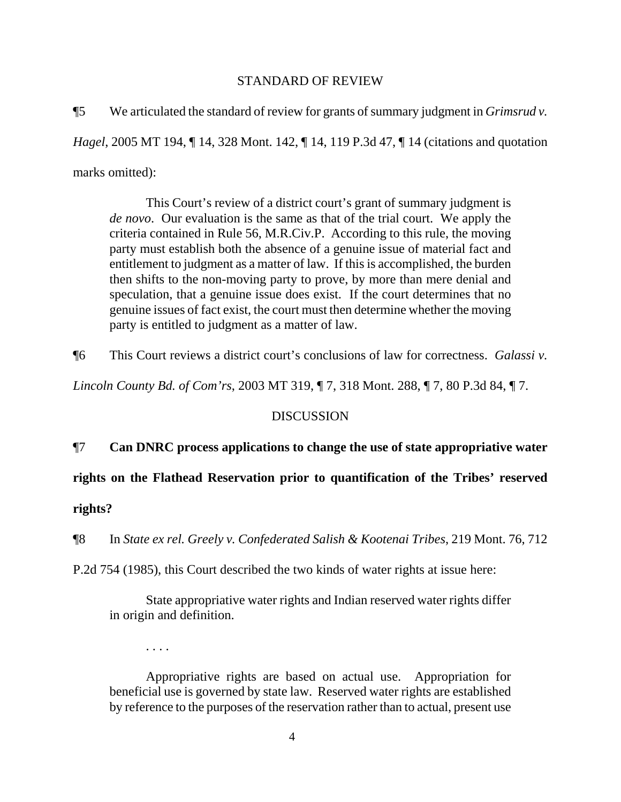## STANDARD OF REVIEW

¶5 We articulated the standard of review for grants of summary judgment in *Grimsrud v. Hagel*, 2005 MT 194, ¶ 14, 328 Mont. 142, ¶ 14, 119 P.3d 47, ¶ 14 (citations and quotation marks omitted):

This Court's review of a district court's grant of summary judgment is *de novo*. Our evaluation is the same as that of the trial court. We apply the criteria contained in Rule 56, M.R.Civ.P. According to this rule, the moving party must establish both the absence of a genuine issue of material fact and entitlement to judgment as a matter of law. If this is accomplished, the burden then shifts to the non-moving party to prove, by more than mere denial and speculation, that a genuine issue does exist. If the court determines that no genuine issues of fact exist, the court must then determine whether the moving party is entitled to judgment as a matter of law.

¶6 This Court reviews a district court's conclusions of law for correctness. *Galassi v.* 

*Lincoln County Bd. of Com'rs*, 2003 MT 319, ¶ 7, 318 Mont. 288, ¶ 7, 80 P.3d 84, ¶ 7.

## **DISCUSSION**

# ¶7 **Can DNRC process applications to change the use of state appropriative water**

**rights on the Flathead Reservation prior to quantification of the Tribes' reserved rights?**

¶8 In *State ex rel. Greely v. Confederated Salish & Kootenai Tribes*, 219 Mont. 76, 712

P.2d 754 (1985), this Court described the two kinds of water rights at issue here:

State appropriative water rights and Indian reserved water rights differ in origin and definition.

. . . .

Appropriative rights are based on actual use. Appropriation for beneficial use is governed by state law. Reserved water rights are established by reference to the purposes of the reservation rather than to actual, present use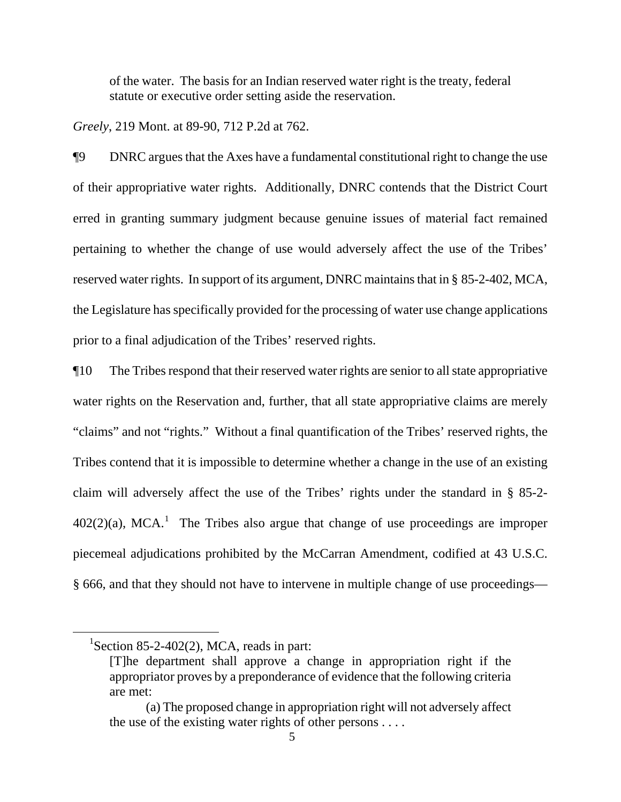of the water. The basis for an Indian reserved water right is the treaty, federal statute or executive order setting aside the reservation.

*Greely*, 219 Mont. at 89-90, 712 P.2d at 762.

¶9 DNRC argues that the Axes have a fundamental constitutional right to change the use of their appropriative water rights. Additionally, DNRC contends that the District Court erred in granting summary judgment because genuine issues of material fact remained pertaining to whether the change of use would adversely affect the use of the Tribes' reserved water rights. In support of its argument, DNRC maintains that in § 85-2-402, MCA, the Legislature has specifically provided for the processing of water use change applications prior to a final adjudication of the Tribes' reserved rights.

¶10 The Tribes respond that their reserved water rights are senior to all state appropriative water rights on the Reservation and, further, that all state appropriative claims are merely "claims" and not "rights." Without a final quantification of the Tribes' reserved rights, the Tribes contend that it is impossible to determine whether a change in the use of an existing claim will adversely affect the use of the Tribes' rights under the standard in § 85-2-  $402(2)(a)$ , MCA.<sup>[1](#page-4-0)</sup> The Tribes also argue that change of use proceedings are improper piecemeal adjudications prohibited by the McCarran Amendment, codified at 43 U.S.C. § 666, and that they should not have to intervene in multiple change of use proceedings—

<span id="page-4-0"></span> ${}^{1}$ Section 85-2-402(2), MCA, reads in part:

<sup>[</sup>T]he department shall approve a change in appropriation right if the appropriator proves by a preponderance of evidence that the following criteria are met:

<sup>(</sup>a) The proposed change in appropriation right will not adversely affect the use of the existing water rights of other persons . . . .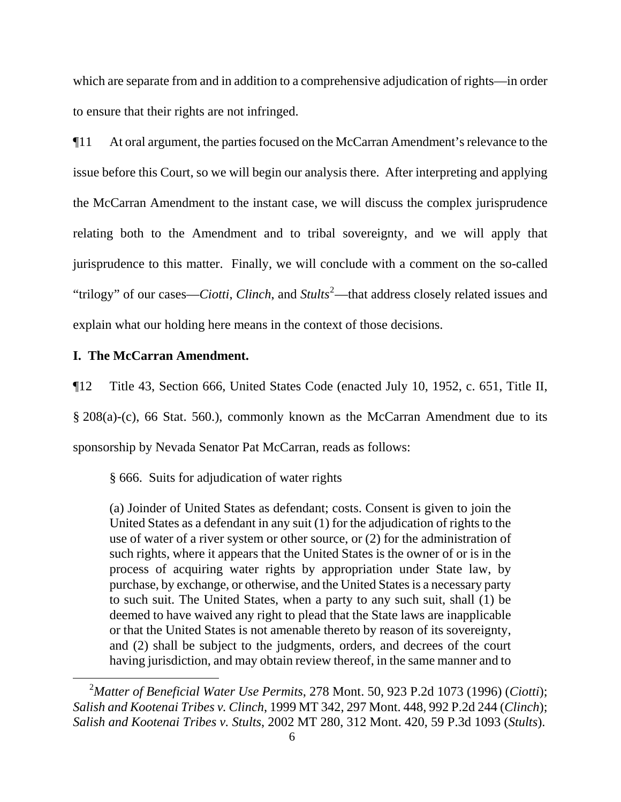which are separate from and in addition to a comprehensive adjudication of rights—in order to ensure that their rights are not infringed.

¶11 At oral argument, the parties focused on the McCarran Amendment's relevance to the issue before this Court, so we will begin our analysis there. After interpreting and applying the McCarran Amendment to the instant case, we will discuss the complex jurisprudence relating both to the Amendment and to tribal sovereignty, and we will apply that jurisprudence to this matter. Finally, we will conclude with a comment on the so-called "trilogy" of our cases—*Ciotti, Clinch*, and *Stults*<sup>[2](#page-5-0)</sup>—that address closely related issues and explain what our holding here means in the context of those decisions.

## **I. The McCarran Amendment.**

 $\overline{a}$ 

¶12 Title 43, Section 666, United States Code (enacted July 10, 1952, c. 651, Title II, § 208(a)-(c), 66 Stat. 560.), commonly known as the McCarran Amendment due to its sponsorship by Nevada Senator Pat McCarran, reads as follows:

§ 666. Suits for adjudication of water rights

(a) Joinder of United States as defendant; costs. Consent is given to join the United States as a defendant in any suit (1) for the adjudication of rights to the use of water of a river system or other source, or (2) for the administration of such rights, where it appears that the United States is the owner of or is in the process of acquiring water rights by appropriation under State law, by purchase, by exchange, or otherwise, and the United States is a necessary party to such suit. The United States, when a party to any such suit, shall (1) be deemed to have waived any right to plead that the State laws are inapplicable or that the United States is not amenable thereto by reason of its sovereignty, and (2) shall be subject to the judgments, orders, and decrees of the court having jurisdiction, and may obtain review thereof, in the same manner and to

<span id="page-5-0"></span><sup>&</sup>lt;sup>2</sup>Matter of Beneficial Water Use Permits, 278 Mont. 50, 923 P.2d 1073 (1996) (*Ciotti*); *Salish and Kootenai Tribes v. Clinch*, 1999 MT 342, 297 Mont. 448, 992 P.2d 244 (*Clinch*); *Salish and Kootenai Tribes v. Stults*, 2002 MT 280, 312 Mont. 420, 59 P.3d 1093 (*Stults*).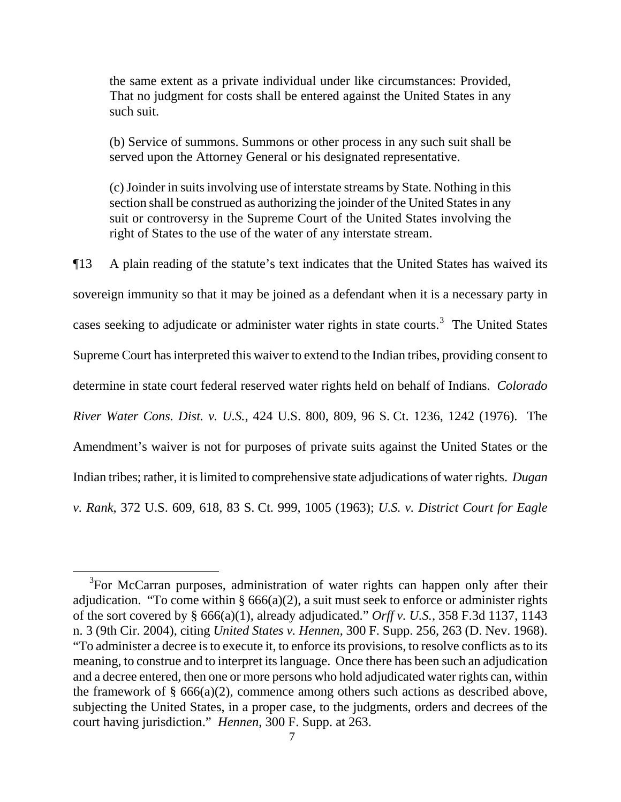the same extent as a private individual under like circumstances: Provided, That no judgment for costs shall be entered against the United States in any such suit.

(b) Service of summons. Summons or other process in any such suit shall be served upon the Attorney General or his designated representative.

(c) Joinder in suits involving use of interstate streams by State. Nothing in this section shall be construed as authorizing the joinder of the United States in any suit or controversy in the Supreme Court of the United States involving the right of States to the use of the water of any interstate stream.

¶13 A plain reading of the statute's text indicates that the United States has waived its sovereign immunity so that it may be joined as a defendant when it is a necessary party in cases seeking to adjudicate or administer water rights in state courts.<sup>[3](#page-6-0)</sup> The United States Supreme Court has interpreted this waiver to extend to the Indian tribes, providing consent to determine in state court federal reserved water rights held on behalf of Indians. *Colorado River Water Cons. Dist. v. U.S.*, 424 U.S. 800, 809, 96 S. Ct. 1236, 1242 (1976). The Amendment's waiver is not for purposes of private suits against the United States or the Indian tribes; rather, it is limited to comprehensive state adjudications of water rights. *Dugan v. Rank*, 372 U.S. 609, 618, 83 S. Ct. 999, 1005 (1963); *U.S. v. District Court for Eagle* 

<span id="page-6-0"></span><sup>&</sup>lt;sup>3</sup>For McCarran purposes, administration of water rights can happen only after their adjudication. "To come within §  $666(a)(2)$ , a suit must seek to enforce or administer rights of the sort covered by § 666(a)(1), already adjudicated." *Orff v. U.S.*, 358 F.3d 1137, 1143 n. 3 (9th Cir. 2004), citing *United States v. Hennen*, 300 F. Supp. 256, 263 (D. Nev. 1968). "To administer a decree is to execute it, to enforce its provisions, to resolve conflicts as to its meaning, to construe and to interpret its language. Once there has been such an adjudication and a decree entered, then one or more persons who hold adjudicated water rights can, within the framework of  $\S$  666(a)(2), commence among others such actions as described above, subjecting the United States, in a proper case, to the judgments, orders and decrees of the court having jurisdiction." *Hennen*, 300 F. Supp. at 263.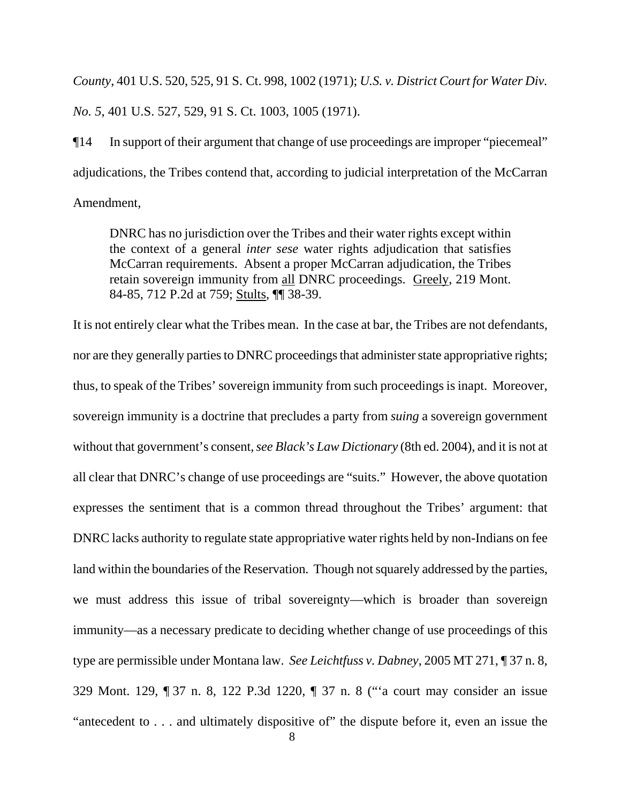*County*, 401 U.S. 520, 525, 91 S. Ct. 998, 1002 (1971); *U.S. v. District Court for Water Div. No. 5*, 401 U.S. 527, 529, 91 S. Ct. 1003, 1005 (1971).

¶14 In support of their argument that change of use proceedings are improper "piecemeal" adjudications, the Tribes contend that, according to judicial interpretation of the McCarran Amendment,

DNRC has no jurisdiction over the Tribes and their water rights except within the context of a general *inter sese* water rights adjudication that satisfies McCarran requirements. Absent a proper McCarran adjudication, the Tribes retain sovereign immunity from all DNRC proceedings. Greely, 219 Mont. 84-85, 712 P.2d at 759; Stults, ¶¶ 38-39.

It is not entirely clear what the Tribes mean. In the case at bar, the Tribes are not defendants, nor are they generally parties to DNRC proceedings that administer state appropriative rights; thus, to speak of the Tribes' sovereign immunity from such proceedings is inapt. Moreover, sovereign immunity is a doctrine that precludes a party from *suing* a sovereign government without that government's consent, *see Black's Law Dictionary* (8th ed. 2004), and it is not at all clear that DNRC's change of use proceedings are "suits." However, the above quotation expresses the sentiment that is a common thread throughout the Tribes' argument: that DNRC lacks authority to regulate state appropriative water rights held by non-Indians on fee land within the boundaries of the Reservation. Though not squarely addressed by the parties, we must address this issue of tribal sovereignty—which is broader than sovereign immunity—as a necessary predicate to deciding whether change of use proceedings of this type are permissible under Montana law. *See Leichtfuss v. Dabney*, 2005 MT 271, ¶ 37 n. 8, 329 Mont. 129, ¶ 37 n. 8, 122 P.3d 1220, ¶ 37 n. 8 ("'a court may consider an issue "antecedent to . . . and ultimately dispositive of" the dispute before it, even an issue the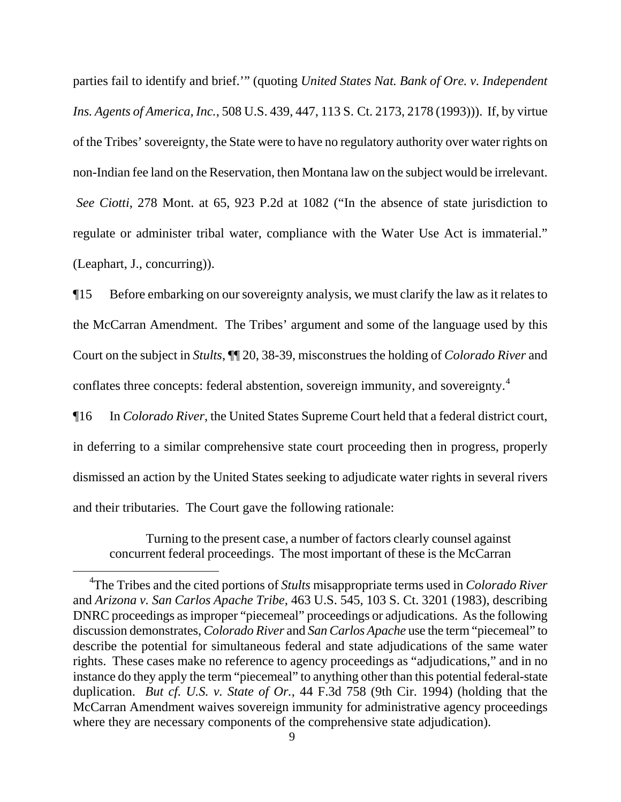parties fail to identify and brief.'" (quoting *United States Nat. Bank of Ore. v. Independent Ins. Agents of America, Inc.*, 508 U.S. 439, 447, 113 S. Ct. 2173, 2178 (1993))). If, by virtue of the Tribes' sovereignty, the State were to have no regulatory authority over water rights on non-Indian fee land on the Reservation, then Montana law on the subject would be irrelevant. *See Ciotti*, 278 Mont. at 65, 923 P.2d at 1082 ("In the absence of state jurisdiction to regulate or administer tribal water, compliance with the Water Use Act is immaterial." (Leaphart, J., concurring)).

¶15 Before embarking on our sovereignty analysis, we must clarify the law as it relates to the McCarran Amendment. The Tribes' argument and some of the language used by this Court on the subject in *Stults*, ¶¶ 20, 38-39, misconstrues the holding of *Colorado River* and conflates three concepts: federal abstention, sovereign immunity, and sovereignty.<sup>[4](#page-8-0)</sup>

¶16 In *Colorado River*, the United States Supreme Court held that a federal district court, in deferring to a similar comprehensive state court proceeding then in progress, properly dismissed an action by the United States seeking to adjudicate water rights in several rivers and their tributaries. The Court gave the following rationale:

Turning to the present case, a number of factors clearly counsel against concurrent federal proceedings. The most important of these is the McCarran

<span id="page-8-0"></span><sup>4</sup> The Tribes and the cited portions of *Stults* misappropriate terms used in *Colorado River* and *Arizona v. San Carlos Apache Tribe*, 463 U.S. 545, 103 S. Ct. 3201 (1983), describing DNRC proceedings as improper "piecemeal" proceedings or adjudications. As the following discussion demonstrates, *Colorado River* and *San Carlos Apache* use the term "piecemeal" to describe the potential for simultaneous federal and state adjudications of the same water rights. These cases make no reference to agency proceedings as "adjudications," and in no instance do they apply the term "piecemeal" to anything other than this potential federal-state duplication. *But cf. U.S. v. State of Or.*, 44 F.3d 758 (9th Cir. 1994) (holding that the McCarran Amendment waives sovereign immunity for administrative agency proceedings where they are necessary components of the comprehensive state adjudication).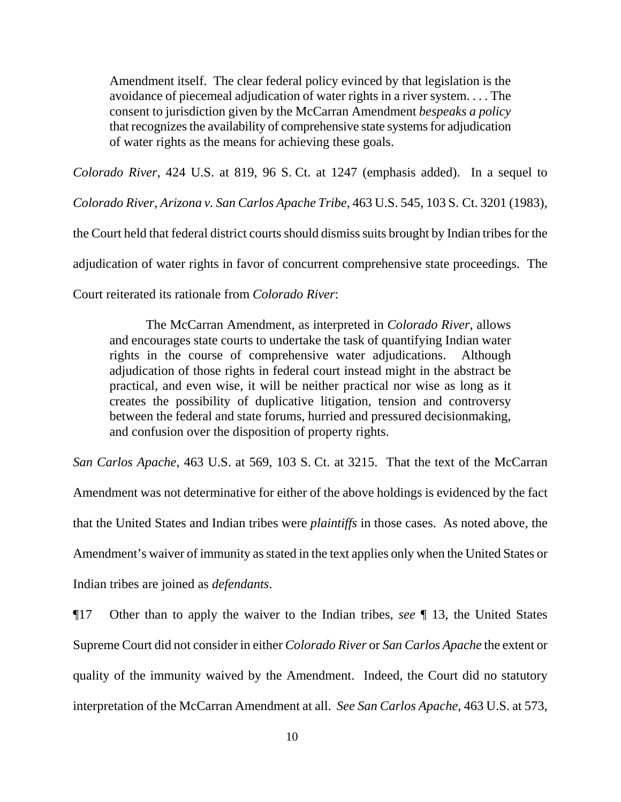Amendment itself. The clear federal policy evinced by that legislation is the avoidance of piecemeal adjudication of water rights in a river system. . . . The consent to jurisdiction given by the McCarran Amendment *bespeaks a policy* that recognizes the availability of comprehensive state systems for adjudication of water rights as the means for achieving these goals.

*Colorado River*, 424 U.S. at 819, 96 S. Ct. at 1247 (emphasis added). In a sequel to

*Colorado River*, *Arizona v. San Carlos Apache Tribe*, 463 U.S. 545, 103 S. Ct. 3201 (1983),

the Court held that federal district courts should dismiss suits brought by Indian tribes for the

adjudication of water rights in favor of concurrent comprehensive state proceedings. The

Court reiterated its rationale from *Colorado River*:

The McCarran Amendment, as interpreted in *Colorado River*, allows and encourages state courts to undertake the task of quantifying Indian water rights in the course of comprehensive water adjudications. Although adjudication of those rights in federal court instead might in the abstract be practical, and even wise, it will be neither practical nor wise as long as it creates the possibility of duplicative litigation, tension and controversy between the federal and state forums, hurried and pressured decisionmaking, and confusion over the disposition of property rights.

*San Carlos Apache*, 463 U.S. at 569, 103 S. Ct. at 3215. That the text of the McCarran Amendment was not determinative for either of the above holdings is evidenced by the fact that the United States and Indian tribes were *plaintiffs* in those cases. As noted above, the Amendment's waiver of immunity as stated in the text applies only when the United States or

Indian tribes are joined as *defendants*.

¶17 Other than to apply the waiver to the Indian tribes, *see* ¶ 13, the United States Supreme Court did not consider in either *Colorado River* or *San Carlos Apache* the extent or quality of the immunity waived by the Amendment. Indeed, the Court did no statutory interpretation of the McCarran Amendment at all. *See San Carlos Apache*, 463 U.S. at 573,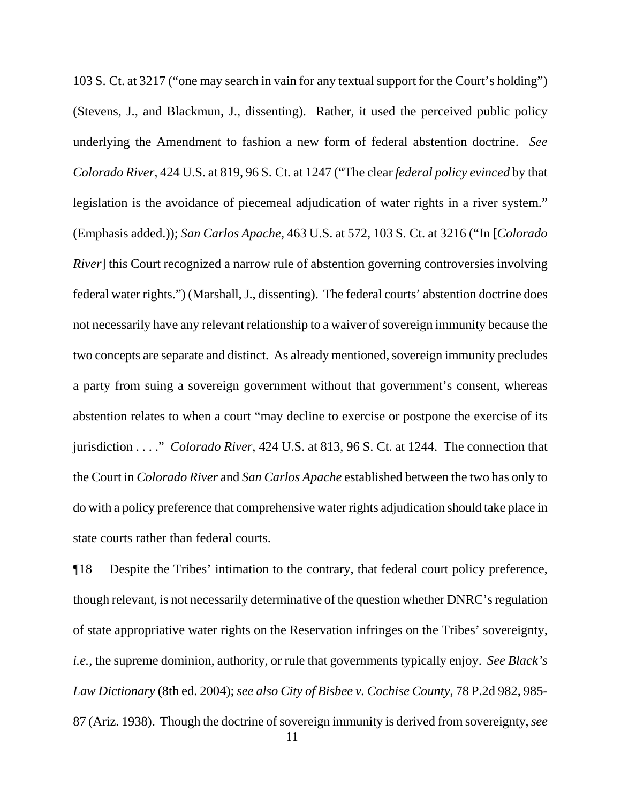103 S. Ct. at 3217 ("one may search in vain for any textual support for the Court's holding") (Stevens, J., and Blackmun, J., dissenting). Rather, it used the perceived public policy underlying the Amendment to fashion a new form of federal abstention doctrine. *See Colorado River*, 424 U.S. at 819, 96 S. Ct. at 1247 ("The clear *federal policy evinced* by that legislation is the avoidance of piecemeal adjudication of water rights in a river system." (Emphasis added.)); *San Carlos Apache*, 463 U.S. at 572, 103 S. Ct. at 3216 ("In [*Colorado River* this Court recognized a narrow rule of abstention governing controversies involving federal water rights.") (Marshall, J., dissenting). The federal courts' abstention doctrine does not necessarily have any relevant relationship to a waiver of sovereign immunity because the two concepts are separate and distinct. As already mentioned, sovereign immunity precludes a party from suing a sovereign government without that government's consent, whereas abstention relates to when a court "may decline to exercise or postpone the exercise of its jurisdiction . . . ." *Colorado River*, 424 U.S. at 813, 96 S. Ct. at 1244. The connection that the Court in *Colorado River* and *San Carlos Apache* established between the two has only to do with a policy preference that comprehensive water rights adjudication should take place in state courts rather than federal courts.

 11 ¶18 Despite the Tribes' intimation to the contrary, that federal court policy preference, though relevant, is not necessarily determinative of the question whether DNRC's regulation of state appropriative water rights on the Reservation infringes on the Tribes' sovereignty, *i.e.*, the supreme dominion, authority, or rule that governments typically enjoy. *See Black's Law Dictionary* (8th ed. 2004); *see also City of Bisbee v. Cochise County*, 78 P.2d 982, 985- 87 (Ariz. 1938). Though the doctrine of sovereign immunity is derived from sovereignty, *see*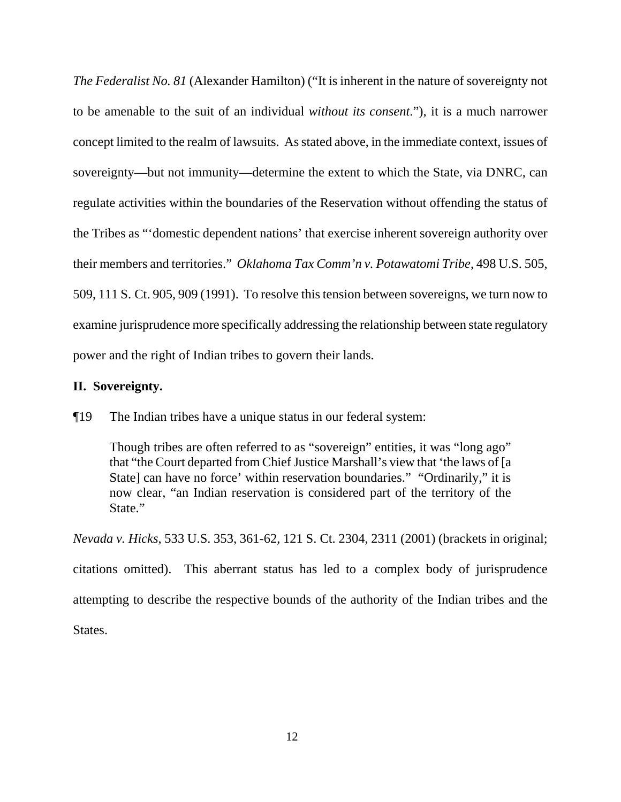*The Federalist No. 81* (Alexander Hamilton) ("It is inherent in the nature of sovereignty not to be amenable to the suit of an individual *without its consent*."), it is a much narrower concept limited to the realm of lawsuits. As stated above, in the immediate context, issues of sovereignty—but not immunity—determine the extent to which the State, via DNRC, can regulate activities within the boundaries of the Reservation without offending the status of the Tribes as "'domestic dependent nations' that exercise inherent sovereign authority over their members and territories." *Oklahoma Tax Comm'n v. Potawatomi Tribe*, 498 U.S. 505, 509, 111 S. Ct. 905, 909 (1991). To resolve this tension between sovereigns, we turn now to examine jurisprudence more specifically addressing the relationship between state regulatory power and the right of Indian tribes to govern their lands.

## **II. Sovereignty.**

¶19 The Indian tribes have a unique status in our federal system:

Though tribes are often referred to as "sovereign" entities, it was "long ago" that "the Court departed from Chief Justice Marshall's view that 'the laws of [a State] can have no force' within reservation boundaries." "Ordinarily," it is now clear, "an Indian reservation is considered part of the territory of the State."

*Nevada v. Hicks*, 533 U.S. 353, 361-62, 121 S. Ct. 2304, 2311 (2001) (brackets in original; citations omitted). This aberrant status has led to a complex body of jurisprudence attempting to describe the respective bounds of the authority of the Indian tribes and the States.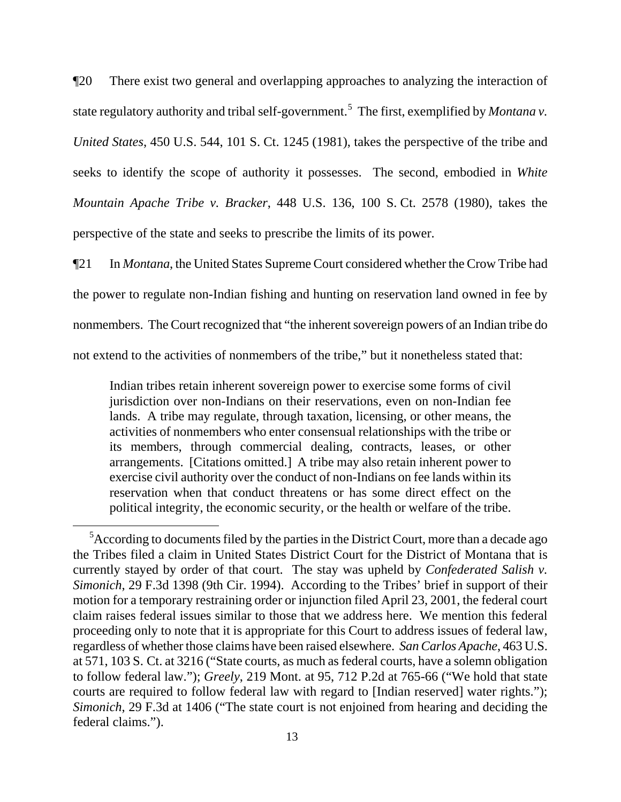¶20 There exist two general and overlapping approaches to analyzing the interaction of state regulatory authority and tribal self-government.<sup>[5](#page-12-0)</sup> The first, exemplified by *Montana v*. *United States*, 450 U.S. 544, 101 S. Ct. 1245 (1981), takes the perspective of the tribe and seeks to identify the scope of authority it possesses. The second, embodied in *White Mountain Apache Tribe v. Bracker*, 448 U.S. 136, 100 S. Ct. 2578 (1980), takes the perspective of the state and seeks to prescribe the limits of its power.

¶21 In *Montana*, the United States Supreme Court considered whether the Crow Tribe had the power to regulate non-Indian fishing and hunting on reservation land owned in fee by nonmembers. The Court recognized that "the inherent sovereign powers of an Indian tribe do not extend to the activities of nonmembers of the tribe," but it nonetheless stated that:

Indian tribes retain inherent sovereign power to exercise some forms of civil jurisdiction over non-Indians on their reservations, even on non-Indian fee lands. A tribe may regulate, through taxation, licensing, or other means, the activities of nonmembers who enter consensual relationships with the tribe or its members, through commercial dealing, contracts, leases, or other arrangements. [Citations omitted.] A tribe may also retain inherent power to exercise civil authority over the conduct of non-Indians on fee lands within its reservation when that conduct threatens or has some direct effect on the political integrity, the economic security, or the health or welfare of the tribe.

<span id="page-12-0"></span><sup>&</sup>lt;sup>5</sup> According to documents filed by the parties in the District Court, more than a decade ago the Tribes filed a claim in United States District Court for the District of Montana that is currently stayed by order of that court. The stay was upheld by *Confederated Salish v. Simonich*, 29 F.3d 1398 (9th Cir. 1994). According to the Tribes' brief in support of their motion for a temporary restraining order or injunction filed April 23, 2001, the federal court claim raises federal issues similar to those that we address here. We mention this federal proceeding only to note that it is appropriate for this Court to address issues of federal law, regardless of whether those claims have been raised elsewhere. *San Carlos Apache*, 463 U.S. at 571, 103 S. Ct. at 3216 ("State courts, as much as federal courts, have a solemn obligation to follow federal law."); *Greely*, 219 Mont. at 95, 712 P.2d at 765-66 ("We hold that state courts are required to follow federal law with regard to [Indian reserved] water rights."); *Simonich*, 29 F.3d at 1406 ("The state court is not enjoined from hearing and deciding the federal claims.").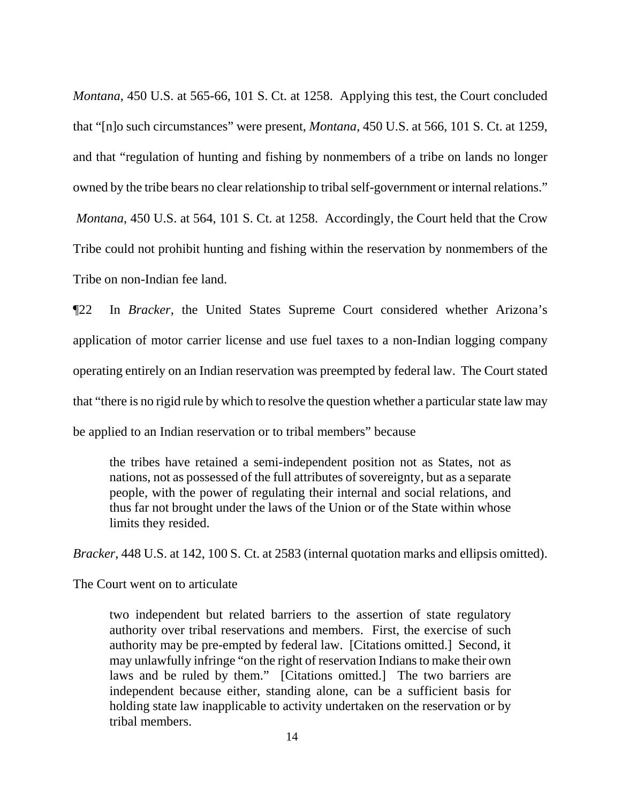*Montana*, 450 U.S. at 565-66, 101 S. Ct. at 1258. Applying this test, the Court concluded that "[n]o such circumstances" were present, *Montana*, 450 U.S. at 566, 101 S. Ct. at 1259, and that "regulation of hunting and fishing by nonmembers of a tribe on lands no longer owned by the tribe bears no clear relationship to tribal self-government or internal relations." *Montana*, 450 U.S. at 564, 101 S. Ct. at 1258. Accordingly, the Court held that the Crow Tribe could not prohibit hunting and fishing within the reservation by nonmembers of the Tribe on non-Indian fee land.

¶22 In *Bracker*, the United States Supreme Court considered whether Arizona's application of motor carrier license and use fuel taxes to a non-Indian logging company operating entirely on an Indian reservation was preempted by federal law. The Court stated that "there is no rigid rule by which to resolve the question whether a particular state law may be applied to an Indian reservation or to tribal members" because

the tribes have retained a semi-independent position not as States, not as nations, not as possessed of the full attributes of sovereignty, but as a separate people, with the power of regulating their internal and social relations, and thus far not brought under the laws of the Union or of the State within whose limits they resided.

*Bracker*, 448 U.S. at 142, 100 S. Ct. at 2583 (internal quotation marks and ellipsis omitted).

The Court went on to articulate

two independent but related barriers to the assertion of state regulatory authority over tribal reservations and members. First, the exercise of such authority may be pre-empted by federal law. [Citations omitted.] Second, it may unlawfully infringe "on the right of reservation Indians to make their own laws and be ruled by them." [Citations omitted.] The two barriers are independent because either, standing alone, can be a sufficient basis for holding state law inapplicable to activity undertaken on the reservation or by tribal members.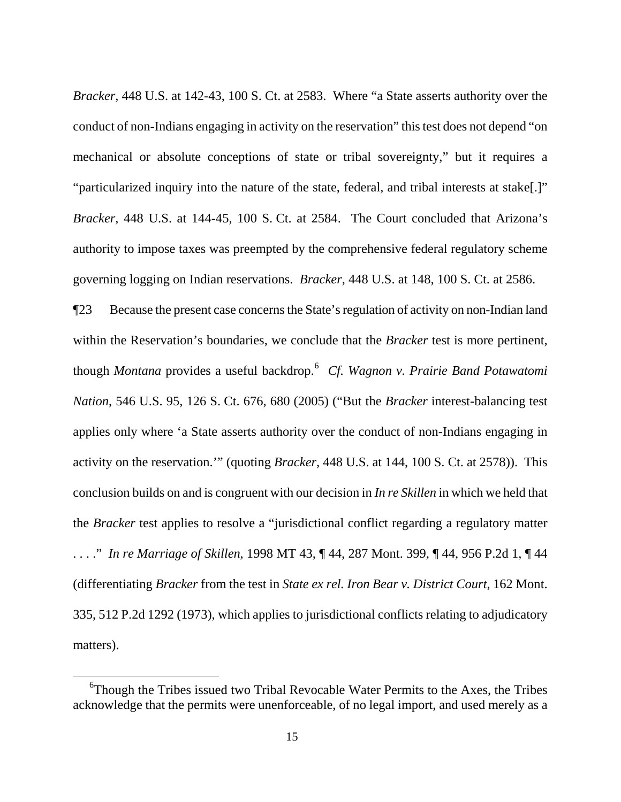*Bracker*, 448 U.S. at 142-43, 100 S. Ct. at 2583. Where "a State asserts authority over the conduct of non-Indians engaging in activity on the reservation" this test does not depend "on mechanical or absolute conceptions of state or tribal sovereignty," but it requires a "particularized inquiry into the nature of the state, federal, and tribal interests at stake[.]" *Bracker*, 448 U.S. at 144-45, 100 S. Ct. at 2584. The Court concluded that Arizona's authority to impose taxes was preempted by the comprehensive federal regulatory scheme governing logging on Indian reservations. *Bracker*, 448 U.S. at 148, 100 S. Ct. at 2586.

¶23 Because the present case concerns the State's regulation of activity on non-Indian land within the Reservation's boundaries, we conclude that the *Bracker* test is more pertinent, though *Montana* provides a useful backdrop.[6](#page-14-0) *Cf. Wagnon v. Prairie Band Potawatomi Nation*, 546 U.S. 95, 126 S. Ct. 676, 680 (2005) ("But the *Bracker* interest-balancing test applies only where 'a State asserts authority over the conduct of non-Indians engaging in activity on the reservation.'" (quoting *Bracker*, 448 U.S. at 144, 100 S. Ct. at 2578)). This conclusion builds on and is congruent with our decision in *In re Skillen* in which we held that the *Bracker* test applies to resolve a "jurisdictional conflict regarding a regulatory matter . . . ." *In re Marriage of Skillen*, 1998 MT 43, ¶ 44, 287 Mont. 399, ¶ 44, 956 P.2d 1, ¶ 44 (differentiating *Bracker* from the test in *State ex rel. Iron Bear v. District Court*, 162 Mont. 335, 512 P.2d 1292 (1973), which applies to jurisdictional conflicts relating to adjudicatory matters).

<span id="page-14-0"></span><sup>&</sup>lt;sup>6</sup>Though the Tribes issued two Tribal Revocable Water Permits to the Axes, the Tribes acknowledge that the permits were unenforceable, of no legal import, and used merely as a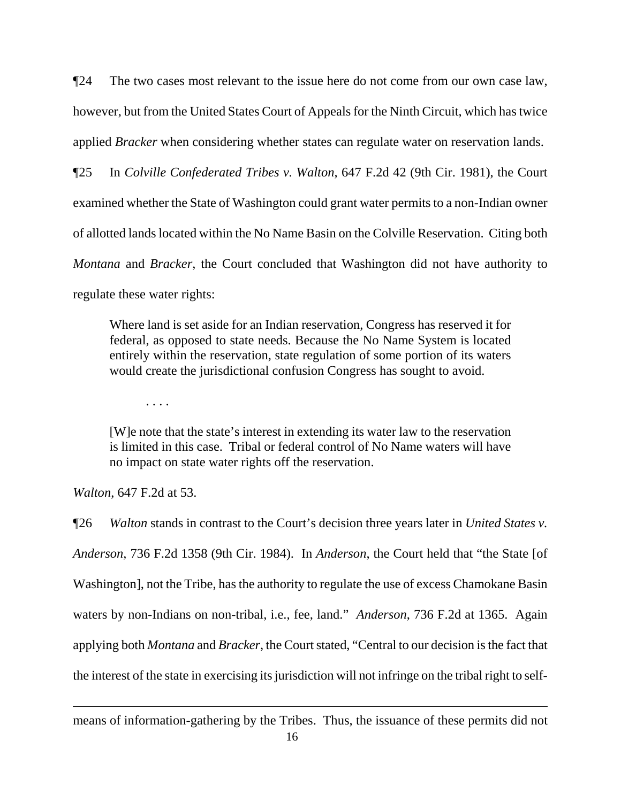¶24 The two cases most relevant to the issue here do not come from our own case law, however, but from the United States Court of Appeals for the Ninth Circuit, which has twice applied *Bracker* when considering whether states can regulate water on reservation lands.

¶25 In *Colville Confederated Tribes v. Walton*, 647 F.2d 42 (9th Cir. 1981), the Court examined whether the State of Washington could grant water permits to a non-Indian owner of allotted lands located within the No Name Basin on the Colville Reservation. Citing both *Montana* and *Bracker*, the Court concluded that Washington did not have authority to regulate these water rights:

Where land is set aside for an Indian reservation, Congress has reserved it for federal, as opposed to state needs. Because the No Name System is located entirely within the reservation, state regulation of some portion of its waters would create the jurisdictional confusion Congress has sought to avoid.

. . . .

[W]e note that the state's interest in extending its water law to the reservation is limited in this case. Tribal or federal control of No Name waters will have no impact on state water rights off the reservation.

*Walton*, 647 F.2d at 53.

 $\overline{a}$ 

¶26 *Walton* stands in contrast to the Court's decision three years later in *United States v. Anderson*, 736 F.2d 1358 (9th Cir. 1984). In *Anderson*, the Court held that "the State [of Washington], not the Tribe, has the authority to regulate the use of excess Chamokane Basin waters by non-Indians on non-tribal, i.e., fee, land." *Anderson*, 736 F.2d at 1365. Again applying both *Montana* and *Bracker*, the Court stated, "Central to our decision is the fact that the interest of the state in exercising its jurisdiction will not infringe on the tribal right to self-

means of information-gathering by the Tribes. Thus, the issuance of these permits did not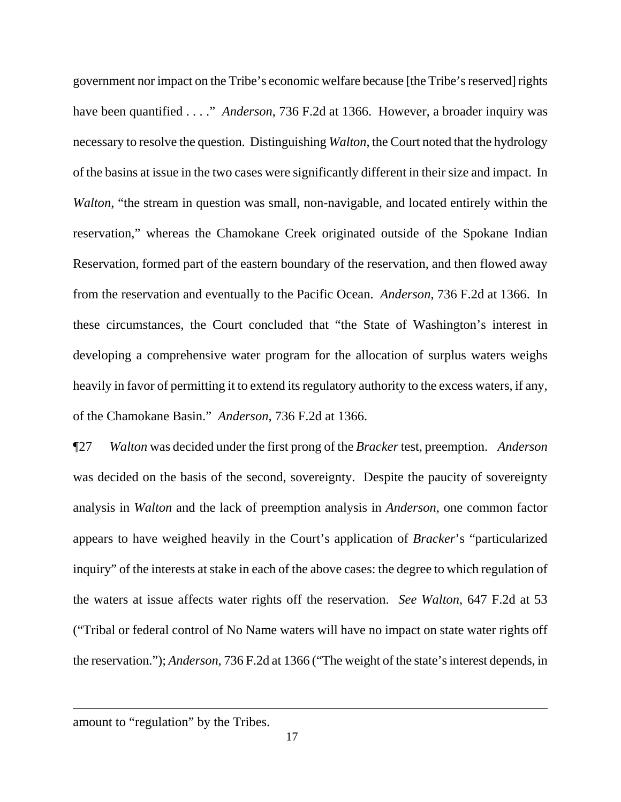government nor impact on the Tribe's economic welfare because [the Tribe's reserved] rights have been quantified . . . ." *Anderson*, 736 F.2d at 1366. However, a broader inquiry was necessary to resolve the question. Distinguishing *Walton*, the Court noted that the hydrology of the basins at issue in the two cases were significantly different in their size and impact. In *Walton*, "the stream in question was small, non-navigable, and located entirely within the reservation," whereas the Chamokane Creek originated outside of the Spokane Indian Reservation, formed part of the eastern boundary of the reservation, and then flowed away from the reservation and eventually to the Pacific Ocean. *Anderson*, 736 F.2d at 1366. In these circumstances, the Court concluded that "the State of Washington's interest in developing a comprehensive water program for the allocation of surplus waters weighs heavily in favor of permitting it to extend its regulatory authority to the excess waters, if any, of the Chamokane Basin." *Anderson*, 736 F.2d at 1366.

¶27 *Walton* was decided under the first prong of the *Bracker* test, preemption. *Anderson*  was decided on the basis of the second, sovereignty. Despite the paucity of sovereignty analysis in *Walton* and the lack of preemption analysis in *Anderson*, one common factor appears to have weighed heavily in the Court's application of *Bracker*'s "particularized inquiry" of the interests at stake in each of the above cases: the degree to which regulation of the waters at issue affects water rights off the reservation. *See Walton*, 647 F.2d at 53 ("Tribal or federal control of No Name waters will have no impact on state water rights off the reservation."); *Anderson*, 736 F.2d at 1366 ("The weight of the state's interest depends, in

amount to "regulation" by the Tribes.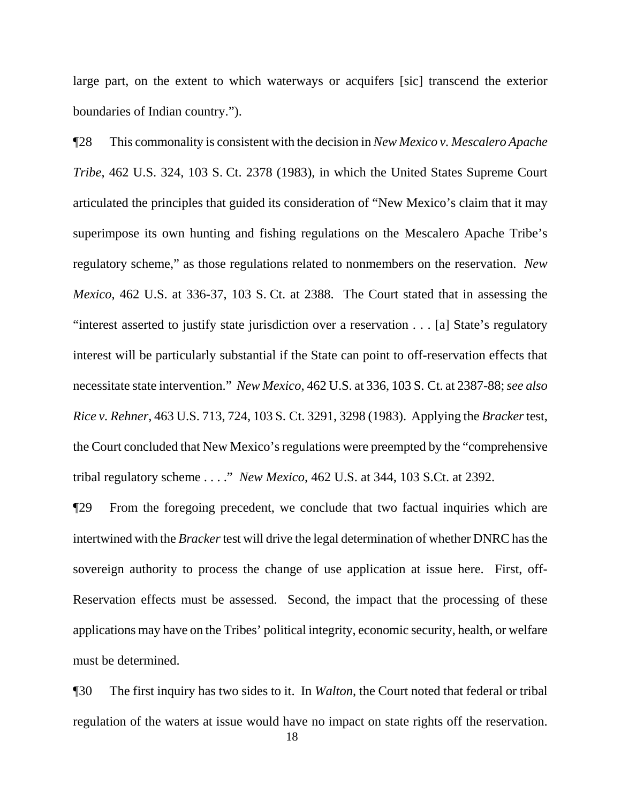large part, on the extent to which waterways or acquifers [sic] transcend the exterior boundaries of Indian country.").

¶28 This commonality is consistent with the decision in *New Mexico v. Mescalero Apache Tribe*, 462 U.S. 324, 103 S. Ct. 2378 (1983), in which the United States Supreme Court articulated the principles that guided its consideration of "New Mexico's claim that it may superimpose its own hunting and fishing regulations on the Mescalero Apache Tribe's regulatory scheme," as those regulations related to nonmembers on the reservation. *New Mexico*, 462 U.S. at 336-37, 103 S. Ct. at 2388. The Court stated that in assessing the "interest asserted to justify state jurisdiction over a reservation . . . [a] State's regulatory interest will be particularly substantial if the State can point to off-reservation effects that necessitate state intervention." *New Mexico*, 462 U.S. at 336, 103 S. Ct. at 2387-88; *see also Rice v. Rehner*, 463 U.S. 713, 724, 103 S. Ct. 3291, 3298 (1983). Applying the *Bracker* test, the Court concluded that New Mexico's regulations were preempted by the "comprehensive tribal regulatory scheme . . . ." *New Mexico*, 462 U.S. at 344, 103 S.Ct. at 2392.

¶29 From the foregoing precedent, we conclude that two factual inquiries which are intertwined with the *Bracker* test will drive the legal determination of whether DNRC has the sovereign authority to process the change of use application at issue here. First, off-Reservation effects must be assessed. Second, the impact that the processing of these applications may have on the Tribes' political integrity, economic security, health, or welfare must be determined.

¶30 The first inquiry has two sides to it. In *Walton*, the Court noted that federal or tribal regulation of the waters at issue would have no impact on state rights off the reservation.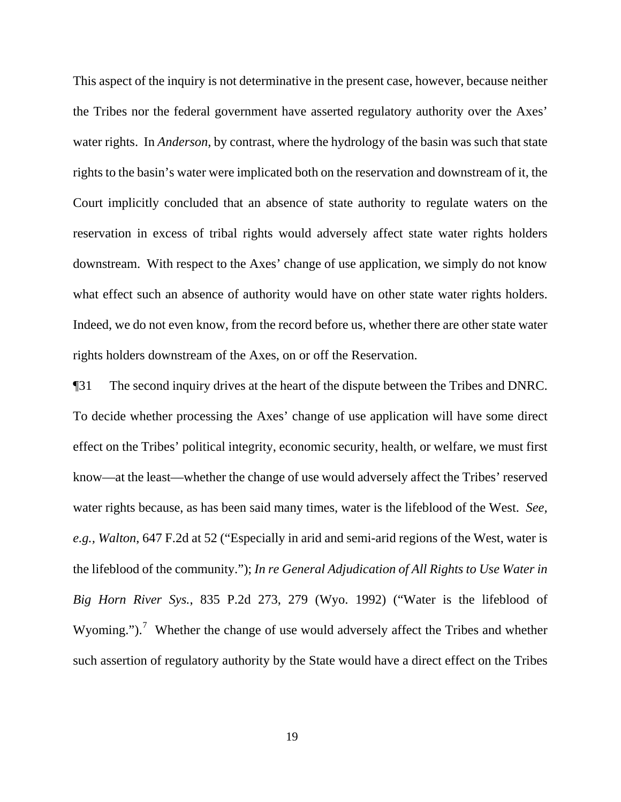This aspect of the inquiry is not determinative in the present case, however, because neither the Tribes nor the federal government have asserted regulatory authority over the Axes' water rights. In *Anderson*, by contrast, where the hydrology of the basin was such that state rights to the basin's water were implicated both on the reservation and downstream of it, the Court implicitly concluded that an absence of state authority to regulate waters on the reservation in excess of tribal rights would adversely affect state water rights holders downstream. With respect to the Axes' change of use application, we simply do not know what effect such an absence of authority would have on other state water rights holders. Indeed, we do not even know, from the record before us, whether there are other state water rights holders downstream of the Axes, on or off the Reservation.

<span id="page-18-0"></span>¶31 The second inquiry drives at the heart of the dispute between the Tribes and DNRC. To decide whether processing the Axes' change of use application will have some direct effect on the Tribes' political integrity, economic security, health, or welfare, we must first know—at the least—whether the change of use would adversely affect the Tribes' reserved water rights because, as has been said many times, water is the lifeblood of the West. *See, e.g., Walton*, 647 F.2d at 52 ("Especially in arid and semi-arid regions of the West, water is the lifeblood of the community."); *In re General Adjudication of All Rights to Use Water in Big Horn River Sys.*, 835 P.2d 273, 279 (Wyo. 1992) ("Water is the lifeblood of Wyoming.").<sup>[7](#page-18-0)</sup> Whether the change of use would adversely affect the Tribes and whether such assertion of regulatory authority by the State would have a direct effect on the Tribes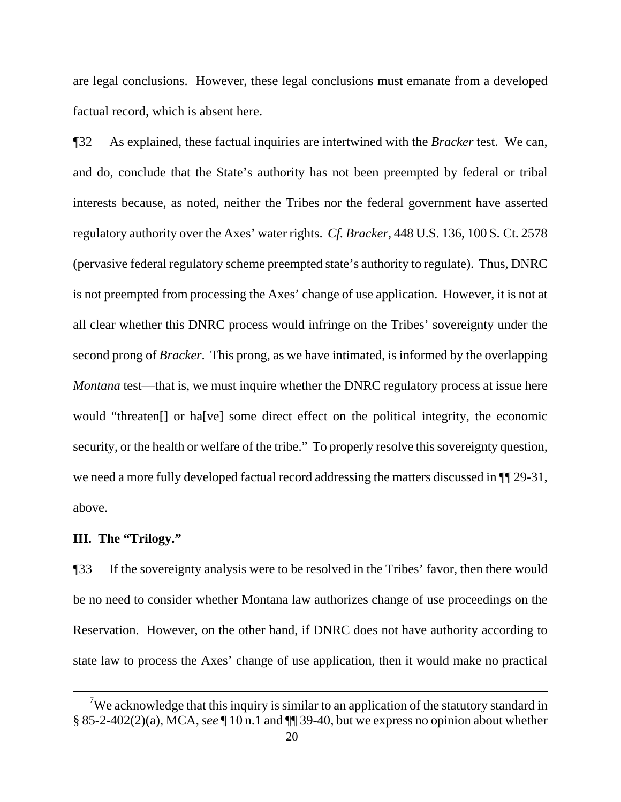are legal conclusions. However, these legal conclusions must emanate from a developed factual record, which is absent here.

¶32 As explained, these factual inquiries are intertwined with the *Bracker* test. We can, and do, conclude that the State's authority has not been preempted by federal or tribal interests because, as noted, neither the Tribes nor the federal government have asserted regulatory authority over the Axes' water rights. *Cf. Bracker*, 448 U.S. 136, 100 S. Ct. 2578 (pervasive federal regulatory scheme preempted state's authority to regulate). Thus, DNRC is not preempted from processing the Axes' change of use application. However, it is not at all clear whether this DNRC process would infringe on the Tribes' sovereignty under the second prong of *Bracker*. This prong, as we have intimated, is informed by the overlapping *Montana* test—that is, we must inquire whether the DNRC regulatory process at issue here would "threaten[] or ha[ve] some direct effect on the political integrity, the economic security, or the health or welfare of the tribe." To properly resolve this sovereignty question, we need a more fully developed factual record addressing the matters discussed in  $\P$ [29-31, above.

### **III. The "Trilogy."**

 $\overline{a}$ 

¶33 If the sovereignty analysis were to be resolved in the Tribes' favor, then there would be no need to consider whether Montana law authorizes change of use proceedings on the Reservation. However, on the other hand, if DNRC does not have authority according to state law to process the Axes' change of use application, then it would make no practical

<sup>&</sup>lt;sup>7</sup>We acknowledge that this inquiry is similar to an application of the statutory standard in § 85-2-402(2)(a), MCA, *see* ¶ 10 n.1 and ¶¶ 39-40, but we express no opinion about whether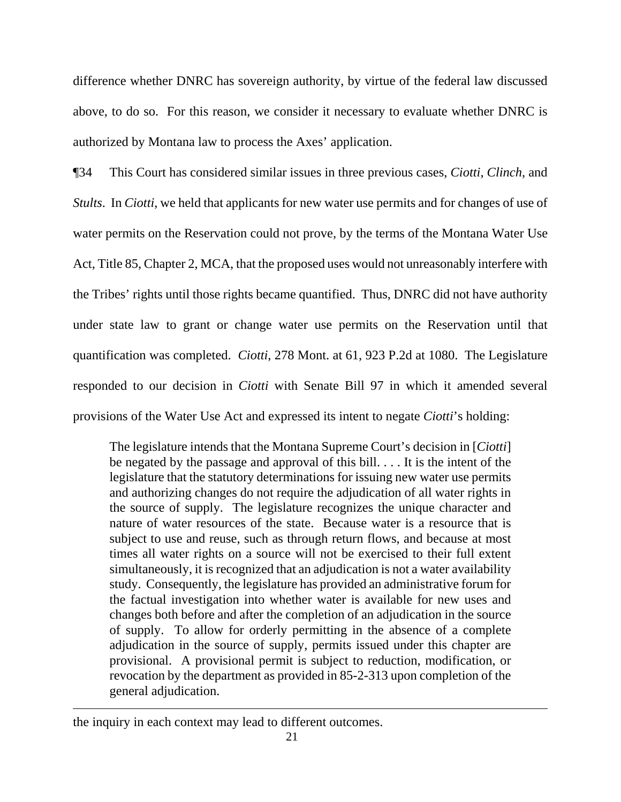difference whether DNRC has sovereign authority, by virtue of the federal law discussed above, to do so. For this reason, we consider it necessary to evaluate whether DNRC is authorized by Montana law to process the Axes' application.

¶34 This Court has considered similar issues in three previous cases, *Ciotti*, *Clinch*, and *Stults*. In *Ciotti*, we held that applicants for new water use permits and for changes of use of water permits on the Reservation could not prove, by the terms of the Montana Water Use Act, Title 85, Chapter 2, MCA, that the proposed uses would not unreasonably interfere with the Tribes' rights until those rights became quantified. Thus, DNRC did not have authority under state law to grant or change water use permits on the Reservation until that quantification was completed. *Ciotti*, 278 Mont. at 61, 923 P.2d at 1080. The Legislature responded to our decision in *Ciotti* with Senate Bill 97 in which it amended several provisions of the Water Use Act and expressed its intent to negate *Ciotti*'s holding:

The legislature intends that the Montana Supreme Court's decision in [*Ciotti*] be negated by the passage and approval of this bill. . . . It is the intent of the legislature that the statutory determinations for issuing new water use permits and authorizing changes do not require the adjudication of all water rights in the source of supply. The legislature recognizes the unique character and nature of water resources of the state. Because water is a resource that is subject to use and reuse, such as through return flows, and because at most times all water rights on a source will not be exercised to their full extent simultaneously, it is recognized that an adjudication is not a water availability study. Consequently, the legislature has provided an administrative forum for the factual investigation into whether water is available for new uses and changes both before and after the completion of an adjudication in the source of supply. To allow for orderly permitting in the absence of a complete adjudication in the source of supply, permits issued under this chapter are provisional. A provisional permit is subject to reduction, modification, or revocation by the department as provided in 85-2-313 upon completion of the general adjudication.

the inquiry in each context may lead to different outcomes.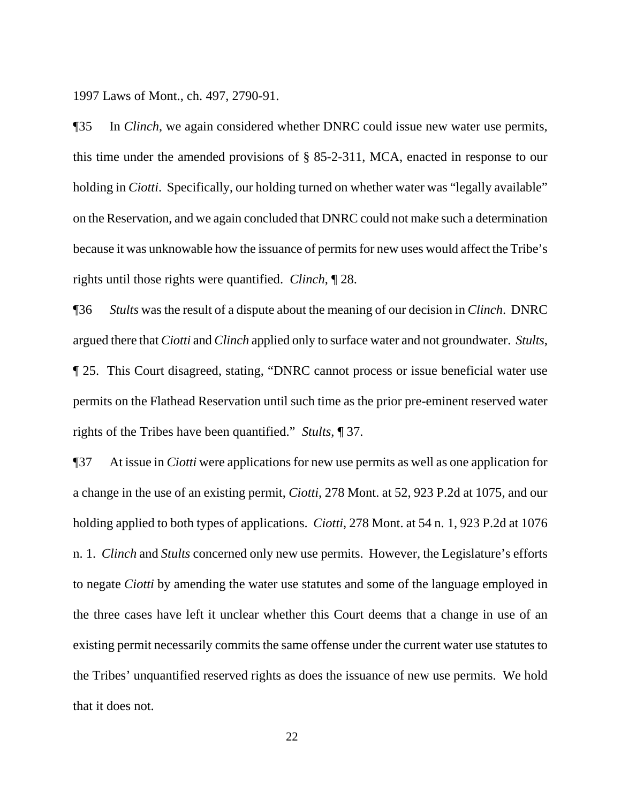1997 Laws of Mont., ch. 497, 2790-91.

¶35 In *Clinch*, we again considered whether DNRC could issue new water use permits, this time under the amended provisions of § 85-2-311, MCA, enacted in response to our holding in *Ciotti*. Specifically, our holding turned on whether water was "legally available" on the Reservation, and we again concluded that DNRC could not make such a determination because it was unknowable how the issuance of permits for new uses would affect the Tribe's rights until those rights were quantified. *Clinch*, ¶ 28.

¶36 *Stults* was the result of a dispute about the meaning of our decision in *Clinch*. DNRC argued there that *Ciotti* and *Clinch* applied only to surface water and not groundwater. *Stults*, ¶ 25. This Court disagreed, stating, "DNRC cannot process or issue beneficial water use permits on the Flathead Reservation until such time as the prior pre-eminent reserved water rights of the Tribes have been quantified." *Stults*, ¶ 37.

¶37 At issue in *Ciotti* were applications for new use permits as well as one application for a change in the use of an existing permit, *Ciotti*, 278 Mont. at 52, 923 P.2d at 1075, and our holding applied to both types of applications. *Ciotti*, 278 Mont. at 54 n. 1, 923 P.2d at 1076 n. 1. *Clinch* and *Stults* concerned only new use permits. However, the Legislature's efforts to negate *Ciotti* by amending the water use statutes and some of the language employed in the three cases have left it unclear whether this Court deems that a change in use of an existing permit necessarily commits the same offense under the current water use statutes to the Tribes' unquantified reserved rights as does the issuance of new use permits. We hold that it does not.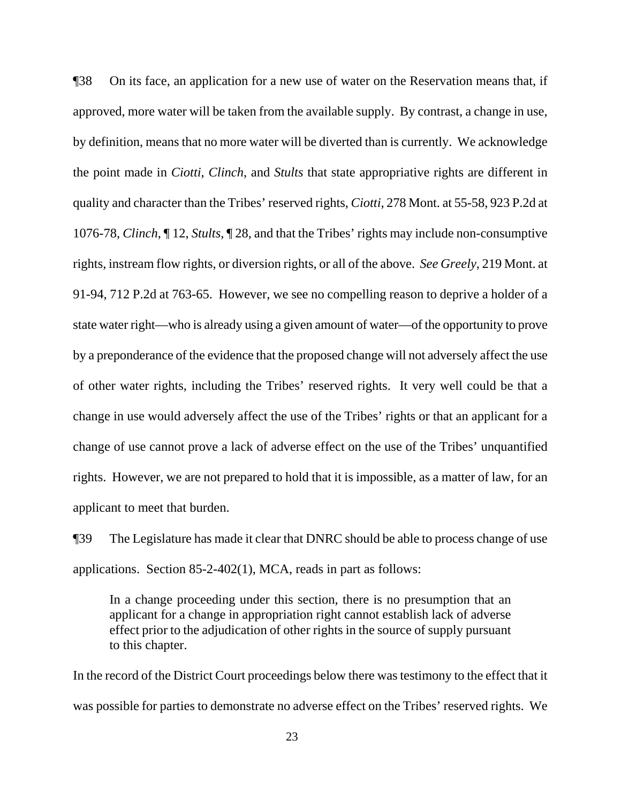¶38 On its face, an application for a new use of water on the Reservation means that, if approved, more water will be taken from the available supply. By contrast, a change in use, by definition, means that no more water will be diverted than is currently. We acknowledge the point made in *Ciotti*, *Clinch*, and *Stults* that state appropriative rights are different in quality and character than the Tribes' reserved rights, *Ciotti*, 278 Mont. at 55-58, 923 P.2d at 1076-78*, Clinch*, ¶ 12, *Stults*, ¶ 28, and that the Tribes' rights may include non-consumptive rights, instream flow rights, or diversion rights, or all of the above. *See Greely*, 219 Mont. at 91-94, 712 P.2d at 763-65. However, we see no compelling reason to deprive a holder of a state water right—who is already using a given amount of water—of the opportunity to prove by a preponderance of the evidence that the proposed change will not adversely affect the use of other water rights, including the Tribes' reserved rights. It very well could be that a change in use would adversely affect the use of the Tribes' rights or that an applicant for a change of use cannot prove a lack of adverse effect on the use of the Tribes' unquantified rights. However, we are not prepared to hold that it is impossible, as a matter of law, for an applicant to meet that burden.

¶39 The Legislature has made it clear that DNRC should be able to process change of use applications. Section 85-2-402(1), MCA, reads in part as follows:

In a change proceeding under this section, there is no presumption that an applicant for a change in appropriation right cannot establish lack of adverse effect prior to the adjudication of other rights in the source of supply pursuant to this chapter.

In the record of the District Court proceedings below there was testimony to the effect that it was possible for parties to demonstrate no adverse effect on the Tribes' reserved rights. We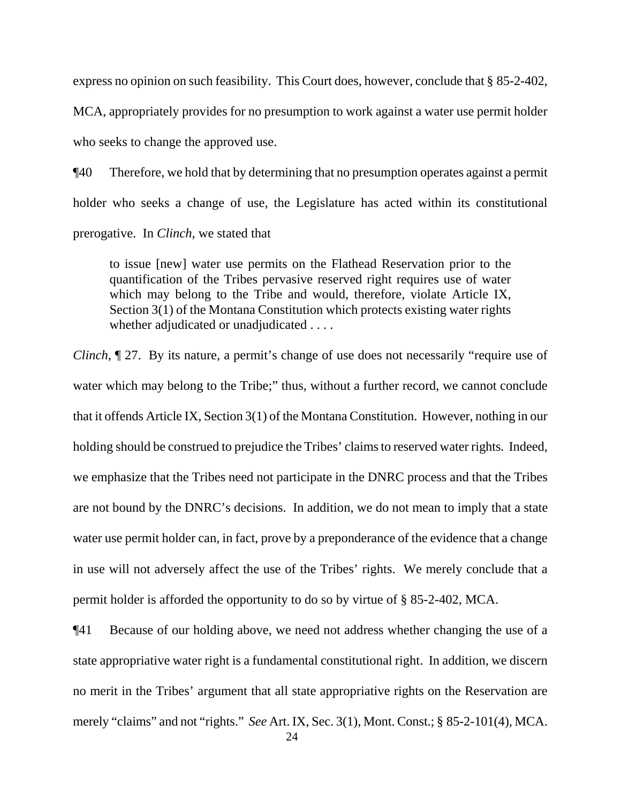express no opinion on such feasibility. This Court does, however, conclude that § 85-2-402, MCA, appropriately provides for no presumption to work against a water use permit holder who seeks to change the approved use.

¶40 Therefore, we hold that by determining that no presumption operates against a permit holder who seeks a change of use, the Legislature has acted within its constitutional prerogative. In *Clinch*, we stated that

to issue [new] water use permits on the Flathead Reservation prior to the quantification of the Tribes pervasive reserved right requires use of water which may belong to the Tribe and would, therefore, violate Article IX, Section 3(1) of the Montana Constitution which protects existing water rights whether adjudicated or unadjudicated . . . .

*Clinch*,  $\mathbb{I}$  27. By its nature, a permit's change of use does not necessarily "require use of water which may belong to the Tribe;" thus, without a further record, we cannot conclude that it offends Article IX, Section 3(1) of the Montana Constitution. However, nothing in our holding should be construed to prejudice the Tribes' claims to reserved water rights. Indeed, we emphasize that the Tribes need not participate in the DNRC process and that the Tribes are not bound by the DNRC's decisions. In addition, we do not mean to imply that a state water use permit holder can, in fact, prove by a preponderance of the evidence that a change in use will not adversely affect the use of the Tribes' rights. We merely conclude that a permit holder is afforded the opportunity to do so by virtue of § 85-2-402, MCA.

¶41 Because of our holding above, we need not address whether changing the use of a state appropriative water right is a fundamental constitutional right. In addition, we discern no merit in the Tribes' argument that all state appropriative rights on the Reservation are merely "claims" and not "rights." *See* Art. IX, Sec. 3(1), Mont. Const.; § 85-2-101(4), MCA.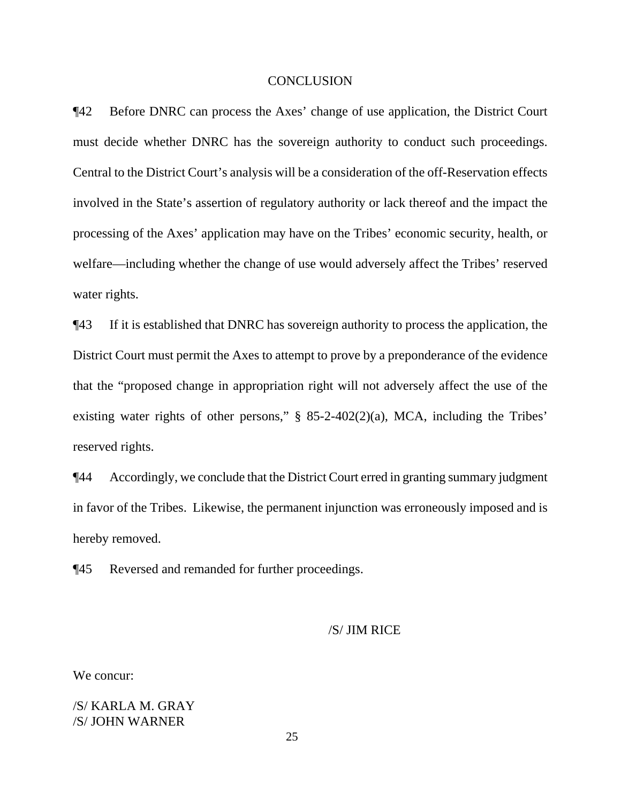### **CONCLUSION**

¶42 Before DNRC can process the Axes' change of use application, the District Court must decide whether DNRC has the sovereign authority to conduct such proceedings. Central to the District Court's analysis will be a consideration of the off-Reservation effects involved in the State's assertion of regulatory authority or lack thereof and the impact the processing of the Axes' application may have on the Tribes' economic security, health, or welfare—including whether the change of use would adversely affect the Tribes' reserved water rights.

¶43 If it is established that DNRC has sovereign authority to process the application, the District Court must permit the Axes to attempt to prove by a preponderance of the evidence that the "proposed change in appropriation right will not adversely affect the use of the existing water rights of other persons," § 85-2-402(2)(a), MCA, including the Tribes' reserved rights.

¶44 Accordingly, we conclude that the District Court erred in granting summary judgment in favor of the Tribes. Likewise, the permanent injunction was erroneously imposed and is hereby removed.

¶45 Reversed and remanded for further proceedings.

We concur:

/S/ KARLA M. GRAY /S/ JOHN WARNER

25

 <sup>/</sup>S/ JIM RICE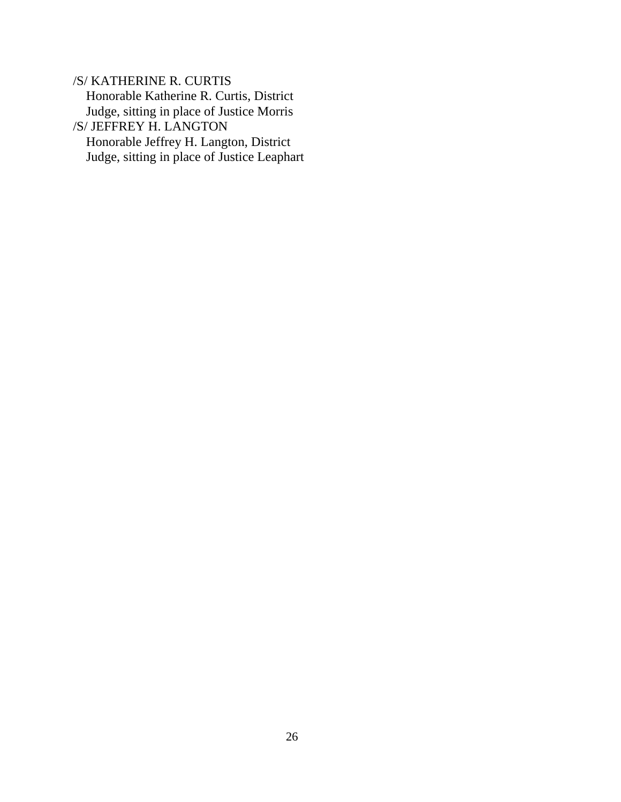/S/ KATHERINE R. CURTIS Honorable Katherine R. Curtis, District Judge, sitting in place of Justice Morris /S/ JEFFREY H. LANGTON Honorable Jeffrey H. Langton, District Judge, sitting in place of Justice Leaphart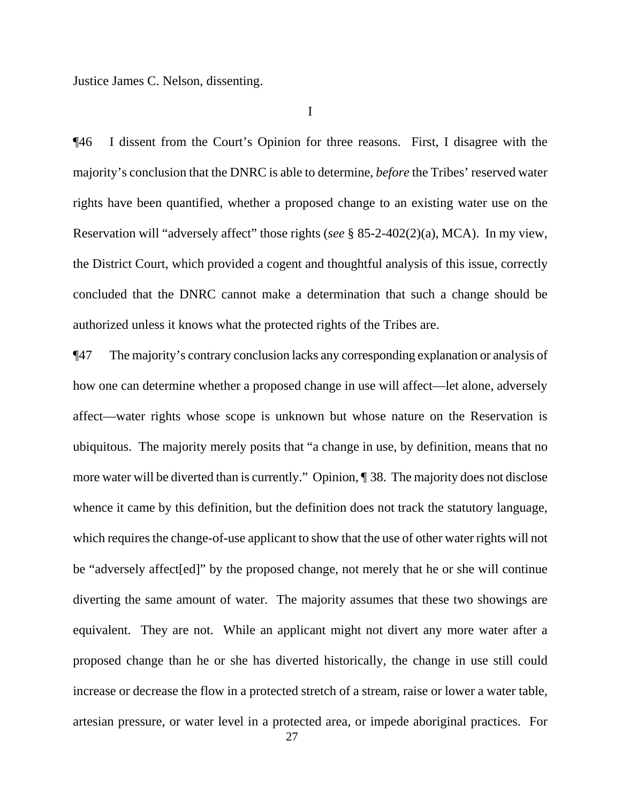Justice James C. Nelson, dissenting.

I

¶46 I dissent from the Court's Opinion for three reasons. First, I disagree with the majority's conclusion that the DNRC is able to determine, *before* the Tribes' reserved water rights have been quantified, whether a proposed change to an existing water use on the Reservation will "adversely affect" those rights (*see* § 85-2-402(2)(a), MCA). In my view, the District Court, which provided a cogent and thoughtful analysis of this issue, correctly concluded that the DNRC cannot make a determination that such a change should be authorized unless it knows what the protected rights of the Tribes are.

¶47 The majority's contrary conclusion lacks any corresponding explanation or analysis of how one can determine whether a proposed change in use will affect—let alone, adversely affect—water rights whose scope is unknown but whose nature on the Reservation is ubiquitous. The majority merely posits that "a change in use, by definition, means that no more water will be diverted than is currently." Opinion, ¶ 38. The majority does not disclose whence it came by this definition, but the definition does not track the statutory language, which requires the change-of-use applicant to show that the use of other water rights will not be "adversely affect[ed]" by the proposed change, not merely that he or she will continue diverting the same amount of water. The majority assumes that these two showings are equivalent. They are not. While an applicant might not divert any more water after a proposed change than he or she has diverted historically, the change in use still could increase or decrease the flow in a protected stretch of a stream, raise or lower a water table, artesian pressure, or water level in a protected area, or impede aboriginal practices. For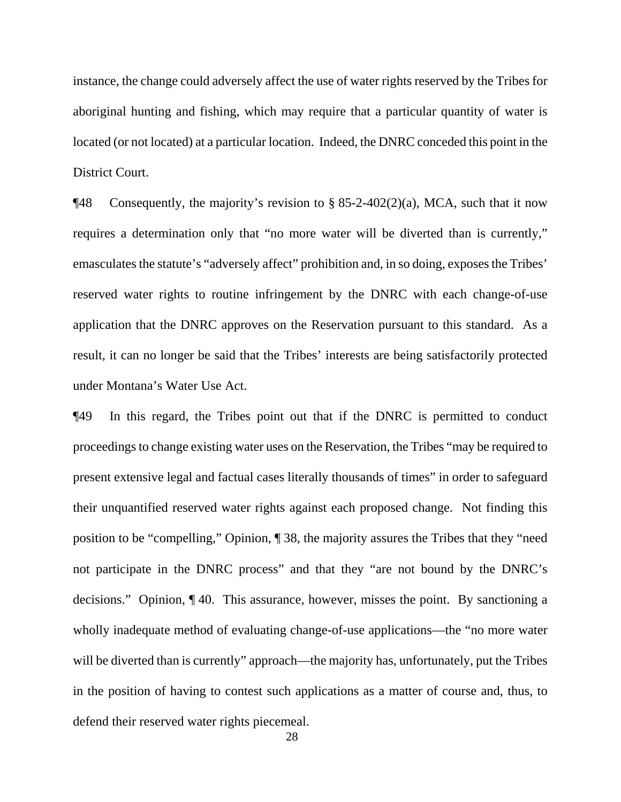instance, the change could adversely affect the use of water rights reserved by the Tribes for aboriginal hunting and fishing, which may require that a particular quantity of water is located (or not located) at a particular location. Indeed, the DNRC conceded this point in the District Court.

 $\P$ 48 Consequently, the majority's revision to § 85-2-402(2)(a), MCA, such that it now requires a determination only that "no more water will be diverted than is currently," emasculates the statute's "adversely affect" prohibition and, in so doing, exposes the Tribes' reserved water rights to routine infringement by the DNRC with each change-of-use application that the DNRC approves on the Reservation pursuant to this standard. As a result, it can no longer be said that the Tribes' interests are being satisfactorily protected under Montana's Water Use Act.

¶49 In this regard, the Tribes point out that if the DNRC is permitted to conduct proceedings to change existing water uses on the Reservation, the Tribes "may be required to present extensive legal and factual cases literally thousands of times" in order to safeguard their unquantified reserved water rights against each proposed change. Not finding this position to be "compelling," Opinion, ¶ 38, the majority assures the Tribes that they "need not participate in the DNRC process" and that they "are not bound by the DNRC's decisions." Opinion, ¶ 40. This assurance, however, misses the point. By sanctioning a wholly inadequate method of evaluating change-of-use applications—the "no more water will be diverted than is currently" approach—the majority has, unfortunately, put the Tribes in the position of having to contest such applications as a matter of course and, thus, to defend their reserved water rights piecemeal.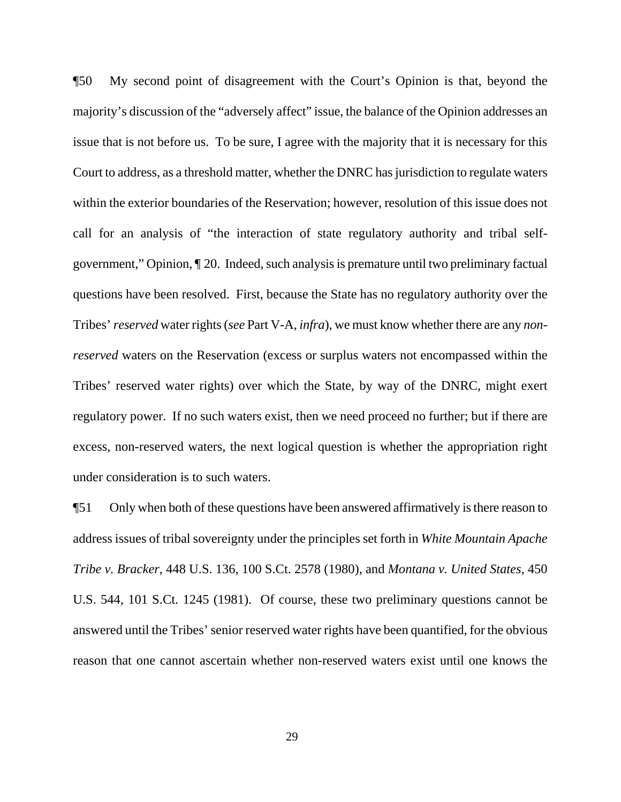¶50 My second point of disagreement with the Court's Opinion is that, beyond the majority's discussion of the "adversely affect" issue, the balance of the Opinion addresses an issue that is not before us. To be sure, I agree with the majority that it is necessary for this Court to address, as a threshold matter, whether the DNRC has jurisdiction to regulate waters within the exterior boundaries of the Reservation; however, resolution of this issue does not call for an analysis of "the interaction of state regulatory authority and tribal selfgovernment," Opinion, ¶ 20. Indeed, such analysis is premature until two preliminary factual questions have been resolved. First, because the State has no regulatory authority over the Tribes' *reserved* water rights (*see* Part V-A, *infra*), we must know whether there are any *nonreserved* waters on the Reservation (excess or surplus waters not encompassed within the Tribes' reserved water rights) over which the State, by way of the DNRC, might exert regulatory power. If no such waters exist, then we need proceed no further; but if there are excess, non-reserved waters, the next logical question is whether the appropriation right under consideration is to such waters.

¶51 Only when both of these questions have been answered affirmatively is there reason to address issues of tribal sovereignty under the principles set forth in *White Mountain Apache Tribe v. Bracker*, 448 U.S. 136, 100 S.Ct. 2578 (1980), and *Montana v. United States*, 450 U.S. 544, 101 S.Ct. 1245 (1981). Of course, these two preliminary questions cannot be answered until the Tribes' senior reserved water rights have been quantified, for the obvious reason that one cannot ascertain whether non-reserved waters exist until one knows the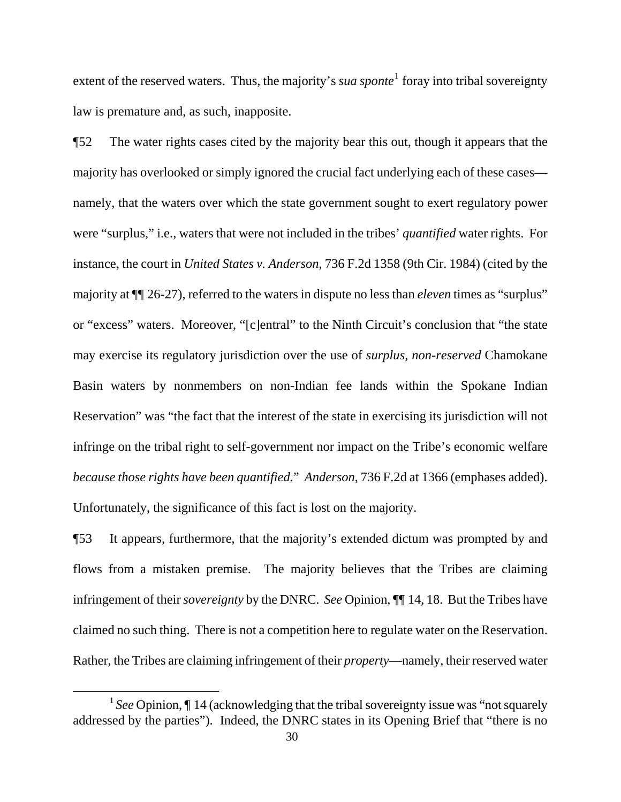extent of the reserved waters. Thus, the majority's *sua sponte*<sup>[1](#page-29-0)</sup> foray into tribal sovereignty law is premature and, as such, inapposite.

¶52 The water rights cases cited by the majority bear this out, though it appears that the majority has overlooked or simply ignored the crucial fact underlying each of these cases namely, that the waters over which the state government sought to exert regulatory power were "surplus," i.e., waters that were not included in the tribes' *quantified* water rights. For instance, the court in *United States v. Anderson*, 736 F.2d 1358 (9th Cir. 1984) (cited by the majority at ¶¶ 26-27), referred to the waters in dispute no less than *eleven* times as "surplus" or "excess" waters. Moreover, "[c]entral" to the Ninth Circuit's conclusion that "the state may exercise its regulatory jurisdiction over the use of *surplus, non-reserved* Chamokane Basin waters by nonmembers on non-Indian fee lands within the Spokane Indian Reservation" was "the fact that the interest of the state in exercising its jurisdiction will not infringe on the tribal right to self-government nor impact on the Tribe's economic welfare *because those rights have been quantified*." *Anderson*, 736 F.2d at 1366 (emphases added). Unfortunately, the significance of this fact is lost on the majority.

¶53 It appears, furthermore, that the majority's extended dictum was prompted by and flows from a mistaken premise. The majority believes that the Tribes are claiming infringement of their *sovereignty* by the DNRC. *See* Opinion, ¶¶ 14, 18. But the Tribes have claimed no such thing. There is not a competition here to regulate water on the Reservation. Rather, the Tribes are claiming infringement of their *property*—namely, their reserved water

<span id="page-29-0"></span><sup>&</sup>lt;sup>1</sup> See Opinion, I 14 (acknowledging that the tribal sovereignty issue was "not squarely" addressed by the parties"). Indeed, the DNRC states in its Opening Brief that "there is no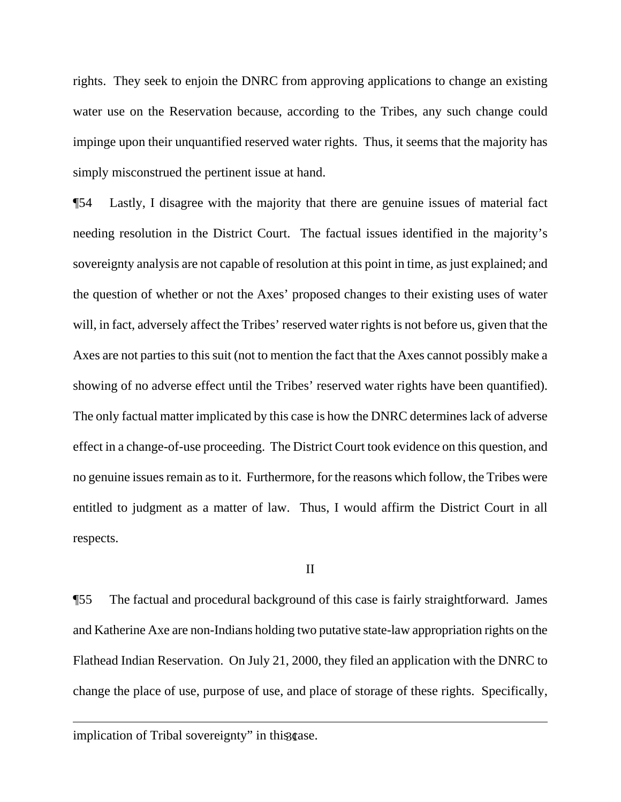rights. They seek to enjoin the DNRC from approving applications to change an existing water use on the Reservation because, according to the Tribes, any such change could impinge upon their unquantified reserved water rights. Thus, it seems that the majority has simply misconstrued the pertinent issue at hand.

¶54 Lastly, I disagree with the majority that there are genuine issues of material fact needing resolution in the District Court. The factual issues identified in the majority's sovereignty analysis are not capable of resolution at this point in time, as just explained; and the question of whether or not the Axes' proposed changes to their existing uses of water will, in fact, adversely affect the Tribes' reserved water rights is not before us, given that the Axes are not parties to this suit (not to mention the fact that the Axes cannot possibly make a showing of no adverse effect until the Tribes' reserved water rights have been quantified). The only factual matter implicated by this case is how the DNRC determines lack of adverse effect in a change-of-use proceeding. The District Court took evidence on this question, and no genuine issues remain as to it. Furthermore, for the reasons which follow, the Tribes were entitled to judgment as a matter of law. Thus, I would affirm the District Court in all respects.

## II

¶55 The factual and procedural background of this case is fairly straightforward. James and Katherine Axe are non-Indians holding two putative state-law appropriation rights on the Flathead Indian Reservation. On July 21, 2000, they filed an application with the DNRC to change the place of use, purpose of use, and place of storage of these rights. Specifically,

implication of Tribal sovereignty" in this case.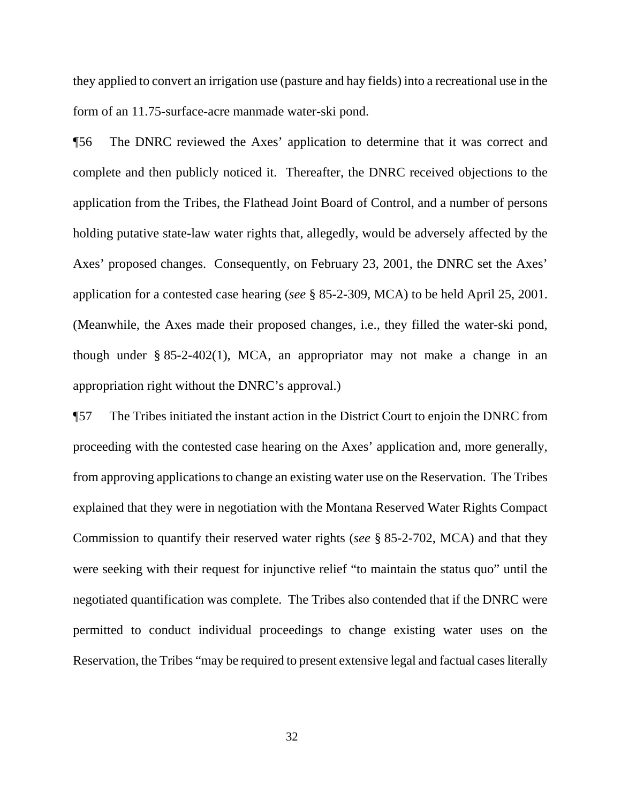they applied to convert an irrigation use (pasture and hay fields) into a recreational use in the form of an 11.75-surface-acre manmade water-ski pond.

¶56 The DNRC reviewed the Axes' application to determine that it was correct and complete and then publicly noticed it. Thereafter, the DNRC received objections to the application from the Tribes, the Flathead Joint Board of Control, and a number of persons holding putative state-law water rights that, allegedly, would be adversely affected by the Axes' proposed changes. Consequently, on February 23, 2001, the DNRC set the Axes' application for a contested case hearing (*see* § 85-2-309, MCA) to be held April 25, 2001. (Meanwhile, the Axes made their proposed changes, i.e., they filled the water-ski pond, though under  $\S 85-2-402(1)$ , MCA, an appropriator may not make a change in an appropriation right without the DNRC's approval.)

¶57 The Tribes initiated the instant action in the District Court to enjoin the DNRC from proceeding with the contested case hearing on the Axes' application and, more generally, from approving applications to change an existing water use on the Reservation. The Tribes explained that they were in negotiation with the Montana Reserved Water Rights Compact Commission to quantify their reserved water rights (*see* § 85-2-702, MCA) and that they were seeking with their request for injunctive relief "to maintain the status quo" until the negotiated quantification was complete. The Tribes also contended that if the DNRC were permitted to conduct individual proceedings to change existing water uses on the Reservation, the Tribes "may be required to present extensive legal and factual cases literally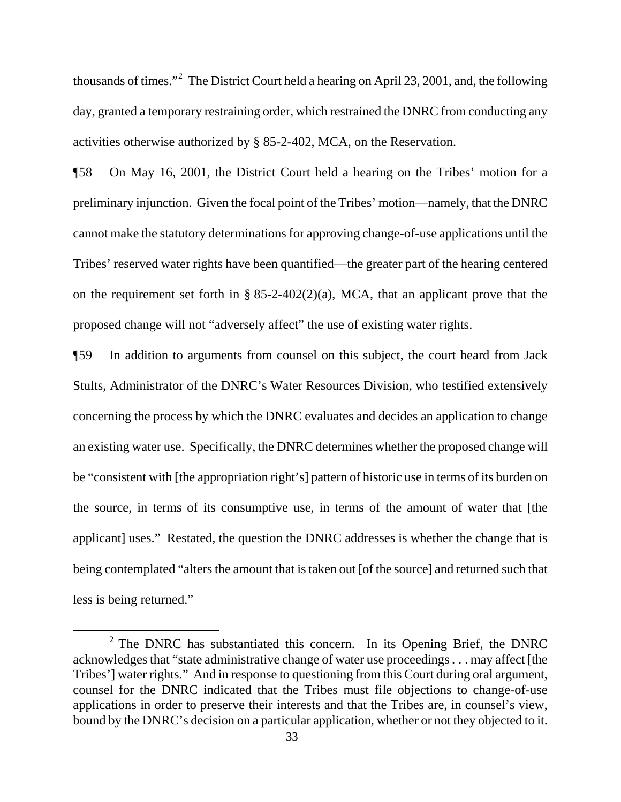thousands of times."<sup>[2](#page-32-0)</sup> The District Court held a hearing on April 23, 2001, and, the following day, granted a temporary restraining order, which restrained the DNRC from conducting any activities otherwise authorized by § 85-2-402, MCA, on the Reservation.

¶58 On May 16, 2001, the District Court held a hearing on the Tribes' motion for a preliminary injunction. Given the focal point of the Tribes' motion—namely, that the DNRC cannot make the statutory determinations for approving change-of-use applications until the Tribes' reserved water rights have been quantified—the greater part of the hearing centered on the requirement set forth in §  $85-2-402(2)(a)$ , MCA, that an applicant prove that the proposed change will not "adversely affect" the use of existing water rights.

¶59 In addition to arguments from counsel on this subject, the court heard from Jack Stults, Administrator of the DNRC's Water Resources Division, who testified extensively concerning the process by which the DNRC evaluates and decides an application to change an existing water use. Specifically, the DNRC determines whether the proposed change will be "consistent with [the appropriation right's] pattern of historic use in terms of its burden on the source, in terms of its consumptive use, in terms of the amount of water that [the applicant] uses." Restated, the question the DNRC addresses is whether the change that is being contemplated "alters the amount that is taken out [of the source] and returned such that less is being returned."

<span id="page-32-0"></span><sup>&</sup>lt;sup>2</sup> The DNRC has substantiated this concern. In its Opening Brief, the DNRC acknowledges that "state administrative change of water use proceedings . . . may affect [the Tribes'] water rights." And in response to questioning from this Court during oral argument, counsel for the DNRC indicated that the Tribes must file objections to change-of-use applications in order to preserve their interests and that the Tribes are, in counsel's view, bound by the DNRC's decision on a particular application, whether or not they objected to it.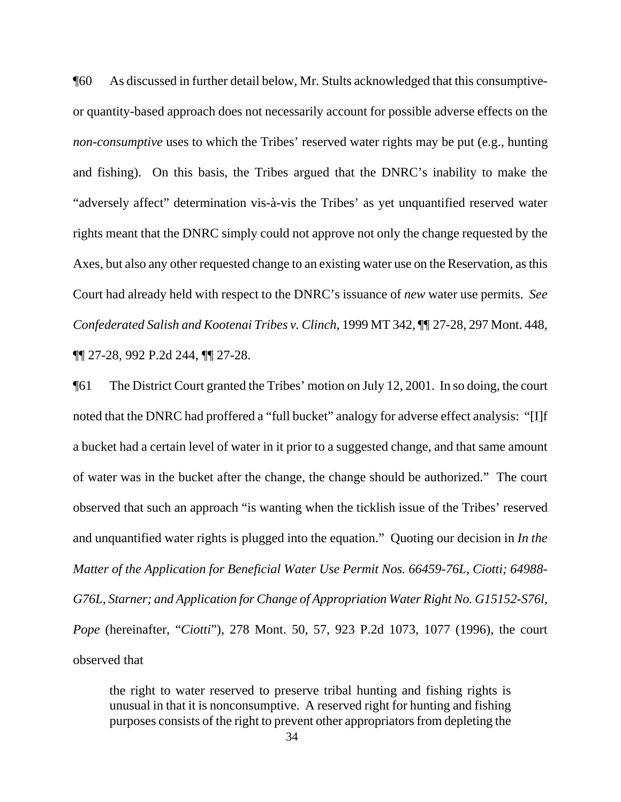¶60 As discussed in further detail below, Mr. Stults acknowledged that this consumptiveor quantity-based approach does not necessarily account for possible adverse effects on the *non-consumptive* uses to which the Tribes' reserved water rights may be put (e.g., hunting and fishing). On this basis, the Tribes argued that the DNRC's inability to make the "adversely affect" determination vis-à-vis the Tribes' as yet unquantified reserved water rights meant that the DNRC simply could not approve not only the change requested by the Axes, but also any other requested change to an existing water use on the Reservation, as this Court had already held with respect to the DNRC's issuance of *new* water use permits. *See Confederated Salish and Kootenai Tribes v. Clinch*, 1999 MT 342, ¶¶ 27-28, 297 Mont. 448, ¶¶ 27-28, 992 P.2d 244, ¶¶ 27-28.

¶61 The District Court granted the Tribes' motion on July 12, 2001. In so doing, the court noted that the DNRC had proffered a "full bucket" analogy for adverse effect analysis: "[I]f a bucket had a certain level of water in it prior to a suggested change, and that same amount of water was in the bucket after the change, the change should be authorized." The court observed that such an approach "is wanting when the ticklish issue of the Tribes' reserved and unquantified water rights is plugged into the equation." Quoting our decision in *In the Matter of the Application for Beneficial Water Use Permit Nos. 66459-76L, Ciotti; 64988- G76L, Starner; and Application for Change of Appropriation Water Right No. G15152-S76l, Pope* (hereinafter, "*Ciotti*"), 278 Mont. 50, 57, 923 P.2d 1073, 1077 (1996), the court observed that

the right to water reserved to preserve tribal hunting and fishing rights is unusual in that it is nonconsumptive. A reserved right for hunting and fishing purposes consists of the right to prevent other appropriators from depleting the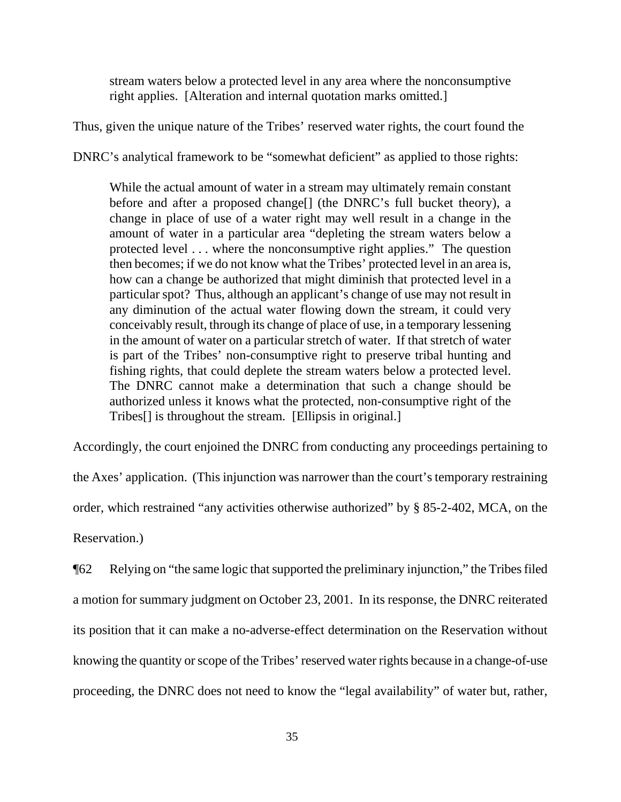stream waters below a protected level in any area where the nonconsumptive right applies. [Alteration and internal quotation marks omitted.]

Thus, given the unique nature of the Tribes' reserved water rights, the court found the

DNRC's analytical framework to be "somewhat deficient" as applied to those rights:

While the actual amount of water in a stream may ultimately remain constant before and after a proposed change<sup>[]</sup> (the DNRC's full bucket theory), a change in place of use of a water right may well result in a change in the amount of water in a particular area "depleting the stream waters below a protected level . . . where the nonconsumptive right applies." The question then becomes; if we do not know what the Tribes' protected level in an area is, how can a change be authorized that might diminish that protected level in a particular spot? Thus, although an applicant's change of use may not result in any diminution of the actual water flowing down the stream, it could very conceivably result, through its change of place of use, in a temporary lessening in the amount of water on a particular stretch of water. If that stretch of water is part of the Tribes' non-consumptive right to preserve tribal hunting and fishing rights, that could deplete the stream waters below a protected level. The DNRC cannot make a determination that such a change should be authorized unless it knows what the protected, non-consumptive right of the Tribes[] is throughout the stream. [Ellipsis in original.]

Accordingly, the court enjoined the DNRC from conducting any proceedings pertaining to the Axes' application. (This injunction was narrower than the court's temporary restraining order, which restrained "any activities otherwise authorized" by § 85-2-402, MCA, on the Reservation.)

¶62 Relying on "the same logic that supported the preliminary injunction," the Tribes filed a motion for summary judgment on October 23, 2001. In its response, the DNRC reiterated its position that it can make a no-adverse-effect determination on the Reservation without knowing the quantity or scope of the Tribes' reserved water rights because in a change-of-use proceeding, the DNRC does not need to know the "legal availability" of water but, rather,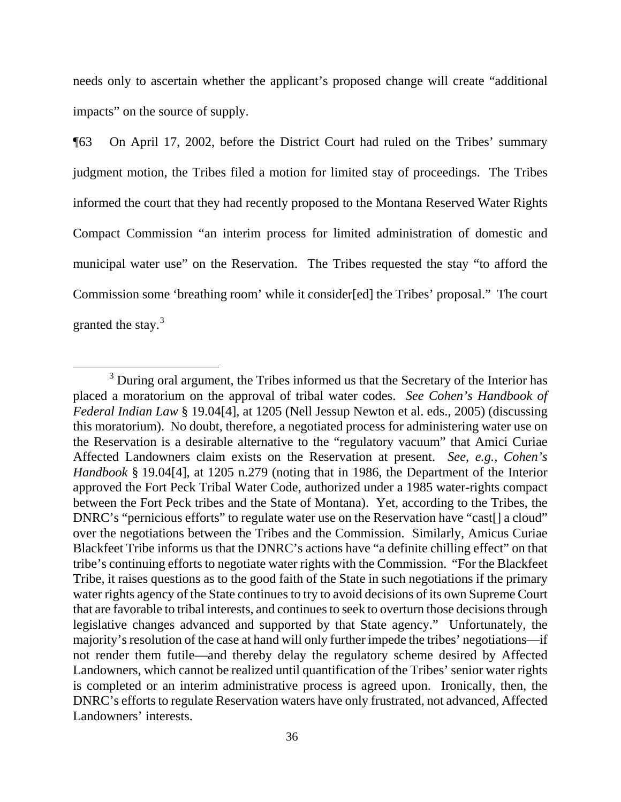needs only to ascertain whether the applicant's proposed change will create "additional impacts" on the source of supply.

¶63 On April 17, 2002, before the District Court had ruled on the Tribes' summary judgment motion, the Tribes filed a motion for limited stay of proceedings. The Tribes informed the court that they had recently proposed to the Montana Reserved Water Rights Compact Commission "an interim process for limited administration of domestic and municipal water use" on the Reservation. The Tribes requested the stay "to afford the Commission some 'breathing room' while it consider[ed] the Tribes' proposal." The court granted the stay.<sup>[3](#page-35-0)</sup>

<span id="page-35-0"></span> $3$  During oral argument, the Tribes informed us that the Secretary of the Interior has placed a moratorium on the approval of tribal water codes. *See Cohen's Handbook of Federal Indian Law* § 19.04[4], at 1205 (Nell Jessup Newton et al. eds., 2005) (discussing this moratorium). No doubt, therefore, a negotiated process for administering water use on the Reservation is a desirable alternative to the "regulatory vacuum" that Amici Curiae Affected Landowners claim exists on the Reservation at present. *See*, *e.g.*, *Cohen's Handbook* § 19.04[4], at 1205 n.279 (noting that in 1986, the Department of the Interior approved the Fort Peck Tribal Water Code, authorized under a 1985 water-rights compact between the Fort Peck tribes and the State of Montana). Yet, according to the Tribes, the DNRC's "pernicious efforts" to regulate water use on the Reservation have "cast[] a cloud" over the negotiations between the Tribes and the Commission. Similarly, Amicus Curiae Blackfeet Tribe informs us that the DNRC's actions have "a definite chilling effect" on that tribe's continuing efforts to negotiate water rights with the Commission. "For the Blackfeet Tribe, it raises questions as to the good faith of the State in such negotiations if the primary water rights agency of the State continues to try to avoid decisions of its own Supreme Court that are favorable to tribal interests, and continues to seek to overturn those decisions through legislative changes advanced and supported by that State agency." Unfortunately, the majority's resolution of the case at hand will only further impede the tribes' negotiations—if not render them futile—and thereby delay the regulatory scheme desired by Affected Landowners, which cannot be realized until quantification of the Tribes' senior water rights is completed or an interim administrative process is agreed upon. Ironically, then, the DNRC's efforts to regulate Reservation waters have only frustrated, not advanced, Affected Landowners' interests.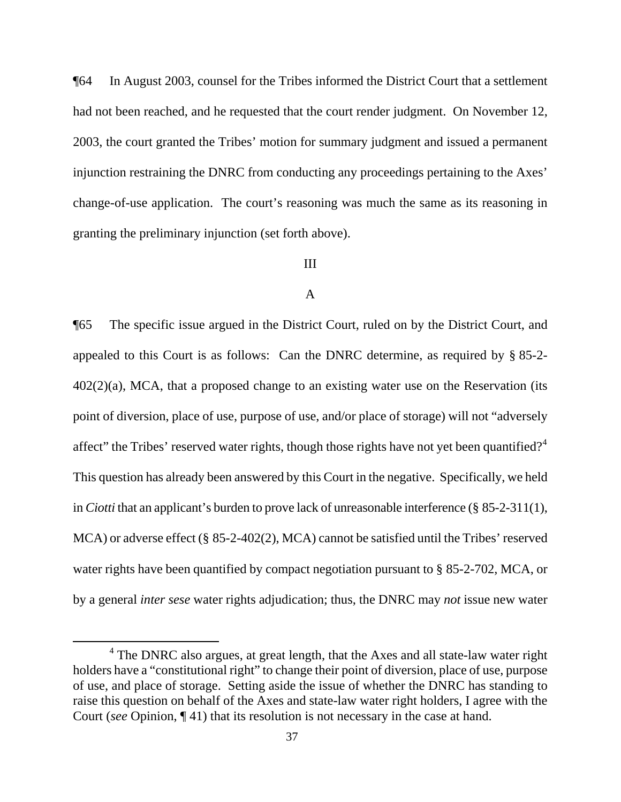¶64 In August 2003, counsel for the Tribes informed the District Court that a settlement had not been reached, and he requested that the court render judgment. On November 12, 2003, the court granted the Tribes' motion for summary judgment and issued a permanent injunction restraining the DNRC from conducting any proceedings pertaining to the Axes' change-of-use application. The court's reasoning was much the same as its reasoning in granting the preliminary injunction (set forth above).

# III

## A

¶65 The specific issue argued in the District Court, ruled on by the District Court, and appealed to this Court is as follows: Can the DNRC determine, as required by § 85-2- 402(2)(a), MCA, that a proposed change to an existing water use on the Reservation (its point of diversion, place of use, purpose of use, and/or place of storage) will not "adversely affect" the Tribes' reserved water rights, though those rights have not yet been quantified?<sup>[4](#page-36-0)</sup> This question has already been answered by this Court in the negative. Specifically, we held in *Ciotti* that an applicant's burden to prove lack of unreasonable interference (§ 85-2-311(1), MCA) or adverse effect (§ 85-2-402(2), MCA) cannot be satisfied until the Tribes' reserved water rights have been quantified by compact negotiation pursuant to § 85-2-702, MCA, or by a general *inter sese* water rights adjudication; thus, the DNRC may *not* issue new water

<span id="page-36-0"></span> $4$  The DNRC also argues, at great length, that the Axes and all state-law water right holders have a "constitutional right" to change their point of diversion, place of use, purpose of use, and place of storage. Setting aside the issue of whether the DNRC has standing to raise this question on behalf of the Axes and state-law water right holders, I agree with the Court (*see* Opinion, ¶ 41) that its resolution is not necessary in the case at hand.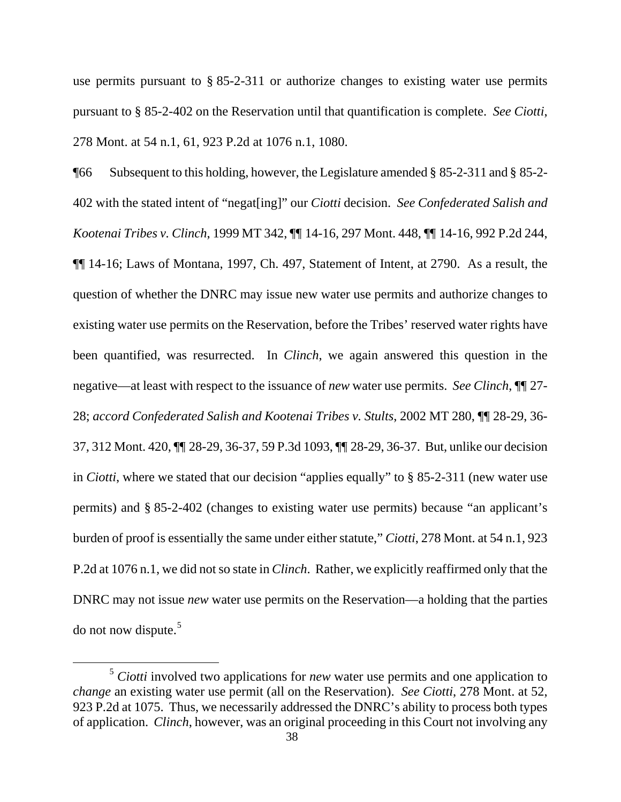use permits pursuant to § 85-2-311 or authorize changes to existing water use permits pursuant to § 85-2-402 on the Reservation until that quantification is complete. *See Ciotti*, 278 Mont. at 54 n.1, 61, 923 P.2d at 1076 n.1, 1080.

¶66 Subsequent to this holding, however, the Legislature amended § 85-2-311 and § 85-2- 402 with the stated intent of "negat[ing]" our *Ciotti* decision. *See Confederated Salish and Kootenai Tribes v. Clinch*, 1999 MT 342, ¶¶ 14-16, 297 Mont. 448, ¶¶ 14-16, 992 P.2d 244, ¶¶ 14-16; Laws of Montana, 1997, Ch. 497, Statement of Intent, at 2790. As a result, the question of whether the DNRC may issue new water use permits and authorize changes to existing water use permits on the Reservation, before the Tribes' reserved water rights have been quantified, was resurrected. In *Clinch*, we again answered this question in the negative—at least with respect to the issuance of *new* water use permits. *See Clinch*, ¶¶ 27- 28; *accord Confederated Salish and Kootenai Tribes v. Stults*, 2002 MT 280, ¶¶ 28-29, 36- 37, 312 Mont. 420, ¶¶ 28-29, 36-37, 59 P.3d 1093, ¶¶ 28-29, 36-37. But, unlike our decision in *Ciotti*, where we stated that our decision "applies equally" to § 85-2-311 (new water use permits) and § 85-2-402 (changes to existing water use permits) because "an applicant's burden of proof is essentially the same under either statute," *Ciotti*, 278 Mont. at 54 n.1, 923 P.2d at 1076 n.1, we did not so state in *Clinch*. Rather, we explicitly reaffirmed only that the DNRC may not issue *new* water use permits on the Reservation—a holding that the parties do not now dispute.[5](#page-37-0)

<span id="page-37-0"></span><sup>5</sup> *Ciotti* involved two applications for *new* water use permits and one application to *change* an existing water use permit (all on the Reservation). *See Ciotti*, 278 Mont. at 52, 923 P.2d at 1075. Thus, we necessarily addressed the DNRC's ability to process both types of application. *Clinch*, however, was an original proceeding in this Court not involving any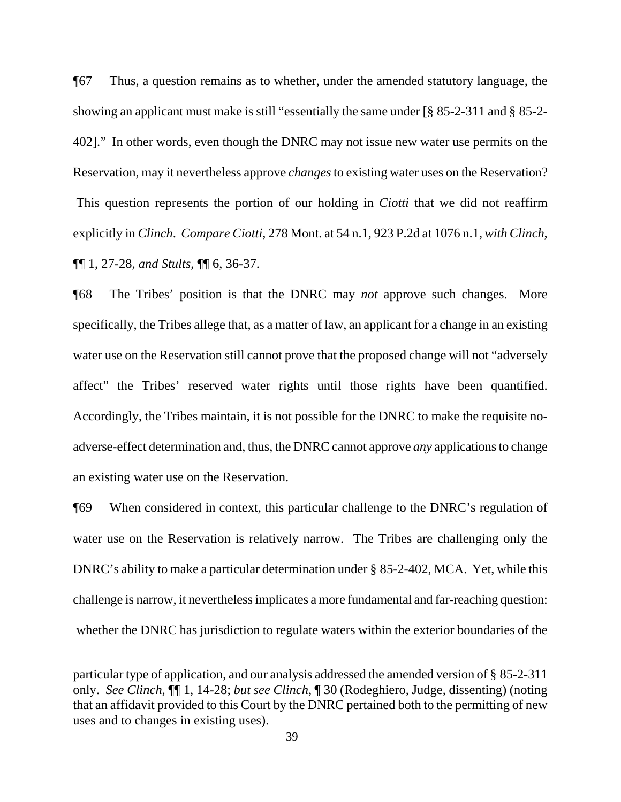¶67 Thus, a question remains as to whether, under the amended statutory language, the showing an applicant must make is still "essentially the same under [§ 85-2-311 and § 85-2- 402]." In other words, even though the DNRC may not issue new water use permits on the Reservation, may it nevertheless approve *changes* to existing water uses on the Reservation? This question represents the portion of our holding in *Ciotti* that we did not reaffirm explicitly in *Clinch*. *Compare Ciotti*, 278 Mont. at 54 n.1, 923 P.2d at 1076 n.1, *with Clinch*, ¶¶ 1, 27-28, *and Stults*, ¶¶ 6, 36-37.

¶68 The Tribes' position is that the DNRC may *not* approve such changes. More specifically, the Tribes allege that, as a matter of law, an applicant for a change in an existing water use on the Reservation still cannot prove that the proposed change will not "adversely affect" the Tribes' reserved water rights until those rights have been quantified. Accordingly, the Tribes maintain, it is not possible for the DNRC to make the requisite noadverse-effect determination and, thus, the DNRC cannot approve *any* applications to change an existing water use on the Reservation.

¶69 When considered in context, this particular challenge to the DNRC's regulation of water use on the Reservation is relatively narrow. The Tribes are challenging only the DNRC's ability to make a particular determination under § 85-2-402, MCA. Yet, while this challenge is narrow, it nevertheless implicates a more fundamental and far-reaching question: whether the DNRC has jurisdiction to regulate waters within the exterior boundaries of the

particular type of application, and our analysis addressed the amended version of § 85-2-311 only. *See Clinch*, ¶¶ 1, 14-28; *but see Clinch*, ¶ 30 (Rodeghiero, Judge, dissenting) (noting that an affidavit provided to this Court by the DNRC pertained both to the permitting of new uses and to changes in existing uses).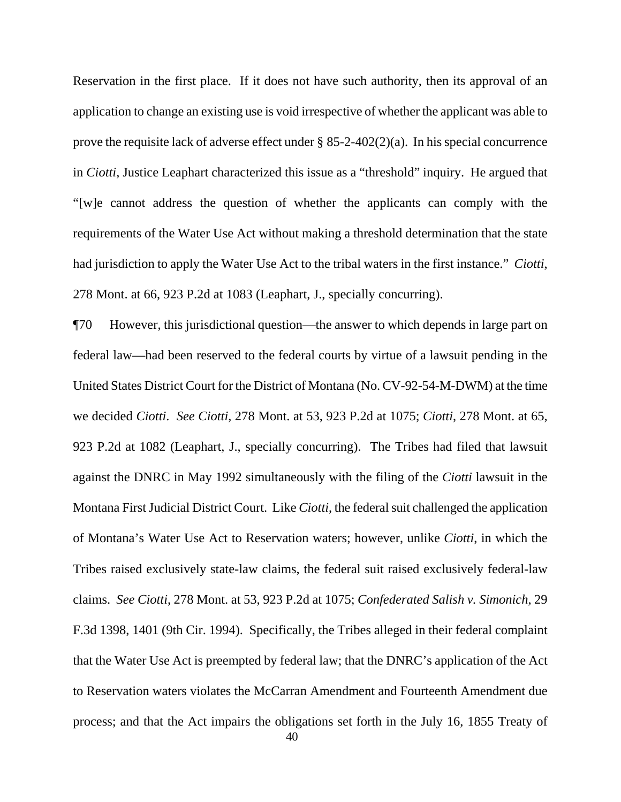Reservation in the first place. If it does not have such authority, then its approval of an application to change an existing use is void irrespective of whether the applicant was able to prove the requisite lack of adverse effect under  $\S$  85-2-402(2)(a). In his special concurrence in *Ciotti*, Justice Leaphart characterized this issue as a "threshold" inquiry. He argued that "[w]e cannot address the question of whether the applicants can comply with the requirements of the Water Use Act without making a threshold determination that the state had jurisdiction to apply the Water Use Act to the tribal waters in the first instance." *Ciotti*, 278 Mont. at 66, 923 P.2d at 1083 (Leaphart, J., specially concurring).

¶70 However, this jurisdictional question—the answer to which depends in large part on federal law—had been reserved to the federal courts by virtue of a lawsuit pending in the United States District Court for the District of Montana (No. CV-92-54-M-DWM) at the time we decided *Ciotti*. *See Ciotti*, 278 Mont. at 53, 923 P.2d at 1075; *Ciotti*, 278 Mont. at 65, 923 P.2d at 1082 (Leaphart, J., specially concurring). The Tribes had filed that lawsuit against the DNRC in May 1992 simultaneously with the filing of the *Ciotti* lawsuit in the Montana First Judicial District Court. Like *Ciotti*, the federal suit challenged the application of Montana's Water Use Act to Reservation waters; however, unlike *Ciotti*, in which the Tribes raised exclusively state-law claims, the federal suit raised exclusively federal-law claims. *See Ciotti*, 278 Mont. at 53, 923 P.2d at 1075; *Confederated Salish v. Simonich*, 29 F.3d 1398, 1401 (9th Cir. 1994). Specifically, the Tribes alleged in their federal complaint that the Water Use Act is preempted by federal law; that the DNRC's application of the Act to Reservation waters violates the McCarran Amendment and Fourteenth Amendment due process; and that the Act impairs the obligations set forth in the July 16, 1855 Treaty of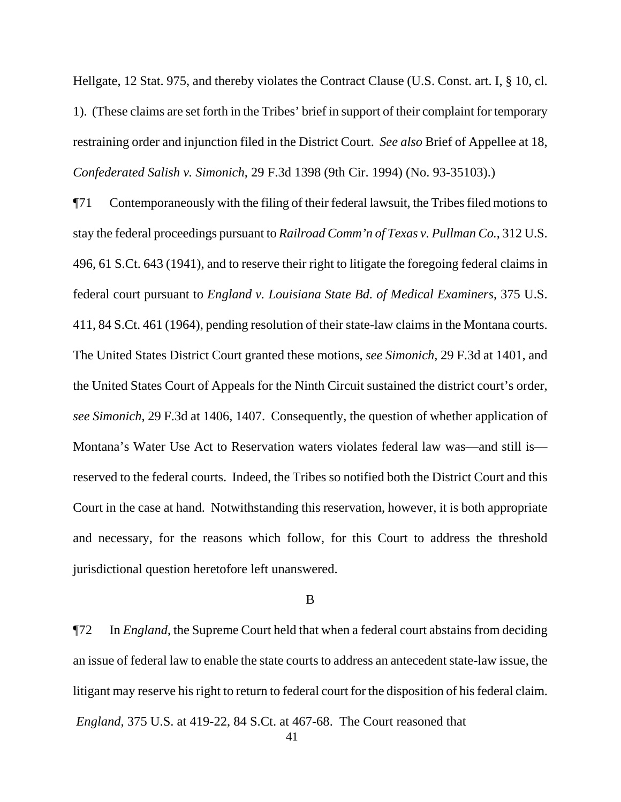Hellgate, 12 Stat. 975, and thereby violates the Contract Clause (U.S. Const. art. I, § 10, cl. 1). (These claims are set forth in the Tribes' brief in support of their complaint for temporary restraining order and injunction filed in the District Court. *See also* Brief of Appellee at 18, *Confederated Salish v. Simonich*, 29 F.3d 1398 (9th Cir. 1994) (No. 93-35103).)

¶71 Contemporaneously with the filing of their federal lawsuit, the Tribes filed motions to stay the federal proceedings pursuant to *Railroad Comm'n of Texas v. Pullman Co.*, 312 U.S. 496, 61 S.Ct. 643 (1941), and to reserve their right to litigate the foregoing federal claims in federal court pursuant to *England v. Louisiana State Bd. of Medical Examiners*, 375 U.S. 411, 84 S.Ct. 461 (1964), pending resolution of their state-law claims in the Montana courts. The United States District Court granted these motions, *see Simonich*, 29 F.3d at 1401, and the United States Court of Appeals for the Ninth Circuit sustained the district court's order, *see Simonich*, 29 F.3d at 1406, 1407. Consequently, the question of whether application of Montana's Water Use Act to Reservation waters violates federal law was—and still is reserved to the federal courts. Indeed, the Tribes so notified both the District Court and this Court in the case at hand. Notwithstanding this reservation, however, it is both appropriate and necessary, for the reasons which follow, for this Court to address the threshold jurisdictional question heretofore left unanswered.

B

¶72 In *England*, the Supreme Court held that when a federal court abstains from deciding an issue of federal law to enable the state courts to address an antecedent state-law issue, the litigant may reserve his right to return to federal court for the disposition of his federal claim.

*England*, 375 U.S. at 419-22, 84 S.Ct. at 467-68. The Court reasoned that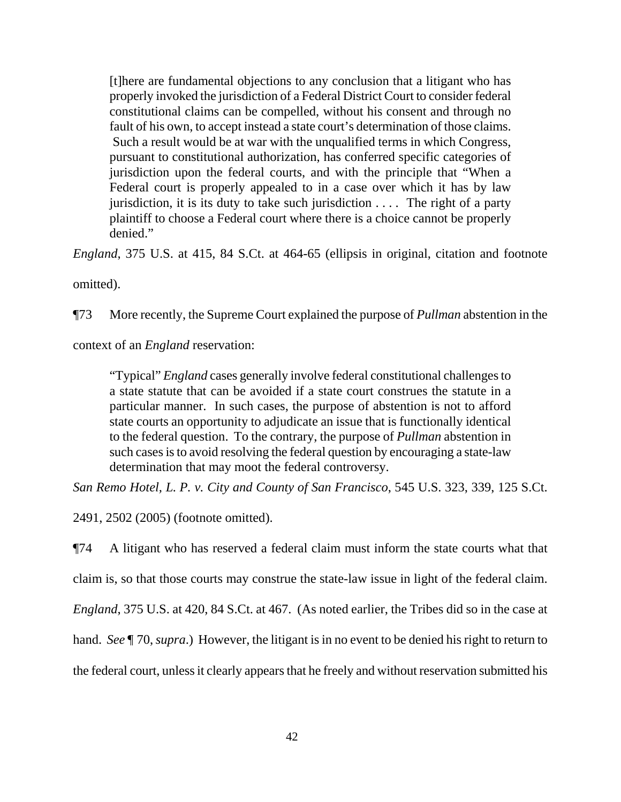[t]here are fundamental objections to any conclusion that a litigant who has properly invoked the jurisdiction of a Federal District Court to consider federal constitutional claims can be compelled, without his consent and through no fault of his own, to accept instead a state court's determination of those claims. Such a result would be at war with the unqualified terms in which Congress, pursuant to constitutional authorization, has conferred specific categories of jurisdiction upon the federal courts, and with the principle that "When a Federal court is properly appealed to in a case over which it has by law jurisdiction, it is its duty to take such jurisdiction . . . . The right of a party plaintiff to choose a Federal court where there is a choice cannot be properly denied."

*England*, 375 U.S. at 415, 84 S.Ct. at 464-65 (ellipsis in original, citation and footnote

omitted).

¶73 More recently, the Supreme Court explained the purpose of *Pullman* abstention in the

context of an *England* reservation:

"Typical" *England* cases generally involve federal constitutional challenges to a state statute that can be avoided if a state court construes the statute in a particular manner. In such cases, the purpose of abstention is not to afford state courts an opportunity to adjudicate an issue that is functionally identical to the federal question. To the contrary, the purpose of *Pullman* abstention in such cases is to avoid resolving the federal question by encouraging a state-law determination that may moot the federal controversy.

*San Remo Hotel, L. P. v. City and County of San Francisco*, 545 U.S. 323, 339, 125 S.Ct.

2491, 2502 (2005) (footnote omitted).

¶74 A litigant who has reserved a federal claim must inform the state courts what that

claim is, so that those courts may construe the state-law issue in light of the federal claim.

*England*, 375 U.S. at 420, 84 S.Ct. at 467. (As noted earlier, the Tribes did so in the case at

hand. *See* ¶ 70, *supra*.) However, the litigant is in no event to be denied his right to return to

the federal court, unless it clearly appears that he freely and without reservation submitted his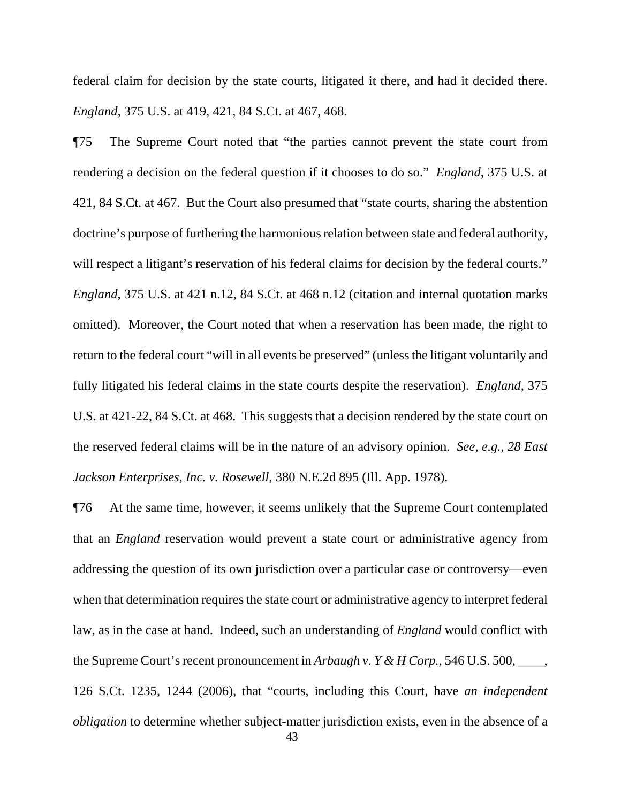federal claim for decision by the state courts, litigated it there, and had it decided there. *England*, 375 U.S. at 419, 421, 84 S.Ct. at 467, 468.

¶75 The Supreme Court noted that "the parties cannot prevent the state court from rendering a decision on the federal question if it chooses to do so." *England*, 375 U.S. at 421, 84 S.Ct. at 467. But the Court also presumed that "state courts, sharing the abstention doctrine's purpose of furthering the harmonious relation between state and federal authority, will respect a litigant's reservation of his federal claims for decision by the federal courts." *England*, 375 U.S. at 421 n.12, 84 S.Ct. at 468 n.12 (citation and internal quotation marks omitted). Moreover, the Court noted that when a reservation has been made, the right to return to the federal court "will in all events be preserved" (unless the litigant voluntarily and fully litigated his federal claims in the state courts despite the reservation). *England*, 375 U.S. at 421-22, 84 S.Ct. at 468. This suggests that a decision rendered by the state court on the reserved federal claims will be in the nature of an advisory opinion. *See*, *e.g.*, *28 East Jackson Enterprises, Inc. v. Rosewell*, 380 N.E.2d 895 (Ill. App. 1978).

¶76 At the same time, however, it seems unlikely that the Supreme Court contemplated that an *England* reservation would prevent a state court or administrative agency from addressing the question of its own jurisdiction over a particular case or controversy—even when that determination requires the state court or administrative agency to interpret federal law, as in the case at hand. Indeed, such an understanding of *England* would conflict with the Supreme Court's recent pronouncement in *Arbaugh v. Y & H Corp.*, 546 U.S. 500, \_\_\_\_, 126 S.Ct. 1235, 1244 (2006), that "courts, including this Court, have *an independent obligation* to determine whether subject-matter jurisdiction exists, even in the absence of a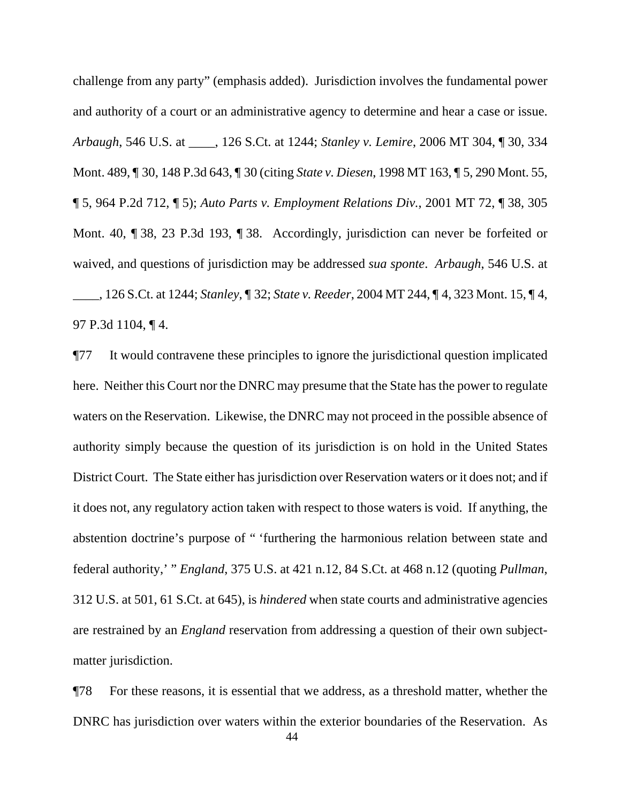challenge from any party" (emphasis added). Jurisdiction involves the fundamental power and authority of a court or an administrative agency to determine and hear a case or issue. *Arbaugh*, 546 U.S. at \_\_\_\_, 126 S.Ct. at 1244; *Stanley v. Lemire*, 2006 MT 304, ¶ 30, 334 Mont. 489, ¶ 30, 148 P.3d 643, ¶ 30 (citing *State v. Diesen*, 1998 MT 163, ¶ 5, 290 Mont. 55, ¶ 5, 964 P.2d 712, ¶ 5); *Auto Parts v. Employment Relations Div.*, 2001 MT 72, ¶ 38, 305 Mont. 40, ¶ 38, 23 P.3d 193, ¶ 38. Accordingly, jurisdiction can never be forfeited or waived, and questions of jurisdiction may be addressed *sua sponte*. *Arbaugh*, 546 U.S. at \_\_\_\_, 126 S.Ct. at 1244; *Stanley*, ¶ 32; *State v. Reeder*, 2004 MT 244, ¶ 4, 323 Mont. 15, ¶ 4, 97 P.3d 1104, ¶ 4.

¶77 It would contravene these principles to ignore the jurisdictional question implicated here. Neither this Court nor the DNRC may presume that the State has the power to regulate waters on the Reservation. Likewise, the DNRC may not proceed in the possible absence of authority simply because the question of its jurisdiction is on hold in the United States District Court. The State either has jurisdiction over Reservation waters or it does not; and if it does not, any regulatory action taken with respect to those waters is void. If anything, the abstention doctrine's purpose of " 'furthering the harmonious relation between state and federal authority,' " *England*, 375 U.S. at 421 n.12, 84 S.Ct. at 468 n.12 (quoting *Pullman*, 312 U.S. at 501, 61 S.Ct. at 645), is *hindered* when state courts and administrative agencies are restrained by an *England* reservation from addressing a question of their own subjectmatter jurisdiction.

 44 ¶78 For these reasons, it is essential that we address, as a threshold matter, whether the DNRC has jurisdiction over waters within the exterior boundaries of the Reservation. As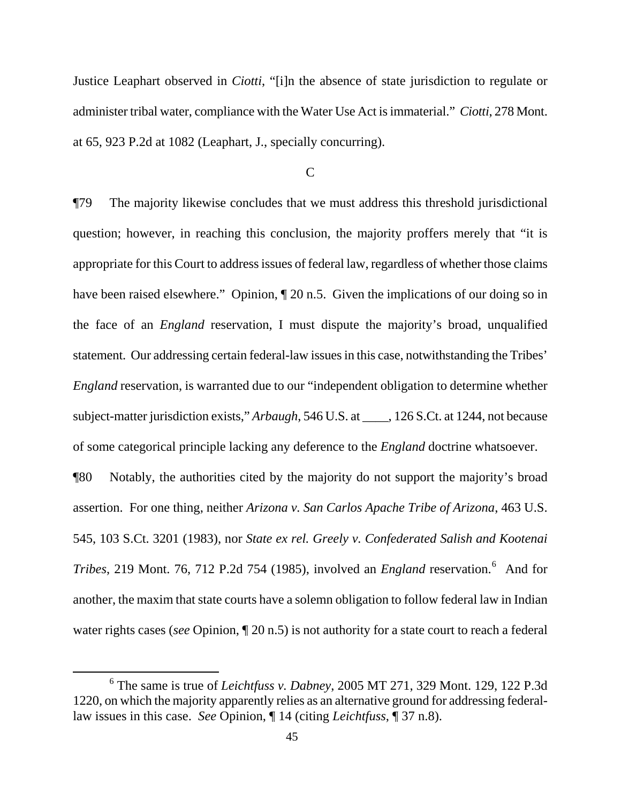Justice Leaphart observed in *Ciotti*, "[i]n the absence of state jurisdiction to regulate or administer tribal water, compliance with the Water Use Act is immaterial." *Ciotti*, 278 Mont. at 65, 923 P.2d at 1082 (Leaphart, J., specially concurring).

C

¶79 The majority likewise concludes that we must address this threshold jurisdictional question; however, in reaching this conclusion, the majority proffers merely that "it is appropriate for this Court to address issues of federal law, regardless of whether those claims have been raised elsewhere." Opinion,  $\P$  20 n.5. Given the implications of our doing so in the face of an *England* reservation, I must dispute the majority's broad, unqualified statement. Our addressing certain federal-law issues in this case, notwithstanding the Tribes' *England* reservation, is warranted due to our "independent obligation to determine whether subject-matter jurisdiction exists," *Arbaugh*, 546 U.S. at \_\_\_\_, 126 S.Ct. at 1244, not because of some categorical principle lacking any deference to the *England* doctrine whatsoever. ¶80 Notably, the authorities cited by the majority do not support the majority's broad assertion. For one thing, neither *Arizona v. San Carlos Apache Tribe of Arizona*, 463 U.S. 545, 103 S.Ct. 3201 (1983), nor *State ex rel. Greely v. Confederated Salish and Kootenai Tribes*, 219 Mont. 7[6](#page-44-0), 712 P.2d 754 (1985), involved an *England* reservation.<sup>6</sup> And for another, the maxim that state courts have a solemn obligation to follow federal law in Indian water rights cases (*see* Opinion, ¶ 20 n.5) is not authority for a state court to reach a federal

<span id="page-44-0"></span><sup>6</sup> The same is true of *Leichtfuss v. Dabney*, 2005 MT 271, 329 Mont. 129, 122 P.3d 1220, on which the majority apparently relies as an alternative ground for addressing federallaw issues in this case. *See* Opinion, ¶ 14 (citing *Leichtfuss*, ¶ 37 n.8).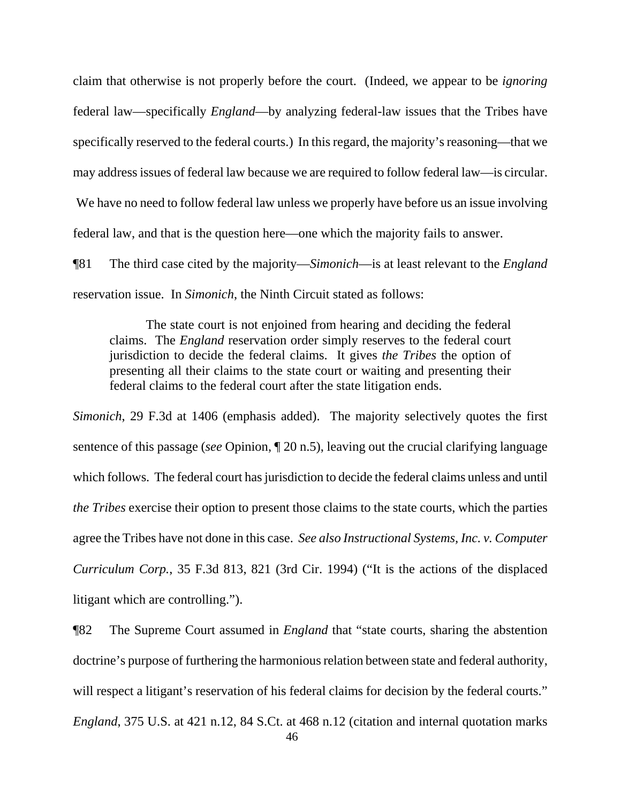claim that otherwise is not properly before the court. (Indeed, we appear to be *ignoring* federal law—specifically *England*—by analyzing federal-law issues that the Tribes have specifically reserved to the federal courts.) In this regard, the majority's reasoning—that we may address issues of federal law because we are required to follow federal law—is circular. We have no need to follow federal law unless we properly have before us an issue involving federal law, and that is the question here—one which the majority fails to answer.

¶81 The third case cited by the majority—*Simonich*—is at least relevant to the *England* reservation issue. In *Simonich*, the Ninth Circuit stated as follows:

The state court is not enjoined from hearing and deciding the federal claims. The *England* reservation order simply reserves to the federal court jurisdiction to decide the federal claims. It gives *the Tribes* the option of presenting all their claims to the state court or waiting and presenting their federal claims to the federal court after the state litigation ends.

*Simonich*, 29 F.3d at 1406 (emphasis added). The majority selectively quotes the first sentence of this passage (*see* Opinion, ¶ 20 n.5), leaving out the crucial clarifying language which follows. The federal court has jurisdiction to decide the federal claims unless and until *the Tribes* exercise their option to present those claims to the state courts, which the parties agree the Tribes have not done in this case. *See also Instructional Systems, Inc. v. Computer Curriculum Corp.*, 35 F.3d 813, 821 (3rd Cir. 1994) ("It is the actions of the displaced litigant which are controlling.").

¶82 The Supreme Court assumed in *England* that "state courts, sharing the abstention doctrine's purpose of furthering the harmonious relation between state and federal authority, will respect a litigant's reservation of his federal claims for decision by the federal courts."

*England*, 375 U.S. at 421 n.12, 84 S.Ct. at 468 n.12 (citation and internal quotation marks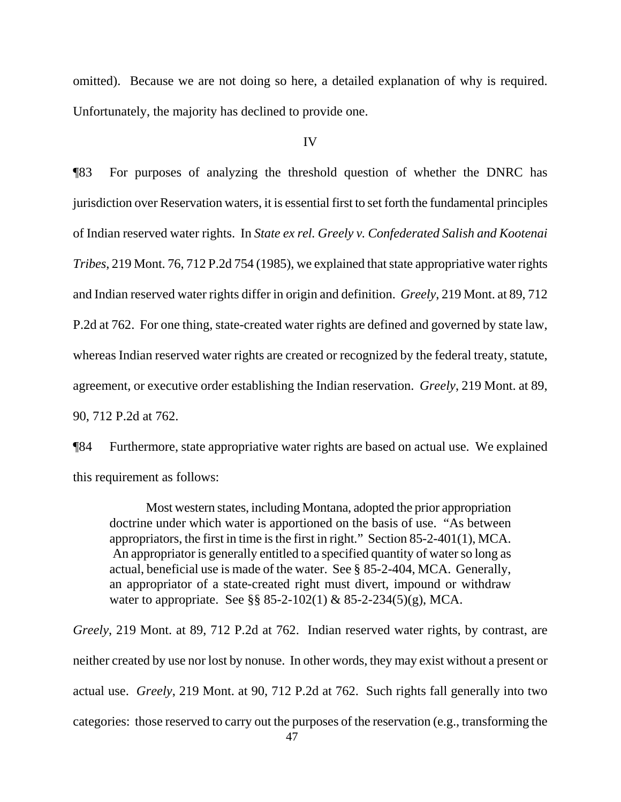omitted). Because we are not doing so here, a detailed explanation of why is required. Unfortunately, the majority has declined to provide one.

### IV

¶83 For purposes of analyzing the threshold question of whether the DNRC has jurisdiction over Reservation waters, it is essential first to set forth the fundamental principles of Indian reserved water rights. In *State ex rel. Greely v. Confederated Salish and Kootenai Tribes*, 219 Mont. 76, 712 P.2d 754 (1985), we explained that state appropriative water rights and Indian reserved water rights differ in origin and definition. *Greely*, 219 Mont. at 89, 712 P.2d at 762. For one thing, state-created water rights are defined and governed by state law, whereas Indian reserved water rights are created or recognized by the federal treaty, statute, agreement, or executive order establishing the Indian reservation. *Greely*, 219 Mont. at 89, 90, 712 P.2d at 762.

¶84 Furthermore, state appropriative water rights are based on actual use. We explained this requirement as follows:

Most western states, including Montana, adopted the prior appropriation doctrine under which water is apportioned on the basis of use. "As between appropriators, the first in time is the first in right." Section 85-2-401(1), MCA. An appropriator is generally entitled to a specified quantity of water so long as actual, beneficial use is made of the water. See § 85-2-404, MCA. Generally, an appropriator of a state-created right must divert, impound or withdraw water to appropriate. See §§ 85-2-102(1) & 85-2-234(5)(g), MCA.

 47 *Greely*, 219 Mont. at 89, 712 P.2d at 762. Indian reserved water rights, by contrast, are neither created by use nor lost by nonuse. In other words, they may exist without a present or actual use. *Greely*, 219 Mont. at 90, 712 P.2d at 762. Such rights fall generally into two categories: those reserved to carry out the purposes of the reservation (e.g., transforming the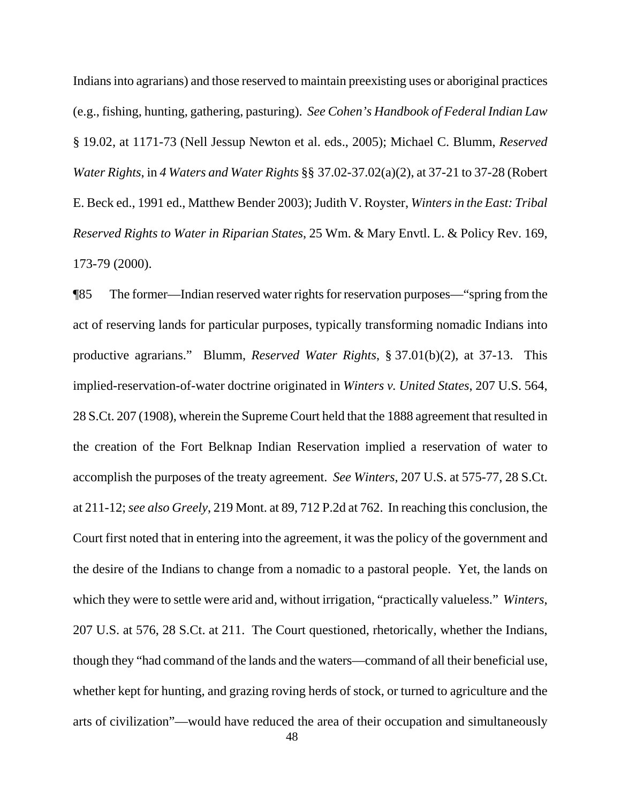Indians into agrarians) and those reserved to maintain preexisting uses or aboriginal practices (e.g., fishing, hunting, gathering, pasturing). *See Cohen's Handbook of Federal Indian Law* § 19.02, at 1171-73 (Nell Jessup Newton et al. eds., 2005); Michael C. Blumm, *Reserved Water Rights*, in *4 Waters and Water Rights* §§ 37.02-37.02(a)(2), at 37-21 to 37-28 (Robert E. Beck ed., 1991 ed., Matthew Bender 2003); Judith V. Royster, *Winters in the East: Tribal Reserved Rights to Water in Riparian States*, 25 Wm. & Mary Envtl. L. & Policy Rev. 169, 173-79 (2000).

¶85 The former—Indian reserved water rights for reservation purposes—"spring from the act of reserving lands for particular purposes, typically transforming nomadic Indians into productive agrarians." Blumm, *Reserved Water Rights*, § 37.01(b)(2), at 37-13. This implied-reservation-of-water doctrine originated in *Winters v. United States*, 207 U.S. 564, 28 S.Ct. 207 (1908), wherein the Supreme Court held that the 1888 agreement that resulted in the creation of the Fort Belknap Indian Reservation implied a reservation of water to accomplish the purposes of the treaty agreement. *See Winters*, 207 U.S. at 575-77, 28 S.Ct. at 211-12; *see also Greely*, 219 Mont. at 89, 712 P.2d at 762. In reaching this conclusion, the Court first noted that in entering into the agreement, it was the policy of the government and the desire of the Indians to change from a nomadic to a pastoral people. Yet, the lands on which they were to settle were arid and, without irrigation, "practically valueless." *Winters*, 207 U.S. at 576, 28 S.Ct. at 211. The Court questioned, rhetorically, whether the Indians, though they "had command of the lands and the waters—command of all their beneficial use, whether kept for hunting, and grazing roving herds of stock, or turned to agriculture and the arts of civilization"—would have reduced the area of their occupation and simultaneously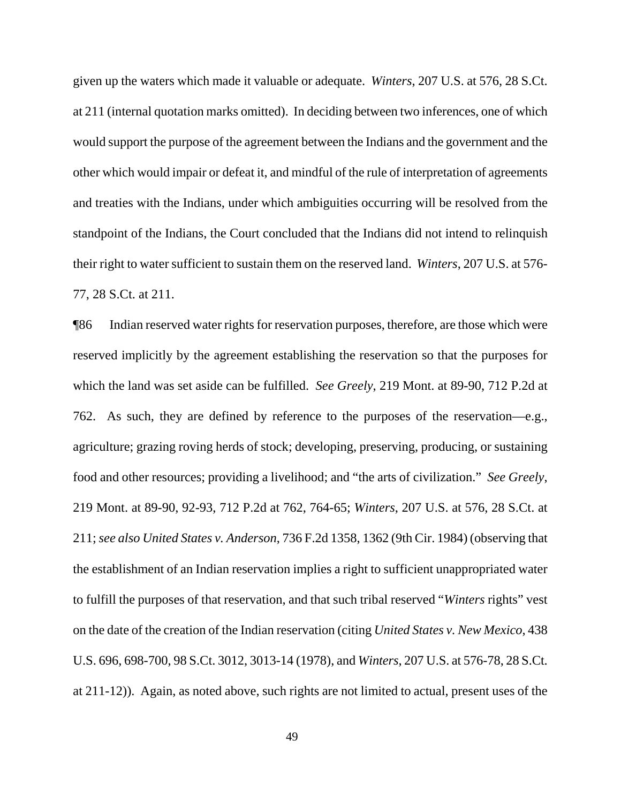given up the waters which made it valuable or adequate. *Winters*, 207 U.S. at 576, 28 S.Ct. at 211 (internal quotation marks omitted). In deciding between two inferences, one of which would support the purpose of the agreement between the Indians and the government and the other which would impair or defeat it, and mindful of the rule of interpretation of agreements and treaties with the Indians, under which ambiguities occurring will be resolved from the standpoint of the Indians, the Court concluded that the Indians did not intend to relinquish their right to water sufficient to sustain them on the reserved land. *Winters*, 207 U.S. at 576- 77, 28 S.Ct. at 211.

¶86 Indian reserved water rights for reservation purposes, therefore, are those which were reserved implicitly by the agreement establishing the reservation so that the purposes for which the land was set aside can be fulfilled. *See Greely*, 219 Mont. at 89-90, 712 P.2d at 762. As such, they are defined by reference to the purposes of the reservation—e.g., agriculture; grazing roving herds of stock; developing, preserving, producing, or sustaining food and other resources; providing a livelihood; and "the arts of civilization." *See Greely*, 219 Mont. at 89-90, 92-93, 712 P.2d at 762, 764-65; *Winters*, 207 U.S. at 576, 28 S.Ct. at 211; *see also United States v. Anderson*, 736 F.2d 1358, 1362 (9th Cir. 1984) (observing that the establishment of an Indian reservation implies a right to sufficient unappropriated water to fulfill the purposes of that reservation, and that such tribal reserved "*Winters* rights" vest on the date of the creation of the Indian reservation (citing *United States v. New Mexico*, 438 U.S. 696, 698-700, 98 S.Ct. 3012, 3013-14 (1978), and *Winters*, 207 U.S. at 576-78, 28 S.Ct. at 211-12)). Again, as noted above, such rights are not limited to actual, present uses of the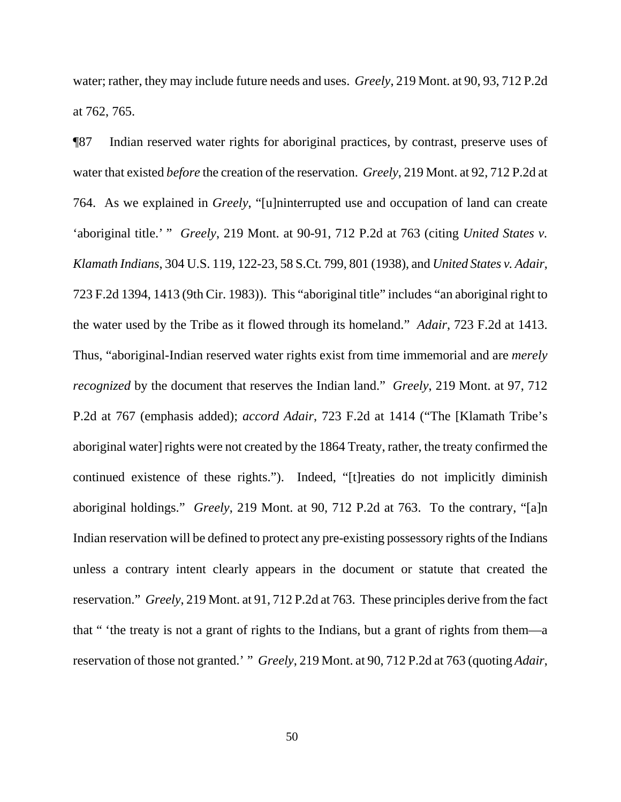water; rather, they may include future needs and uses. *Greely*, 219 Mont. at 90, 93, 712 P.2d at 762, 765.

¶87 Indian reserved water rights for aboriginal practices, by contrast, preserve uses of water that existed *before* the creation of the reservation. *Greely*, 219 Mont. at 92, 712 P.2d at 764. As we explained in *Greely*, "[u]ninterrupted use and occupation of land can create 'aboriginal title.' " *Greely*, 219 Mont. at 90-91, 712 P.2d at 763 (citing *United States v. Klamath Indians*, 304 U.S. 119, 122-23, 58 S.Ct. 799, 801 (1938), and *United States v. Adair*, 723 F.2d 1394, 1413 (9th Cir. 1983)). This "aboriginal title" includes "an aboriginal right to the water used by the Tribe as it flowed through its homeland." *Adair*, 723 F.2d at 1413. Thus, "aboriginal-Indian reserved water rights exist from time immemorial and are *merely recognized* by the document that reserves the Indian land." *Greely*, 219 Mont. at 97, 712 P.2d at 767 (emphasis added); *accord Adair*, 723 F.2d at 1414 ("The [Klamath Tribe's aboriginal water] rights were not created by the 1864 Treaty, rather, the treaty confirmed the continued existence of these rights."). Indeed, "[t]reaties do not implicitly diminish aboriginal holdings." *Greely*, 219 Mont. at 90, 712 P.2d at 763. To the contrary, "[a]n Indian reservation will be defined to protect any pre-existing possessory rights of the Indians unless a contrary intent clearly appears in the document or statute that created the reservation." *Greely*, 219 Mont. at 91, 712 P.2d at 763. These principles derive from the fact that " 'the treaty is not a grant of rights to the Indians, but a grant of rights from them—a reservation of those not granted.' " *Greely*, 219 Mont. at 90, 712 P.2d at 763 (quoting *Adair*,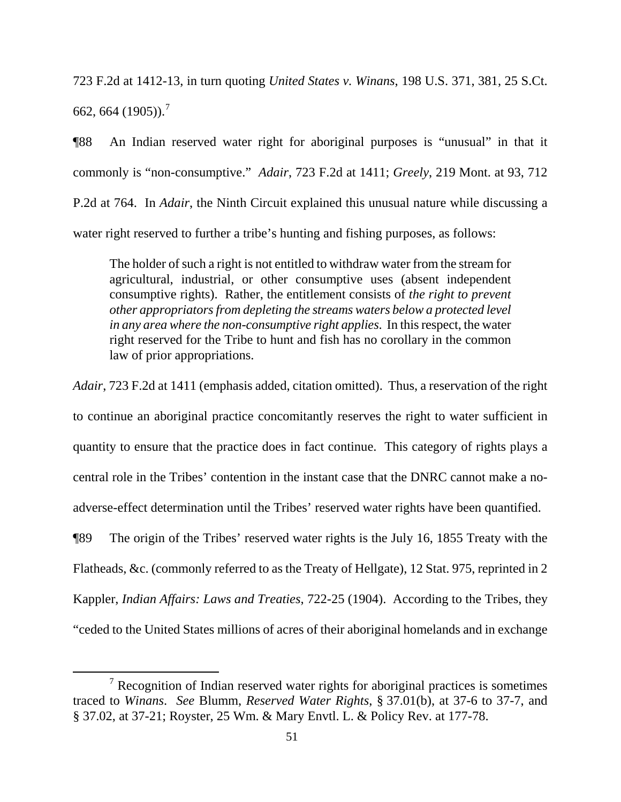723 F.2d at 1412-13, in turn quoting *United States v. Winans*, 198 U.S. 371, 381, 25 S.Ct. 662, 664 (1905)).<sup>[7](#page-50-0)</sup>

¶88 An Indian reserved water right for aboriginal purposes is "unusual" in that it commonly is "non-consumptive." *Adair*, 723 F.2d at 1411; *Greely*, 219 Mont. at 93, 712 P.2d at 764. In *Adair*, the Ninth Circuit explained this unusual nature while discussing a water right reserved to further a tribe's hunting and fishing purposes, as follows:

The holder of such a right is not entitled to withdraw water from the stream for agricultural, industrial, or other consumptive uses (absent independent consumptive rights). Rather, the entitlement consists of *the right to prevent other appropriators from depleting the streams waters below a protected level in any area where the non-consumptive right applies*. In this respect, the water right reserved for the Tribe to hunt and fish has no corollary in the common law of prior appropriations.

*Adair*, 723 F.2d at 1411 (emphasis added, citation omitted). Thus, a reservation of the right to continue an aboriginal practice concomitantly reserves the right to water sufficient in quantity to ensure that the practice does in fact continue. This category of rights plays a central role in the Tribes' contention in the instant case that the DNRC cannot make a noadverse-effect determination until the Tribes' reserved water rights have been quantified. ¶89 The origin of the Tribes' reserved water rights is the July 16, 1855 Treaty with the Flatheads, &c. (commonly referred to as the Treaty of Hellgate), 12 Stat. 975, reprinted in 2 Kappler, *Indian Affairs: Laws and Treaties*, 722-25 (1904). According to the Tribes, they "ceded to the United States millions of acres of their aboriginal homelands and in exchange

<span id="page-50-0"></span> $7$  Recognition of Indian reserved water rights for aboriginal practices is sometimes traced to *Winans*. *See* Blumm, *Reserved Water Rights*, § 37.01(b), at 37-6 to 37-7, and § 37.02, at 37-21; Royster, 25 Wm. & Mary Envtl. L. & Policy Rev. at 177-78.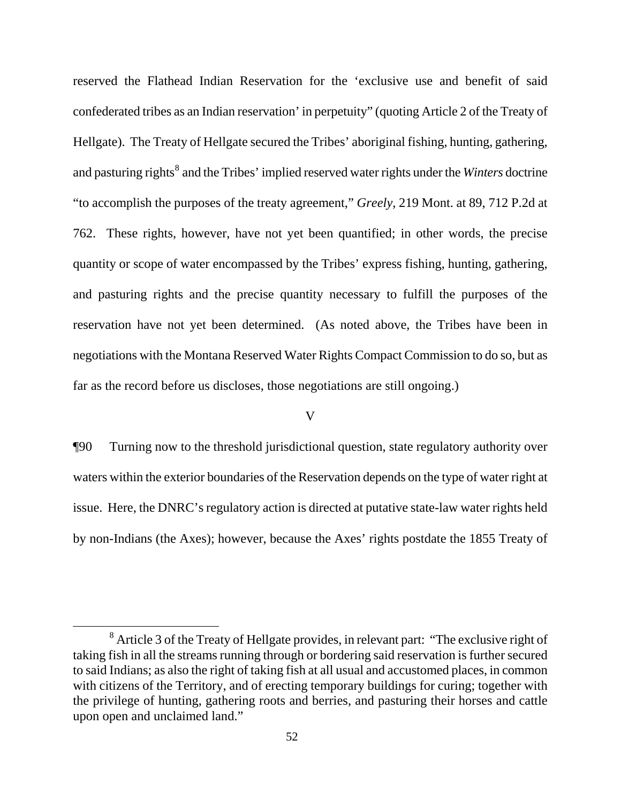reserved the Flathead Indian Reservation for the 'exclusive use and benefit of said confederated tribes as an Indian reservation' in perpetuity" (quoting Article 2 of the Treaty of Hellgate). The Treaty of Hellgate secured the Tribes' aboriginal fishing, hunting, gathering, and pasturing rights<sup>[8](#page-51-0)</sup> and the Tribes' implied reserved water rights under the *Winters* doctrine "to accomplish the purposes of the treaty agreement," *Greely*, 219 Mont. at 89, 712 P.2d at 762. These rights, however, have not yet been quantified; in other words, the precise quantity or scope of water encompassed by the Tribes' express fishing, hunting, gathering, and pasturing rights and the precise quantity necessary to fulfill the purposes of the reservation have not yet been determined. (As noted above, the Tribes have been in negotiations with the Montana Reserved Water Rights Compact Commission to do so, but as far as the record before us discloses, those negotiations are still ongoing.)

## V

¶90 Turning now to the threshold jurisdictional question, state regulatory authority over waters within the exterior boundaries of the Reservation depends on the type of water right at issue. Here, the DNRC's regulatory action is directed at putative state-law water rights held by non-Indians (the Axes); however, because the Axes' rights postdate the 1855 Treaty of

<span id="page-51-0"></span> $8$  Article 3 of the Treaty of Hellgate provides, in relevant part: "The exclusive right of taking fish in all the streams running through or bordering said reservation is further secured to said Indians; as also the right of taking fish at all usual and accustomed places, in common with citizens of the Territory, and of erecting temporary buildings for curing; together with the privilege of hunting, gathering roots and berries, and pasturing their horses and cattle upon open and unclaimed land."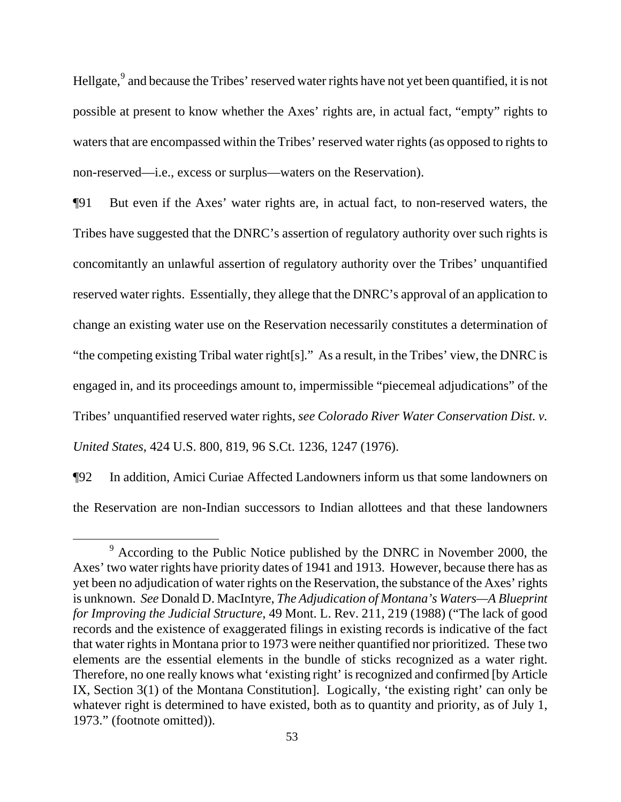Hellgate,<sup>[9](#page-52-0)</sup> and because the Tribes' reserved water rights have not yet been quantified, it is not possible at present to know whether the Axes' rights are, in actual fact, "empty" rights to waters that are encompassed within the Tribes' reserved water rights (as opposed to rights to non-reserved—i.e., excess or surplus—waters on the Reservation).

¶91 But even if the Axes' water rights are, in actual fact, to non-reserved waters, the Tribes have suggested that the DNRC's assertion of regulatory authority over such rights is concomitantly an unlawful assertion of regulatory authority over the Tribes' unquantified reserved water rights. Essentially, they allege that the DNRC's approval of an application to change an existing water use on the Reservation necessarily constitutes a determination of "the competing existing Tribal water right[s]." As a result, in the Tribes' view, the DNRC is engaged in, and its proceedings amount to, impermissible "piecemeal adjudications" of the Tribes' unquantified reserved water rights, *see Colorado River Water Conservation Dist. v. United States*, 424 U.S. 800, 819, 96 S.Ct. 1236, 1247 (1976).

¶92 In addition, Amici Curiae Affected Landowners inform us that some landowners on the Reservation are non-Indian successors to Indian allottees and that these landowners

<span id="page-52-0"></span><sup>&</sup>lt;sup>9</sup> According to the Public Notice published by the DNRC in November 2000, the Axes' two water rights have priority dates of 1941 and 1913. However, because there has as yet been no adjudication of water rights on the Reservation, the substance of the Axes' rights is unknown. *See* Donald D. MacIntyre, *The Adjudication of Montana's Waters—A Blueprint for Improving the Judicial Structure*, 49 Mont. L. Rev. 211, 219 (1988) ("The lack of good records and the existence of exaggerated filings in existing records is indicative of the fact that water rights in Montana prior to 1973 were neither quantified nor prioritized. These two elements are the essential elements in the bundle of sticks recognized as a water right. Therefore, no one really knows what 'existing right' is recognized and confirmed [by Article IX, Section 3(1) of the Montana Constitution]. Logically, 'the existing right' can only be whatever right is determined to have existed, both as to quantity and priority, as of July 1, 1973." (footnote omitted)).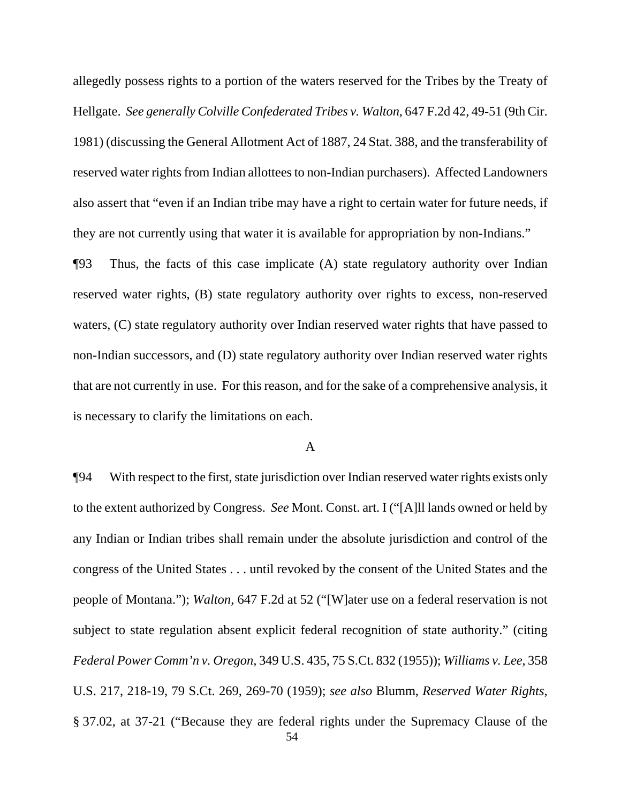allegedly possess rights to a portion of the waters reserved for the Tribes by the Treaty of Hellgate. *See generally Colville Confederated Tribes v. Walton*, 647 F.2d 42, 49-51 (9th Cir. 1981) (discussing the General Allotment Act of 1887, 24 Stat. 388, and the transferability of reserved water rights from Indian allottees to non-Indian purchasers). Affected Landowners also assert that "even if an Indian tribe may have a right to certain water for future needs, if they are not currently using that water it is available for appropriation by non-Indians."

¶93 Thus, the facts of this case implicate (A) state regulatory authority over Indian reserved water rights, (B) state regulatory authority over rights to excess, non-reserved waters, (C) state regulatory authority over Indian reserved water rights that have passed to non-Indian successors, and (D) state regulatory authority over Indian reserved water rights that are not currently in use. For this reason, and for the sake of a comprehensive analysis, it is necessary to clarify the limitations on each.

## A

 54 ¶94 With respect to the first, state jurisdiction over Indian reserved water rights exists only to the extent authorized by Congress. *See* Mont. Const. art. I ("[A]ll lands owned or held by any Indian or Indian tribes shall remain under the absolute jurisdiction and control of the congress of the United States . . . until revoked by the consent of the United States and the people of Montana."); *Walton*, 647 F.2d at 52 ("[W]ater use on a federal reservation is not subject to state regulation absent explicit federal recognition of state authority." (citing *Federal Power Comm'n v. Oregon*, 349 U.S. 435, 75 S.Ct. 832 (1955)); *Williams v. Lee*, 358 U.S. 217, 218-19, 79 S.Ct. 269, 269-70 (1959); *see also* Blumm, *Reserved Water Rights*, § 37.02, at 37-21 ("Because they are federal rights under the Supremacy Clause of the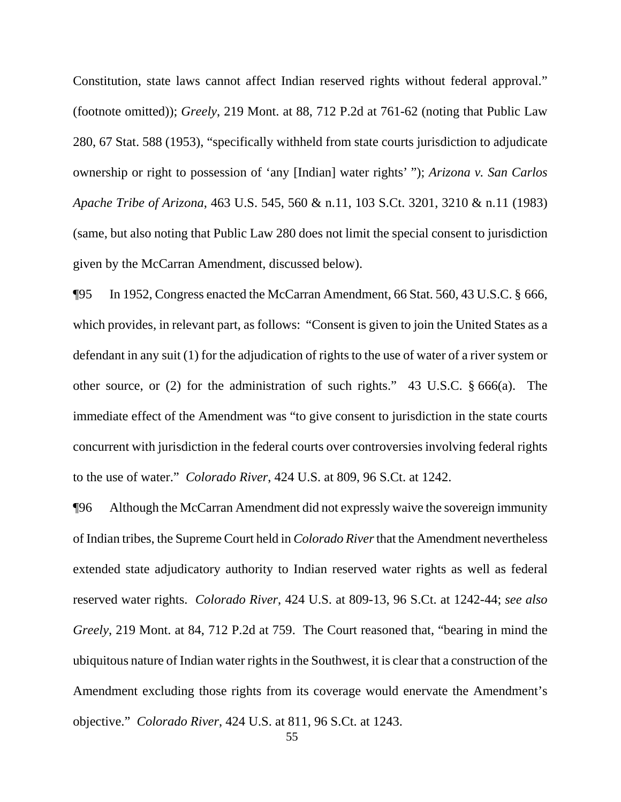Constitution, state laws cannot affect Indian reserved rights without federal approval." (footnote omitted)); *Greely*, 219 Mont. at 88, 712 P.2d at 761-62 (noting that Public Law 280, 67 Stat. 588 (1953), "specifically withheld from state courts jurisdiction to adjudicate ownership or right to possession of 'any [Indian] water rights' "); *Arizona v. San Carlos Apache Tribe of Arizona*, 463 U.S. 545, 560 & n.11, 103 S.Ct. 3201, 3210 & n.11 (1983) (same, but also noting that Public Law 280 does not limit the special consent to jurisdiction given by the McCarran Amendment, discussed below).

¶95 In 1952, Congress enacted the McCarran Amendment, 66 Stat. 560, 43 U.S.C. § 666, which provides, in relevant part, as follows: "Consent is given to join the United States as a defendant in any suit (1) for the adjudication of rights to the use of water of a river system or other source, or (2) for the administration of such rights." 43 U.S.C. § 666(a). The immediate effect of the Amendment was "to give consent to jurisdiction in the state courts concurrent with jurisdiction in the federal courts over controversies involving federal rights to the use of water." *Colorado River*, 424 U.S. at 809, 96 S.Ct. at 1242.

¶96 Although the McCarran Amendment did not expressly waive the sovereign immunity of Indian tribes, the Supreme Court held in *Colorado River* that the Amendment nevertheless extended state adjudicatory authority to Indian reserved water rights as well as federal reserved water rights. *Colorado River*, 424 U.S. at 809-13, 96 S.Ct. at 1242-44; *see also Greely*, 219 Mont. at 84, 712 P.2d at 759. The Court reasoned that, "bearing in mind the ubiquitous nature of Indian water rights in the Southwest, it is clear that a construction of the Amendment excluding those rights from its coverage would enervate the Amendment's objective." *Colorado River*, 424 U.S. at 811, 96 S.Ct. at 1243.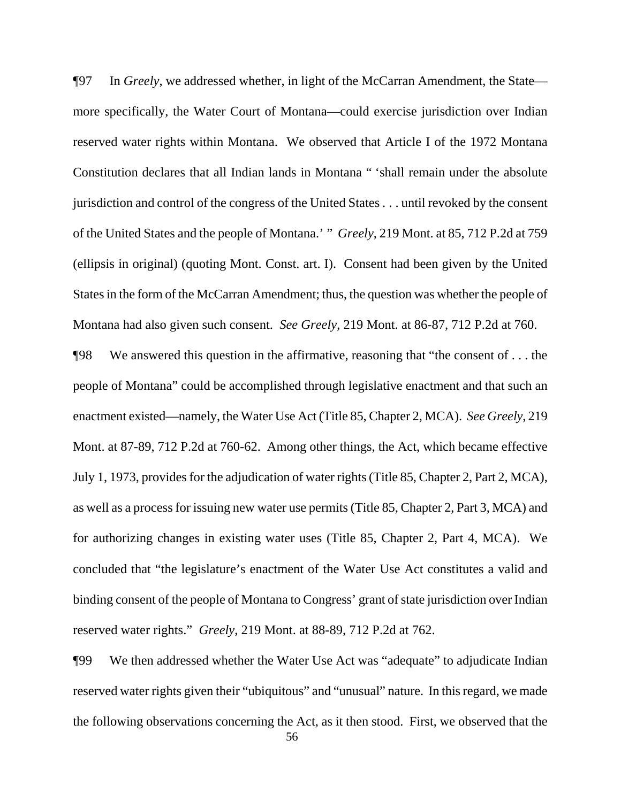¶97 In *Greely*, we addressed whether, in light of the McCarran Amendment, the State more specifically, the Water Court of Montana—could exercise jurisdiction over Indian reserved water rights within Montana. We observed that Article I of the 1972 Montana Constitution declares that all Indian lands in Montana " 'shall remain under the absolute jurisdiction and control of the congress of the United States . . . until revoked by the consent of the United States and the people of Montana.' " *Greely*, 219 Mont. at 85, 712 P.2d at 759 (ellipsis in original) (quoting Mont. Const. art. I). Consent had been given by the United States in the form of the McCarran Amendment; thus, the question was whether the people of Montana had also given such consent. *See Greely*, 219 Mont. at 86-87, 712 P.2d at 760.

¶98 We answered this question in the affirmative, reasoning that "the consent of . . . the people of Montana" could be accomplished through legislative enactment and that such an enactment existed—namely, the Water Use Act (Title 85, Chapter 2, MCA). *See Greely*, 219 Mont. at 87-89, 712 P.2d at 760-62. Among other things, the Act, which became effective July 1, 1973, provides for the adjudication of water rights (Title 85, Chapter 2, Part 2, MCA), as well as a process for issuing new water use permits (Title 85, Chapter 2, Part 3, MCA) and for authorizing changes in existing water uses (Title 85, Chapter 2, Part 4, MCA). We concluded that "the legislature's enactment of the Water Use Act constitutes a valid and binding consent of the people of Montana to Congress' grant of state jurisdiction over Indian reserved water rights." *Greely*, 219 Mont. at 88-89, 712 P.2d at 762.

¶99 We then addressed whether the Water Use Act was "adequate" to adjudicate Indian reserved water rights given their "ubiquitous" and "unusual" nature. In this regard, we made the following observations concerning the Act, as it then stood. First, we observed that the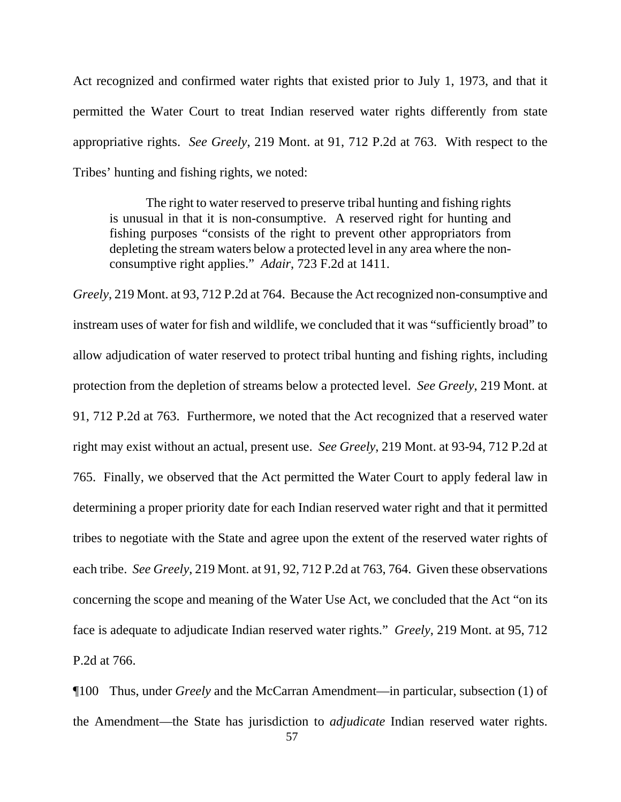Act recognized and confirmed water rights that existed prior to July 1, 1973, and that it permitted the Water Court to treat Indian reserved water rights differently from state appropriative rights. *See Greely*, 219 Mont. at 91, 712 P.2d at 763. With respect to the Tribes' hunting and fishing rights, we noted:

The right to water reserved to preserve tribal hunting and fishing rights is unusual in that it is non-consumptive. A reserved right for hunting and fishing purposes "consists of the right to prevent other appropriators from depleting the stream waters below a protected level in any area where the nonconsumptive right applies." *Adair*, 723 F.2d at 1411.

*Greely*, 219 Mont. at 93, 712 P.2d at 764. Because the Act recognized non-consumptive and instream uses of water for fish and wildlife, we concluded that it was "sufficiently broad" to allow adjudication of water reserved to protect tribal hunting and fishing rights, including protection from the depletion of streams below a protected level. *See Greely*, 219 Mont. at 91, 712 P.2d at 763. Furthermore, we noted that the Act recognized that a reserved water right may exist without an actual, present use. *See Greely*, 219 Mont. at 93-94, 712 P.2d at 765. Finally, we observed that the Act permitted the Water Court to apply federal law in determining a proper priority date for each Indian reserved water right and that it permitted tribes to negotiate with the State and agree upon the extent of the reserved water rights of each tribe. *See Greely*, 219 Mont. at 91, 92, 712 P.2d at 763, 764. Given these observations concerning the scope and meaning of the Water Use Act, we concluded that the Act "on its face is adequate to adjudicate Indian reserved water rights." *Greely*, 219 Mont. at 95, 712 P.2d at 766.

¶100 Thus, under *Greely* and the McCarran Amendment—in particular, subsection (1) of the Amendment—the State has jurisdiction to *adjudicate* Indian reserved water rights.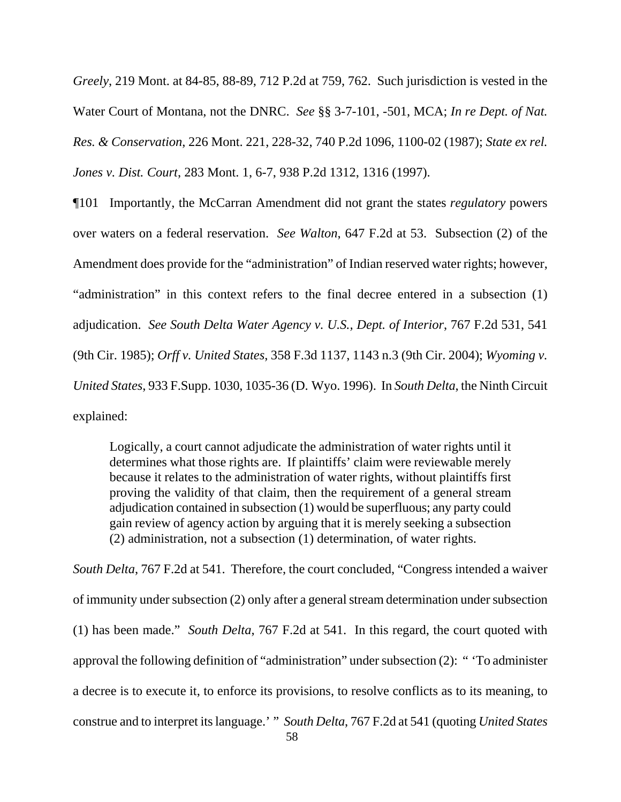*Greely*, 219 Mont. at 84-85, 88-89, 712 P.2d at 759, 762. Such jurisdiction is vested in the Water Court of Montana, not the DNRC. *See* §§ 3-7-101, -501, MCA; *In re Dept. of Nat. Res. & Conservation*, 226 Mont. 221, 228-32, 740 P.2d 1096, 1100-02 (1987); *State ex rel. Jones v. Dist. Court*, 283 Mont. 1, 6-7, 938 P.2d 1312, 1316 (1997).

¶101 Importantly, the McCarran Amendment did not grant the states *regulatory* powers over waters on a federal reservation. *See Walton*, 647 F.2d at 53. Subsection (2) of the Amendment does provide for the "administration" of Indian reserved water rights; however, "administration" in this context refers to the final decree entered in a subsection (1) adjudication. *See South Delta Water Agency v. U.S., Dept. of Interior*, 767 F.2d 531, 541 (9th Cir. 1985); *Orff v. United States*, 358 F.3d 1137, 1143 n.3 (9th Cir. 2004); *Wyoming v. United States*, 933 F.Supp. 1030, 1035-36 (D. Wyo. 1996). In *South Delta*, the Ninth Circuit explained:

Logically, a court cannot adjudicate the administration of water rights until it determines what those rights are. If plaintiffs' claim were reviewable merely because it relates to the administration of water rights, without plaintiffs first proving the validity of that claim, then the requirement of a general stream adjudication contained in subsection (1) would be superfluous; any party could gain review of agency action by arguing that it is merely seeking a subsection (2) administration, not a subsection (1) determination, of water rights.

*South Delta*, 767 F.2d at 541. Therefore, the court concluded, "Congress intended a waiver of immunity under subsection (2) only after a general stream determination under subsection (1) has been made." *South Delta*, 767 F.2d at 541. In this regard, the court quoted with approval the following definition of "administration" under subsection (2): " 'To administer a decree is to execute it, to enforce its provisions, to resolve conflicts as to its meaning, to construe and to interpret its language.' " *South Delta*, 767 F.2d at 541 (quoting *United States*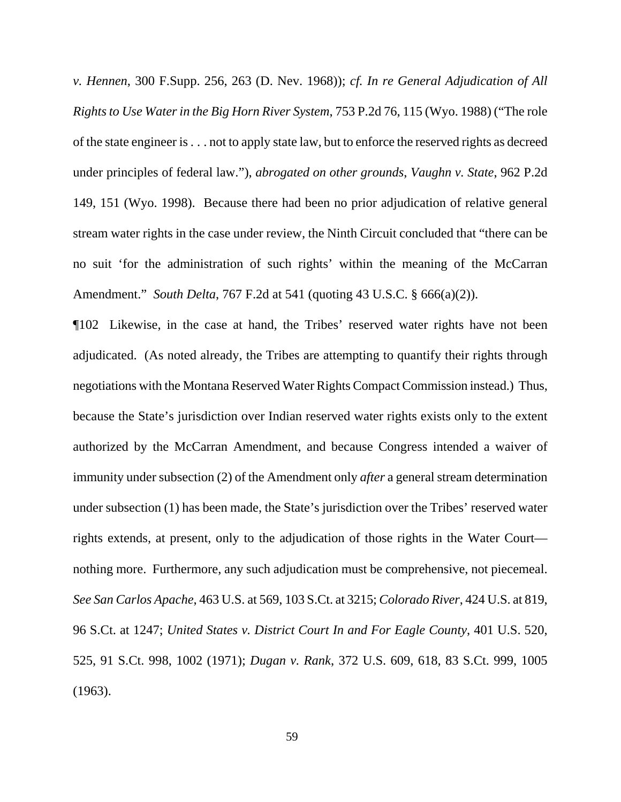*v. Hennen*, 300 F.Supp. 256, 263 (D. Nev. 1968)); *cf. In re General Adjudication of All Rights to Use Water in the Big Horn River System*, 753 P.2d 76, 115 (Wyo. 1988) ("The role of the state engineer is . . . not to apply state law, but to enforce the reserved rights as decreed under principles of federal law."), *abrogated on other grounds*, *Vaughn v. State*, 962 P.2d 149, 151 (Wyo. 1998). Because there had been no prior adjudication of relative general stream water rights in the case under review, the Ninth Circuit concluded that "there can be no suit 'for the administration of such rights' within the meaning of the McCarran Amendment." *South Delta*, 767 F.2d at 541 (quoting 43 U.S.C. § 666(a)(2)).

¶102 Likewise, in the case at hand, the Tribes' reserved water rights have not been adjudicated. (As noted already, the Tribes are attempting to quantify their rights through negotiations with the Montana Reserved Water Rights Compact Commission instead.) Thus, because the State's jurisdiction over Indian reserved water rights exists only to the extent authorized by the McCarran Amendment, and because Congress intended a waiver of immunity under subsection (2) of the Amendment only *after* a general stream determination under subsection (1) has been made, the State's jurisdiction over the Tribes' reserved water rights extends, at present, only to the adjudication of those rights in the Water Court nothing more. Furthermore, any such adjudication must be comprehensive, not piecemeal. *See San Carlos Apache*, 463 U.S. at 569, 103 S.Ct. at 3215; *Colorado River*, 424 U.S. at 819, 96 S.Ct. at 1247; *United States v. District Court In and For Eagle County*, 401 U.S. 520, 525, 91 S.Ct. 998, 1002 (1971); *Dugan v. Rank*, 372 U.S. 609, 618, 83 S.Ct. 999, 1005 (1963).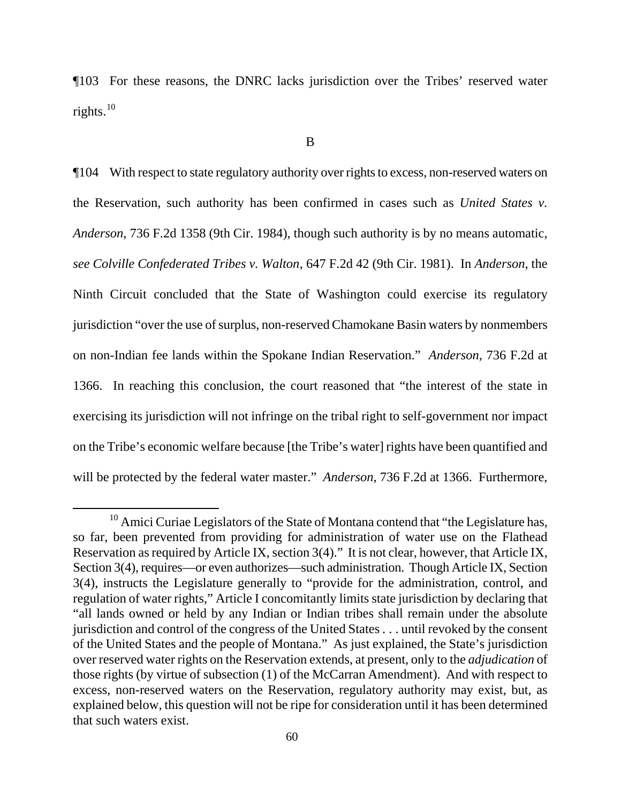¶103 For these reasons, the DNRC lacks jurisdiction over the Tribes' reserved water rights.<sup>[10](#page-59-0)</sup>

¶104 With respect to state regulatory authority over rights to excess, non-reserved waters on the Reservation, such authority has been confirmed in cases such as *United States v. Anderson*, 736 F.2d 1358 (9th Cir. 1984), though such authority is by no means automatic, *see Colville Confederated Tribes v. Walton*, 647 F.2d 42 (9th Cir. 1981). In *Anderson*, the Ninth Circuit concluded that the State of Washington could exercise its regulatory jurisdiction "over the use of surplus, non-reserved Chamokane Basin waters by nonmembers on non-Indian fee lands within the Spokane Indian Reservation." *Anderson*, 736 F.2d at 1366. In reaching this conclusion, the court reasoned that "the interest of the state in exercising its jurisdiction will not infringe on the tribal right to self-government nor impact on the Tribe's economic welfare because [the Tribe's water] rights have been quantified and will be protected by the federal water master." *Anderson*, 736 F.2d at 1366. Furthermore,

<span id="page-59-0"></span> $10$  Amici Curiae Legislators of the State of Montana contend that "the Legislature has, so far, been prevented from providing for administration of water use on the Flathead Reservation as required by Article IX, section 3(4)." It is not clear, however, that Article IX, Section 3(4), requires—or even authorizes—such administration. Though Article IX, Section 3(4), instructs the Legislature generally to "provide for the administration, control, and regulation of water rights," Article I concomitantly limits state jurisdiction by declaring that "all lands owned or held by any Indian or Indian tribes shall remain under the absolute jurisdiction and control of the congress of the United States . . . until revoked by the consent of the United States and the people of Montana." As just explained, the State's jurisdiction over reserved water rights on the Reservation extends, at present, only to the *adjudication* of those rights (by virtue of subsection (1) of the McCarran Amendment). And with respect to excess, non-reserved waters on the Reservation, regulatory authority may exist, but, as explained below, this question will not be ripe for consideration until it has been determined that such waters exist.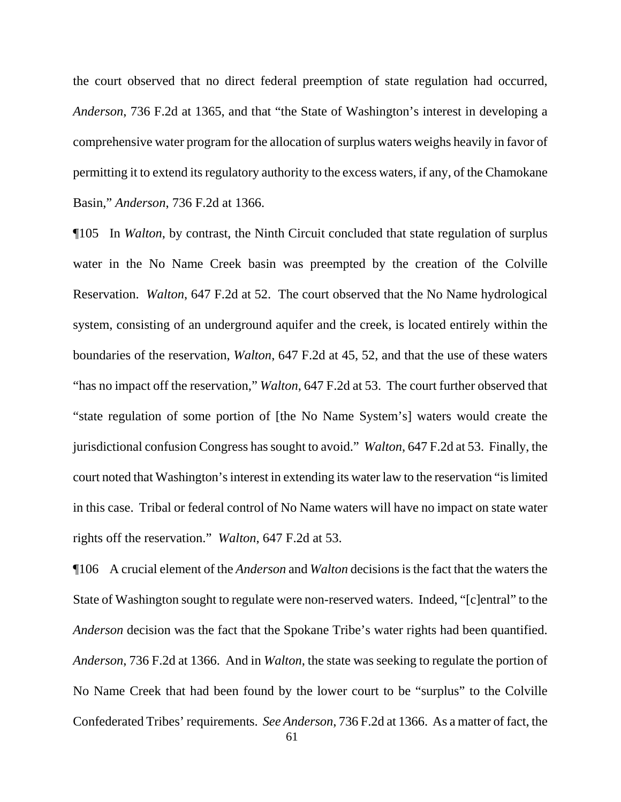the court observed that no direct federal preemption of state regulation had occurred, *Anderson*, 736 F.2d at 1365, and that "the State of Washington's interest in developing a comprehensive water program for the allocation of surplus waters weighs heavily in favor of permitting it to extend its regulatory authority to the excess waters, if any, of the Chamokane Basin," *Anderson*, 736 F.2d at 1366.

¶105 In *Walton*, by contrast, the Ninth Circuit concluded that state regulation of surplus water in the No Name Creek basin was preempted by the creation of the Colville Reservation. *Walton*, 647 F.2d at 52. The court observed that the No Name hydrological system, consisting of an underground aquifer and the creek, is located entirely within the boundaries of the reservation, *Walton*, 647 F.2d at 45, 52, and that the use of these waters "has no impact off the reservation," *Walton*, 647 F.2d at 53. The court further observed that "state regulation of some portion of [the No Name System's] waters would create the jurisdictional confusion Congress has sought to avoid." *Walton*, 647 F.2d at 53. Finally, the court noted that Washington's interest in extending its water law to the reservation "is limited in this case. Tribal or federal control of No Name waters will have no impact on state water rights off the reservation." *Walton*, 647 F.2d at 53.

¶106 A crucial element of the *Anderson* and *Walton* decisions is the fact that the waters the State of Washington sought to regulate were non-reserved waters. Indeed, "[c]entral" to the *Anderson* decision was the fact that the Spokane Tribe's water rights had been quantified. *Anderson*, 736 F.2d at 1366. And in *Walton*, the state was seeking to regulate the portion of No Name Creek that had been found by the lower court to be "surplus" to the Colville Confederated Tribes' requirements. *See Anderson*, 736 F.2d at 1366. As a matter of fact, the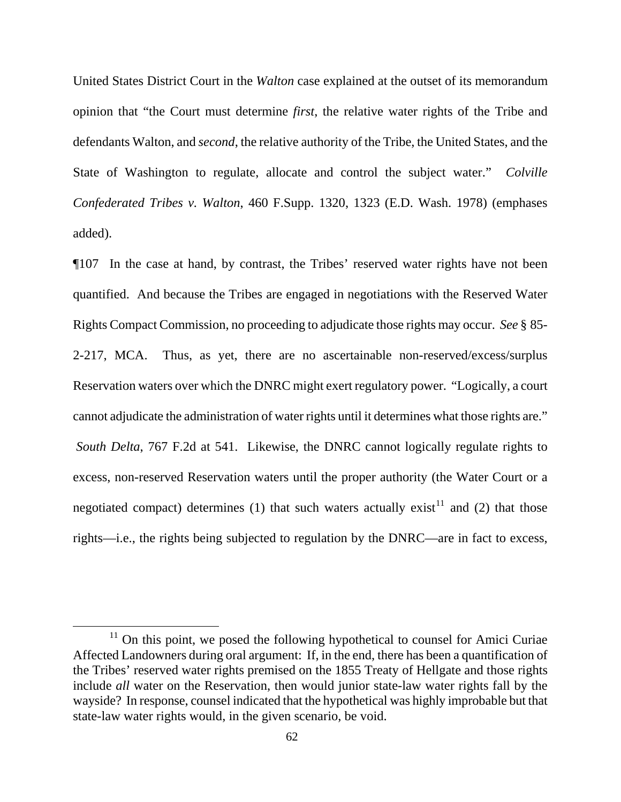United States District Court in the *Walton* case explained at the outset of its memorandum opinion that "the Court must determine *first*, the relative water rights of the Tribe and defendants Walton, and *second*, the relative authority of the Tribe, the United States, and the State of Washington to regulate, allocate and control the subject water." *Colville Confederated Tribes v. Walton*, 460 F.Supp. 1320, 1323 (E.D. Wash. 1978) (emphases added).

¶107 In the case at hand, by contrast, the Tribes' reserved water rights have not been quantified. And because the Tribes are engaged in negotiations with the Reserved Water Rights Compact Commission, no proceeding to adjudicate those rights may occur. *See* § 85- 2-217, MCA. Thus, as yet, there are no ascertainable non-reserved/excess/surplus Reservation waters over which the DNRC might exert regulatory power. "Logically, a court cannot adjudicate the administration of water rights until it determines what those rights are." *South Delta*, 767 F.2d at 541. Likewise, the DNRC cannot logically regulate rights to excess, non-reserved Reservation waters until the proper authority (the Water Court or a negotiated compact) determines (1) that such waters actually exist<sup>[11](#page-61-0)</sup> and (2) that those rights—i.e., the rights being subjected to regulation by the DNRC—are in fact to excess,

<span id="page-61-0"></span> $11$  On this point, we posed the following hypothetical to counsel for Amici Curiae Affected Landowners during oral argument: If, in the end, there has been a quantification of the Tribes' reserved water rights premised on the 1855 Treaty of Hellgate and those rights include *all* water on the Reservation, then would junior state-law water rights fall by the wayside? In response, counsel indicated that the hypothetical was highly improbable but that state-law water rights would, in the given scenario, be void.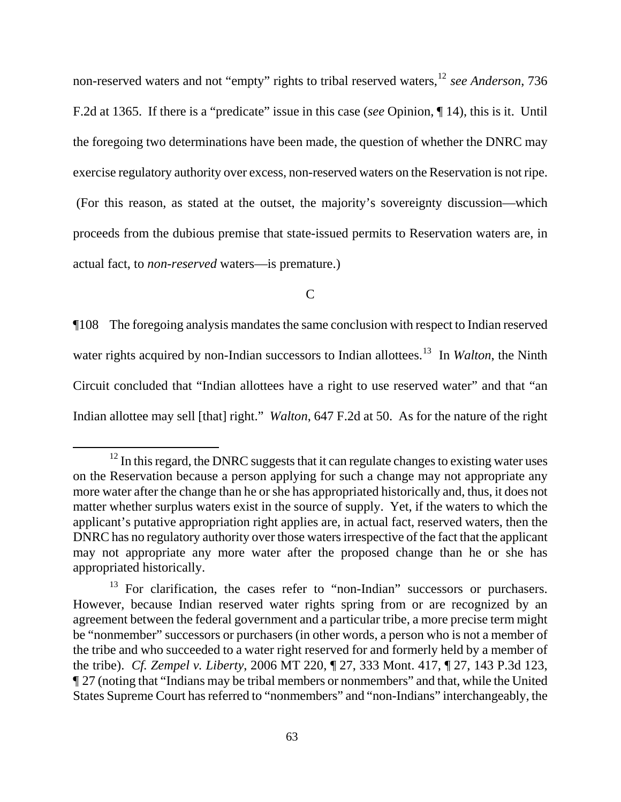non-reserved waters and not "empty" rights to tribal reserved waters,[12](#page-62-0) *see Anderson*, 736 F.2d at 1365. If there is a "predicate" issue in this case (*see* Opinion, ¶ 14), this is it. Until the foregoing two determinations have been made, the question of whether the DNRC may exercise regulatory authority over excess, non-reserved waters on the Reservation is not ripe. (For this reason, as stated at the outset, the majority's sovereignty discussion—which proceeds from the dubious premise that state-issued permits to Reservation waters are, in actual fact, to *non-reserved* waters—is premature.)

 $\mathsf{C}$ 

¶108 The foregoing analysis mandates the same conclusion with respect to Indian reserved water rights acquired by non-Indian successors to Indian allottees.<sup>[13](#page-62-1)</sup> In *Walton*, the Ninth Circuit concluded that "Indian allottees have a right to use reserved water" and that "an Indian allottee may sell [that] right." *Walton*, 647 F.2d at 50. As for the nature of the right

<span id="page-62-0"></span> $12$  In this regard, the DNRC suggests that it can regulate changes to existing water uses on the Reservation because a person applying for such a change may not appropriate any more water after the change than he or she has appropriated historically and, thus, it does not matter whether surplus waters exist in the source of supply. Yet, if the waters to which the applicant's putative appropriation right applies are, in actual fact, reserved waters, then the DNRC has no regulatory authority over those waters irrespective of the fact that the applicant may not appropriate any more water after the proposed change than he or she has appropriated historically.

<span id="page-62-1"></span><sup>&</sup>lt;sup>13</sup> For clarification, the cases refer to "non-Indian" successors or purchasers. However, because Indian reserved water rights spring from or are recognized by an agreement between the federal government and a particular tribe, a more precise term might be "nonmember" successors or purchasers (in other words, a person who is not a member of the tribe and who succeeded to a water right reserved for and formerly held by a member of the tribe). *Cf. Zempel v. Liberty*, 2006 MT 220, ¶ 27, 333 Mont. 417, ¶ 27, 143 P.3d 123, ¶ 27 (noting that "Indians may be tribal members or nonmembers" and that, while the United States Supreme Court has referred to "nonmembers" and "non-Indians" interchangeably, the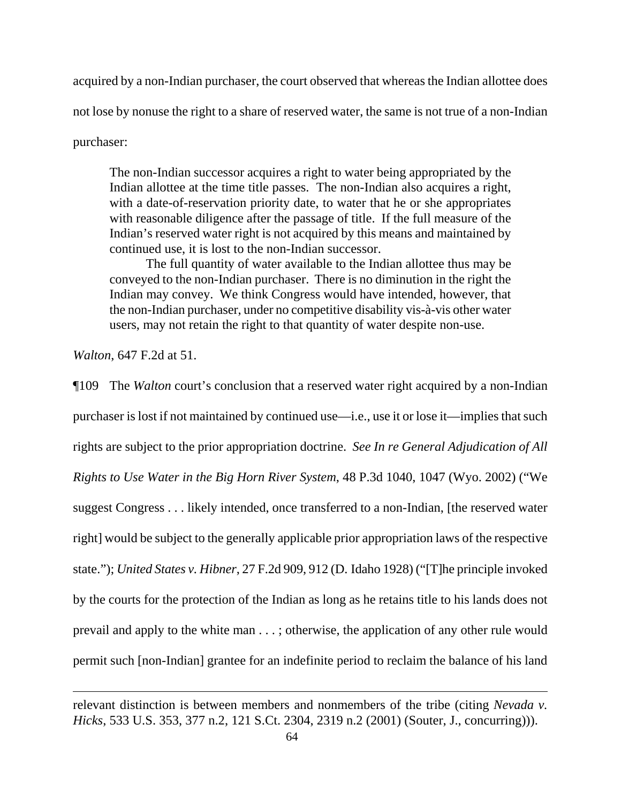acquired by a non-Indian purchaser, the court observed that whereas the Indian allottee does not lose by nonuse the right to a share of reserved water, the same is not true of a non-Indian purchaser:

The non-Indian successor acquires a right to water being appropriated by the Indian allottee at the time title passes. The non-Indian also acquires a right, with a date-of-reservation priority date, to water that he or she appropriates with reasonable diligence after the passage of title. If the full measure of the Indian's reserved water right is not acquired by this means and maintained by continued use, it is lost to the non-Indian successor.

The full quantity of water available to the Indian allottee thus may be conveyed to the non-Indian purchaser. There is no diminution in the right the Indian may convey. We think Congress would have intended, however, that the non-Indian purchaser, under no competitive disability vis-à-vis other water users, may not retain the right to that quantity of water despite non-use.

*Walton*, 647 F.2d at 51.

 $\overline{a}$ 

¶109 The *Walton* court's conclusion that a reserved water right acquired by a non-Indian purchaser is lost if not maintained by continued use—i.e., use it or lose it—implies that such rights are subject to the prior appropriation doctrine. *See In re General Adjudication of All Rights to Use Water in the Big Horn River System*, 48 P.3d 1040, 1047 (Wyo. 2002) ("We suggest Congress . . . likely intended, once transferred to a non-Indian, [the reserved water right] would be subject to the generally applicable prior appropriation laws of the respective state."); *United States v. Hibner*, 27 F.2d 909, 912 (D. Idaho 1928) ("[T]he principle invoked by the courts for the protection of the Indian as long as he retains title to his lands does not prevail and apply to the white man . . . ; otherwise, the application of any other rule would permit such [non-Indian] grantee for an indefinite period to reclaim the balance of his land

relevant distinction is between members and nonmembers of the tribe (citing *Nevada v. Hicks*, 533 U.S. 353, 377 n.2, 121 S.Ct. 2304, 2319 n.2 (2001) (Souter, J., concurring))).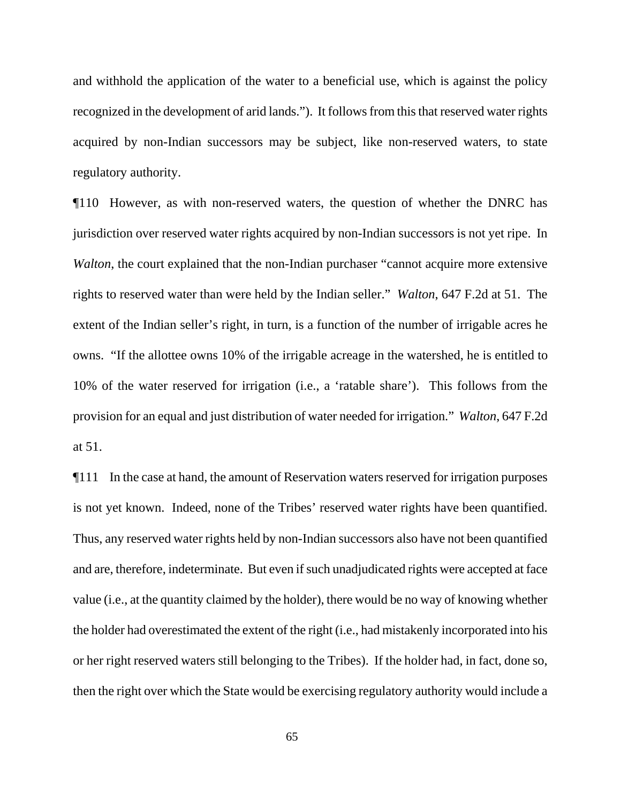and withhold the application of the water to a beneficial use, which is against the policy recognized in the development of arid lands."). It follows from this that reserved water rights acquired by non-Indian successors may be subject, like non-reserved waters, to state regulatory authority.

¶110 However, as with non-reserved waters, the question of whether the DNRC has jurisdiction over reserved water rights acquired by non-Indian successors is not yet ripe. In *Walton*, the court explained that the non-Indian purchaser "cannot acquire more extensive rights to reserved water than were held by the Indian seller." *Walton*, 647 F.2d at 51. The extent of the Indian seller's right, in turn, is a function of the number of irrigable acres he owns. "If the allottee owns 10% of the irrigable acreage in the watershed, he is entitled to 10% of the water reserved for irrigation (i.e., a 'ratable share'). This follows from the provision for an equal and just distribution of water needed for irrigation." *Walton*, 647 F.2d at 51.

¶111 In the case at hand, the amount of Reservation waters reserved for irrigation purposes is not yet known. Indeed, none of the Tribes' reserved water rights have been quantified. Thus, any reserved water rights held by non-Indian successors also have not been quantified and are, therefore, indeterminate. But even if such unadjudicated rights were accepted at face value (i.e., at the quantity claimed by the holder), there would be no way of knowing whether the holder had overestimated the extent of the right (i.e., had mistakenly incorporated into his or her right reserved waters still belonging to the Tribes). If the holder had, in fact, done so, then the right over which the State would be exercising regulatory authority would include a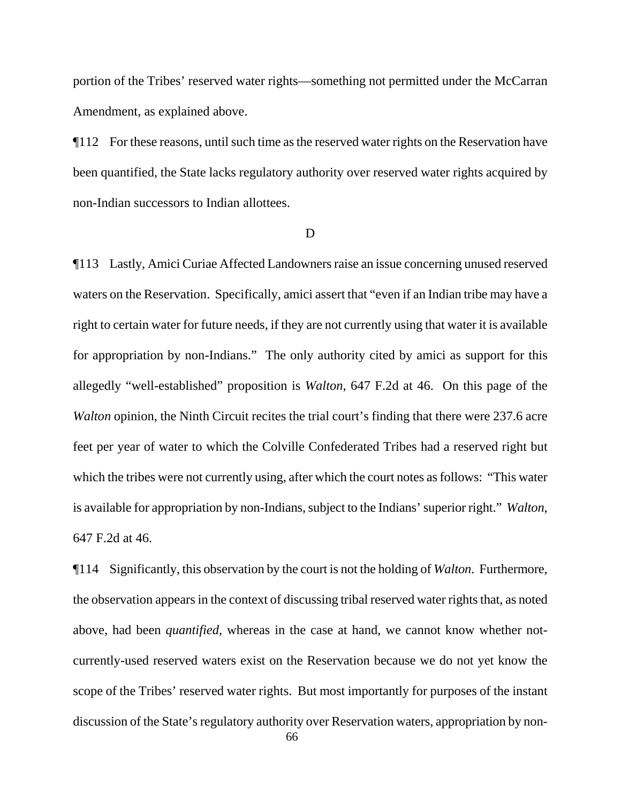portion of the Tribes' reserved water rights—something not permitted under the McCarran Amendment, as explained above.

¶112 For these reasons, until such time as the reserved water rights on the Reservation have been quantified, the State lacks regulatory authority over reserved water rights acquired by non-Indian successors to Indian allottees.

#### D

¶113 Lastly, Amici Curiae Affected Landowners raise an issue concerning unused reserved waters on the Reservation. Specifically, amici assert that "even if an Indian tribe may have a right to certain water for future needs, if they are not currently using that water it is available for appropriation by non-Indians." The only authority cited by amici as support for this allegedly "well-established" proposition is *Walton*, 647 F.2d at 46. On this page of the *Walton* opinion, the Ninth Circuit recites the trial court's finding that there were 237.6 acre feet per year of water to which the Colville Confederated Tribes had a reserved right but which the tribes were not currently using, after which the court notes as follows: "This water is available for appropriation by non-Indians, subject to the Indians' superior right." *Walton*, 647 F.2d at 46.

¶114 Significantly, this observation by the court is not the holding of *Walton*. Furthermore, the observation appears in the context of discussing tribal reserved water rights that, as noted above, had been *quantified*, whereas in the case at hand, we cannot know whether notcurrently-used reserved waters exist on the Reservation because we do not yet know the scope of the Tribes' reserved water rights. But most importantly for purposes of the instant discussion of the State's regulatory authority over Reservation waters, appropriation by non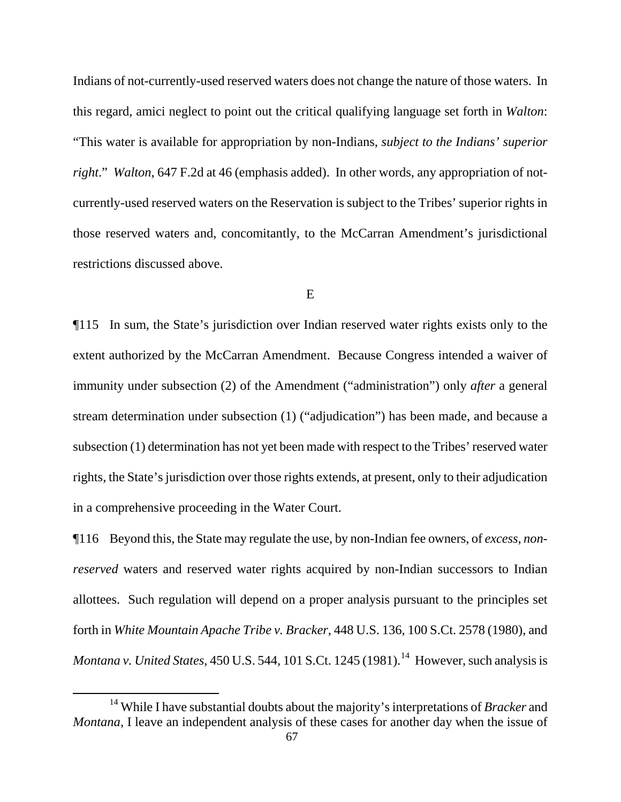Indians of not-currently-used reserved waters does not change the nature of those waters. In this regard, amici neglect to point out the critical qualifying language set forth in *Walton*: "This water is available for appropriation by non-Indians, *subject to the Indians' superior right*." *Walton*, 647 F.2d at 46 (emphasis added). In other words, any appropriation of notcurrently-used reserved waters on the Reservation is subject to the Tribes' superior rights in those reserved waters and, concomitantly, to the McCarran Amendment's jurisdictional restrictions discussed above.

#### E

¶115 In sum, the State's jurisdiction over Indian reserved water rights exists only to the extent authorized by the McCarran Amendment. Because Congress intended a waiver of immunity under subsection (2) of the Amendment ("administration") only *after* a general stream determination under subsection (1) ("adjudication") has been made, and because a subsection (1) determination has not yet been made with respect to the Tribes' reserved water rights, the State's jurisdiction over those rights extends, at present, only to their adjudication in a comprehensive proceeding in the Water Court.

¶116 Beyond this, the State may regulate the use, by non-Indian fee owners, of *excess, nonreserved* waters and reserved water rights acquired by non-Indian successors to Indian allottees. Such regulation will depend on a proper analysis pursuant to the principles set forth in *White Mountain Apache Tribe v. Bracker*, 448 U.S. 136, 100 S.Ct. 2578 (1980), and *Montana v. United States*, 450 U.S. 544, 101 S.Ct. 1245 (1981).<sup>[14](#page-66-0)</sup> However, such analysis is

<span id="page-66-0"></span><sup>14</sup> While I have substantial doubts about the majority's interpretations of *Bracker* and *Montana*, I leave an independent analysis of these cases for another day when the issue of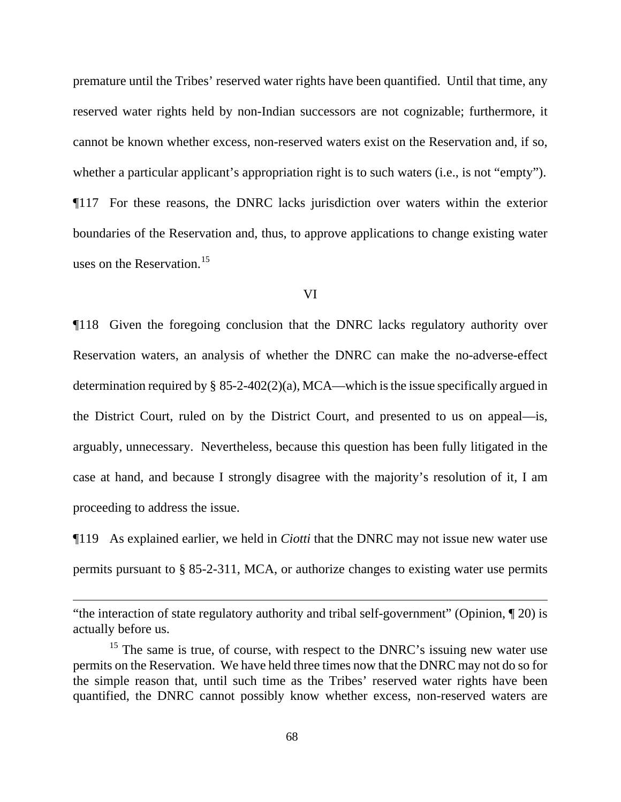premature until the Tribes' reserved water rights have been quantified. Until that time, any reserved water rights held by non-Indian successors are not cognizable; furthermore, it cannot be known whether excess, non-reserved waters exist on the Reservation and, if so, whether a particular applicant's appropriation right is to such waters (i.e., is not "empty"). ¶117 For these reasons, the DNRC lacks jurisdiction over waters within the exterior boundaries of the Reservation and, thus, to approve applications to change existing water uses on the Reservation.<sup>[15](#page-67-0)</sup>

#### VI

¶118 Given the foregoing conclusion that the DNRC lacks regulatory authority over Reservation waters, an analysis of whether the DNRC can make the no-adverse-effect determination required by  $\S$  85-2-402(2)(a), MCA—which is the issue specifically argued in the District Court, ruled on by the District Court, and presented to us on appeal—is, arguably, unnecessary. Nevertheless, because this question has been fully litigated in the case at hand, and because I strongly disagree with the majority's resolution of it, I am proceeding to address the issue.

¶119 As explained earlier, we held in *Ciotti* that the DNRC may not issue new water use permits pursuant to § 85-2-311, MCA, or authorize changes to existing water use permits

<sup>&</sup>quot;the interaction of state regulatory authority and tribal self-government" (Opinion, ¶ 20) is actually before us.

<span id="page-67-0"></span> $15$  The same is true, of course, with respect to the DNRC's issuing new water use permits on the Reservation. We have held three times now that the DNRC may not do so for the simple reason that, until such time as the Tribes' reserved water rights have been quantified, the DNRC cannot possibly know whether excess, non-reserved waters are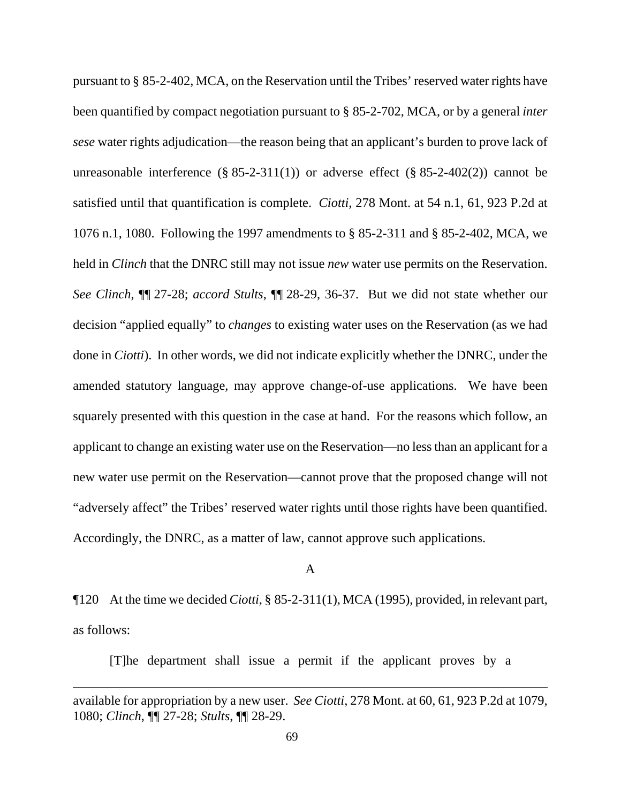pursuant to § 85-2-402, MCA, on the Reservation until the Tribes' reserved water rights have been quantified by compact negotiation pursuant to § 85-2-702, MCA, or by a general *inter sese* water rights adjudication—the reason being that an applicant's burden to prove lack of unreasonable interference  $(\S 85-2-311(1))$  or adverse effect  $(\S 85-2-402(2))$  cannot be satisfied until that quantification is complete. *Ciotti*, 278 Mont. at 54 n.1, 61, 923 P.2d at 1076 n.1, 1080. Following the 1997 amendments to § 85-2-311 and § 85-2-402, MCA, we held in *Clinch* that the DNRC still may not issue *new* water use permits on the Reservation. *See Clinch*, ¶¶ 27-28; *accord Stults*, ¶¶ 28-29, 36-37. But we did not state whether our decision "applied equally" to *changes* to existing water uses on the Reservation (as we had done in *Ciotti*). In other words, we did not indicate explicitly whether the DNRC, under the amended statutory language, may approve change-of-use applications. We have been squarely presented with this question in the case at hand. For the reasons which follow, an applicant to change an existing water use on the Reservation—no less than an applicant for a new water use permit on the Reservation—cannot prove that the proposed change will not "adversely affect" the Tribes' reserved water rights until those rights have been quantified. Accordingly, the DNRC, as a matter of law, cannot approve such applications.

## A

¶120 At the time we decided *Ciotti*, § 85-2-311(1), MCA (1995), provided, in relevant part, as follows:

[T]he department shall issue a permit if the applicant proves by a

available for appropriation by a new user. *See Ciotti*, 278 Mont. at 60, 61, 923 P.2d at 1079, 1080; *Clinch*, ¶¶ 27-28; *Stults*, ¶¶ 28-29.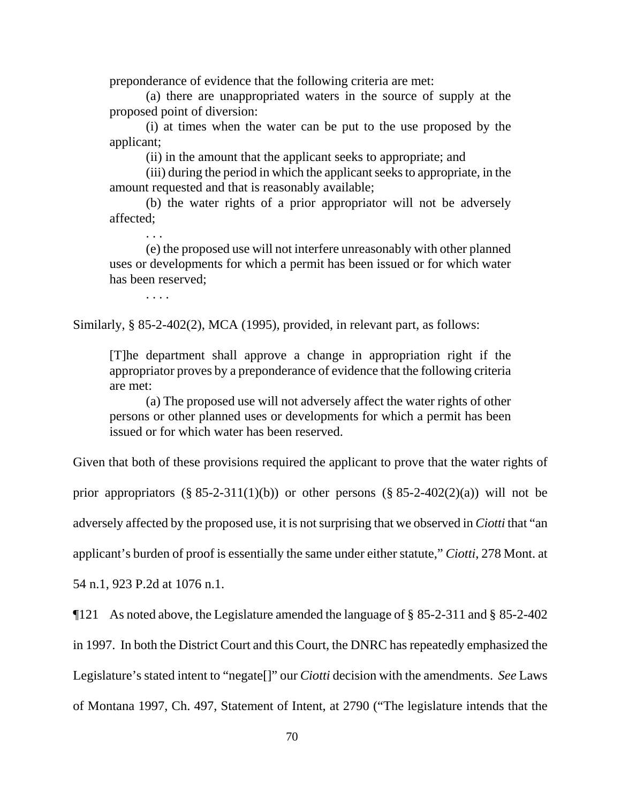preponderance of evidence that the following criteria are met:

(a) there are unappropriated waters in the source of supply at the proposed point of diversion:

(i) at times when the water can be put to the use proposed by the applicant;

(ii) in the amount that the applicant seeks to appropriate; and

(iii) during the period in which the applicant seeks to appropriate, in the amount requested and that is reasonably available;

(b) the water rights of a prior appropriator will not be adversely affected;

(e) the proposed use will not interfere unreasonably with other planned uses or developments for which a permit has been issued or for which water has been reserved;

. . . .

. . .

Similarly, § 85-2-402(2), MCA (1995), provided, in relevant part, as follows:

[T]he department shall approve a change in appropriation right if the appropriator proves by a preponderance of evidence that the following criteria are met:

(a) The proposed use will not adversely affect the water rights of other persons or other planned uses or developments for which a permit has been issued or for which water has been reserved.

Given that both of these provisions required the applicant to prove that the water rights of prior appropriators  $(\S$  85-2-311(1)(b)) or other persons  $(\S$  85-2-402(2)(a)) will not be adversely affected by the proposed use, it is not surprising that we observed in *Ciotti* that "an applicant's burden of proof is essentially the same under either statute," *Ciotti*, 278 Mont. at

54 n.1, 923 P.2d at 1076 n.1.

¶121 As noted above, the Legislature amended the language of § 85-2-311 and § 85-2-402 in 1997. In both the District Court and this Court, the DNRC has repeatedly emphasized the Legislature's stated intent to "negate[]" our *Ciotti* decision with the amendments. *See* Laws of Montana 1997, Ch. 497, Statement of Intent, at 2790 ("The legislature intends that the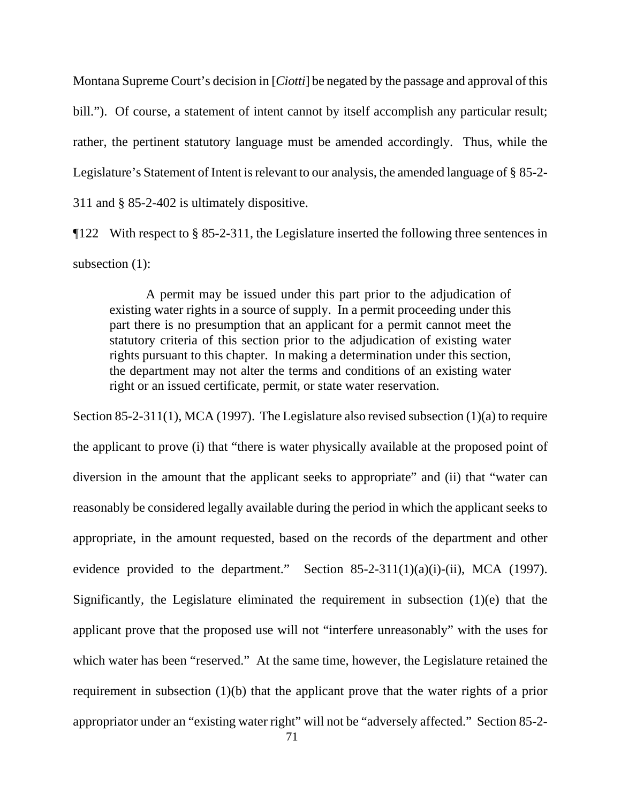Montana Supreme Court's decision in [*Ciotti*] be negated by the passage and approval of this bill."). Of course, a statement of intent cannot by itself accomplish any particular result; rather, the pertinent statutory language must be amended accordingly. Thus, while the Legislature's Statement of Intent is relevant to our analysis, the amended language of § 85-2- 311 and § 85-2-402 is ultimately dispositive.

¶122 With respect to § 85-2-311, the Legislature inserted the following three sentences in subsection (1):

A permit may be issued under this part prior to the adjudication of existing water rights in a source of supply. In a permit proceeding under this part there is no presumption that an applicant for a permit cannot meet the statutory criteria of this section prior to the adjudication of existing water rights pursuant to this chapter. In making a determination under this section, the department may not alter the terms and conditions of an existing water right or an issued certificate, permit, or state water reservation.

Section 85-2-311(1), MCA (1997). The Legislature also revised subsection (1)(a) to require the applicant to prove (i) that "there is water physically available at the proposed point of diversion in the amount that the applicant seeks to appropriate" and (ii) that "water can reasonably be considered legally available during the period in which the applicant seeks to appropriate, in the amount requested, based on the records of the department and other evidence provided to the department." Section  $85-2-311(1)(a)(i)-(ii)$ , MCA (1997). Significantly, the Legislature eliminated the requirement in subsection (1)(e) that the applicant prove that the proposed use will not "interfere unreasonably" with the uses for which water has been "reserved." At the same time, however, the Legislature retained the requirement in subsection (1)(b) that the applicant prove that the water rights of a prior appropriator under an "existing water right" will not be "adversely affected." Section 85-2-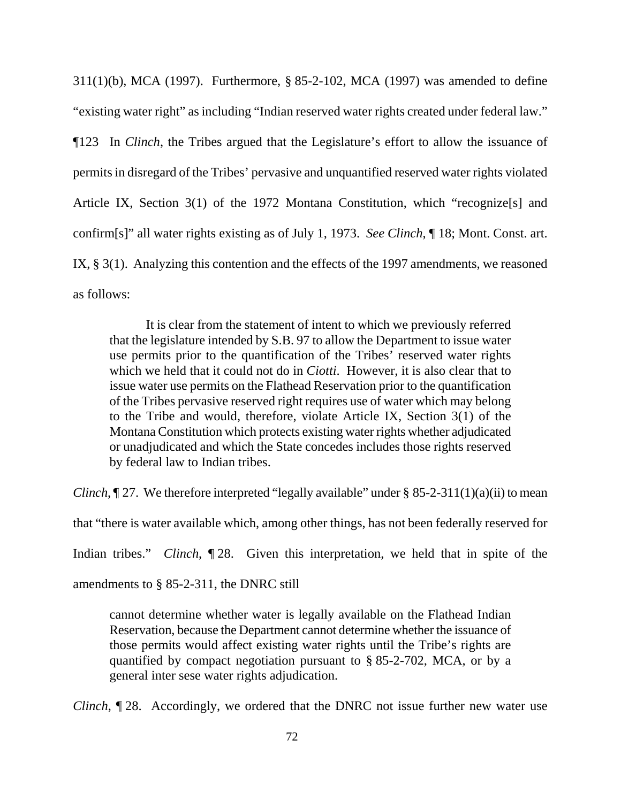311(1)(b), MCA (1997). Furthermore, § 85-2-102, MCA (1997) was amended to define "existing water right" as including "Indian reserved water rights created under federal law." ¶123 In *Clinch*, the Tribes argued that the Legislature's effort to allow the issuance of permits in disregard of the Tribes' pervasive and unquantified reserved water rights violated Article IX, Section 3(1) of the 1972 Montana Constitution, which "recognize[s] and confirm[s]" all water rights existing as of July 1, 1973. *See Clinch*, ¶ 18; Mont. Const. art. IX, § 3(1). Analyzing this contention and the effects of the 1997 amendments, we reasoned as follows:

It is clear from the statement of intent to which we previously referred that the legislature intended by S.B. 97 to allow the Department to issue water use permits prior to the quantification of the Tribes' reserved water rights which we held that it could not do in *Ciotti*. However, it is also clear that to issue water use permits on the Flathead Reservation prior to the quantification of the Tribes pervasive reserved right requires use of water which may belong to the Tribe and would, therefore, violate Article IX, Section 3(1) of the Montana Constitution which protects existing water rights whether adjudicated or unadjudicated and which the State concedes includes those rights reserved by federal law to Indian tribes.

*Clinch*,  $\P$  27. We therefore interpreted "legally available" under § 85-2-311(1)(a)(ii) to mean

that "there is water available which, among other things, has not been federally reserved for

Indian tribes." *Clinch*, ¶ 28. Given this interpretation, we held that in spite of the

amendments to § 85-2-311, the DNRC still

cannot determine whether water is legally available on the Flathead Indian Reservation, because the Department cannot determine whether the issuance of those permits would affect existing water rights until the Tribe's rights are quantified by compact negotiation pursuant to § 85-2-702, MCA, or by a general inter sese water rights adjudication.

*Clinch*, 128. Accordingly, we ordered that the DNRC not issue further new water use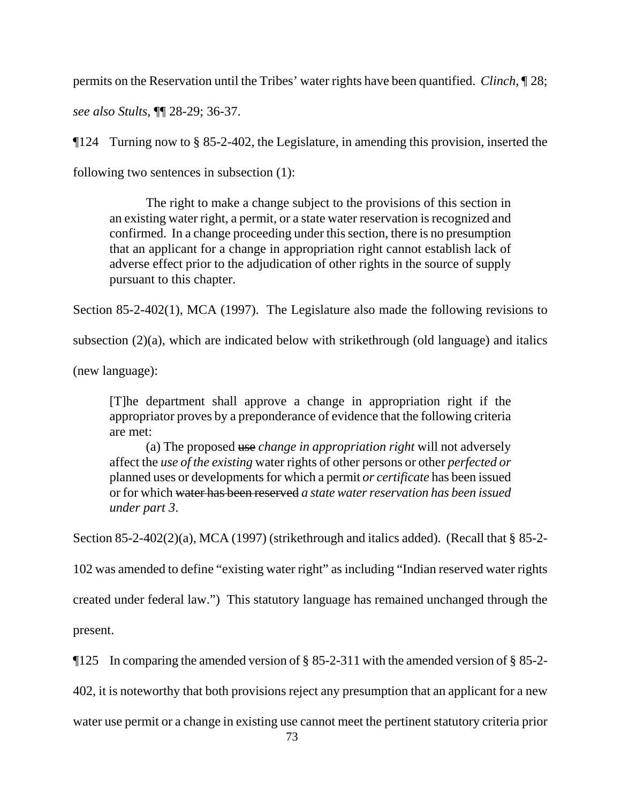permits on the Reservation until the Tribes' water rights have been quantified. *Clinch*, ¶ 28;

*see also Stults*, ¶¶ 28-29; 36-37.

¶124 Turning now to § 85-2-402, the Legislature, in amending this provision, inserted the

following two sentences in subsection (1):

The right to make a change subject to the provisions of this section in an existing water right, a permit, or a state water reservation is recognized and confirmed. In a change proceeding under this section, there is no presumption that an applicant for a change in appropriation right cannot establish lack of adverse effect prior to the adjudication of other rights in the source of supply pursuant to this chapter.

Section 85-2-402(1), MCA (1997). The Legislature also made the following revisions to

subsection (2)(a), which are indicated below with strikethrough (old language) and italics

(new language):

[T]he department shall approve a change in appropriation right if the appropriator proves by a preponderance of evidence that the following criteria are met:

(a) The proposed use *change in appropriation right* will not adversely affect the *use of the existing* water rights of other persons or other *perfected or* planned uses or developments for which a permit *or certificate* has been issued or for which water has been reserved *a state water reservation has been issued under part 3*.

Section 85-2-402(2)(a), MCA (1997) (strikethrough and italics added). (Recall that § 85-2-

102 was amended to define "existing water right" as including "Indian reserved water rights

created under federal law.") This statutory language has remained unchanged through the

present.

¶125 In comparing the amended version of § 85-2-311 with the amended version of § 85-2-

402, it is noteworthy that both provisions reject any presumption that an applicant for a new

water use permit or a change in existing use cannot meet the pertinent statutory criteria prior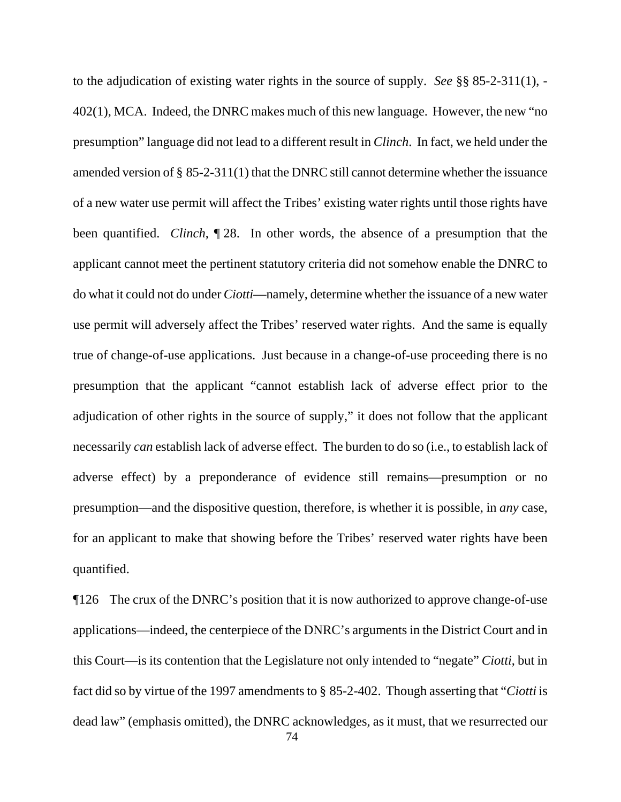to the adjudication of existing water rights in the source of supply. *See* §§ 85-2-311(1), - 402(1), MCA. Indeed, the DNRC makes much of this new language. However, the new "no presumption" language did not lead to a different result in *Clinch*. In fact, we held under the amended version of § 85-2-311(1) that the DNRC still cannot determine whether the issuance of a new water use permit will affect the Tribes' existing water rights until those rights have been quantified. *Clinch*, ¶ 28. In other words, the absence of a presumption that the applicant cannot meet the pertinent statutory criteria did not somehow enable the DNRC to do what it could not do under *Ciotti*—namely, determine whether the issuance of a new water use permit will adversely affect the Tribes' reserved water rights. And the same is equally true of change-of-use applications. Just because in a change-of-use proceeding there is no presumption that the applicant "cannot establish lack of adverse effect prior to the adjudication of other rights in the source of supply," it does not follow that the applicant necessarily *can* establish lack of adverse effect. The burden to do so (i.e., to establish lack of adverse effect) by a preponderance of evidence still remains—presumption or no presumption—and the dispositive question, therefore, is whether it is possible, in *any* case, for an applicant to make that showing before the Tribes' reserved water rights have been quantified.

 74 ¶126 The crux of the DNRC's position that it is now authorized to approve change-of-use applications—indeed, the centerpiece of the DNRC's arguments in the District Court and in this Court—is its contention that the Legislature not only intended to "negate" *Ciotti*, but in fact did so by virtue of the 1997 amendments to § 85-2-402. Though asserting that "*Ciotti* is dead law" (emphasis omitted), the DNRC acknowledges, as it must, that we resurrected our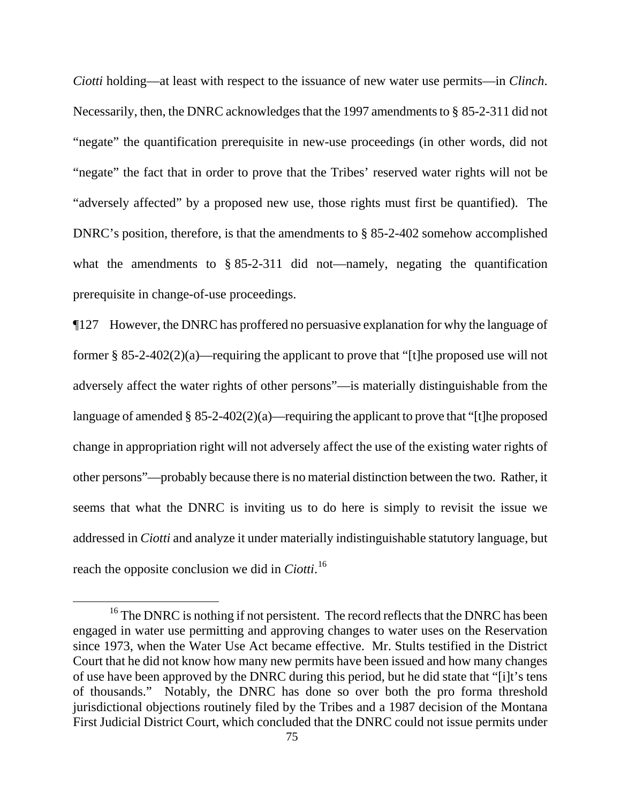*Ciotti* holding—at least with respect to the issuance of new water use permits—in *Clinch*. Necessarily, then, the DNRC acknowledges that the 1997 amendments to § 85-2-311 did not "negate" the quantification prerequisite in new-use proceedings (in other words, did not "negate" the fact that in order to prove that the Tribes' reserved water rights will not be "adversely affected" by a proposed new use, those rights must first be quantified). The DNRC's position, therefore, is that the amendments to § 85-2-402 somehow accomplished what the amendments to § 85-2-311 did not—namely, negating the quantification prerequisite in change-of-use proceedings.

¶127 However, the DNRC has proffered no persuasive explanation for why the language of former  $\S$  85-2-402(2)(a)—requiring the applicant to prove that "[t]he proposed use will not adversely affect the water rights of other persons"—is materially distinguishable from the language of amended  $\S 85-2-402(2)(a)$ —requiring the applicant to prove that "[t]he proposed change in appropriation right will not adversely affect the use of the existing water rights of other persons"—probably because there is no material distinction between the two. Rather, it seems that what the DNRC is inviting us to do here is simply to revisit the issue we addressed in *Ciotti* and analyze it under materially indistinguishable statutory language, but reach the opposite conclusion we did in *Ciotti*. [16](#page-74-0)

<span id="page-74-0"></span><sup>&</sup>lt;sup>16</sup> The DNRC is nothing if not persistent. The record reflects that the DNRC has been engaged in water use permitting and approving changes to water uses on the Reservation since 1973, when the Water Use Act became effective. Mr. Stults testified in the District Court that he did not know how many new permits have been issued and how many changes of use have been approved by the DNRC during this period, but he did state that "[i]t's tens of thousands." Notably, the DNRC has done so over both the pro forma threshold jurisdictional objections routinely filed by the Tribes and a 1987 decision of the Montana First Judicial District Court, which concluded that the DNRC could not issue permits under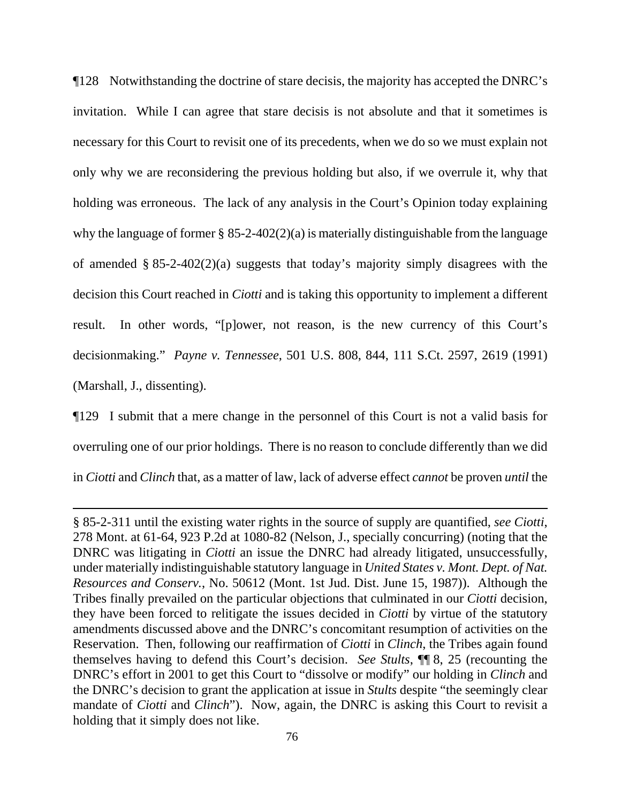¶128 Notwithstanding the doctrine of stare decisis, the majority has accepted the DNRC's invitation. While I can agree that stare decisis is not absolute and that it sometimes is necessary for this Court to revisit one of its precedents, when we do so we must explain not only why we are reconsidering the previous holding but also, if we overrule it, why that holding was erroneous. The lack of any analysis in the Court's Opinion today explaining why the language of former  $\S$  85-2-402(2)(a) is materially distinguishable from the language of amended § 85-2-402(2)(a) suggests that today's majority simply disagrees with the decision this Court reached in *Ciotti* and is taking this opportunity to implement a different result. In other words, "[p]ower, not reason, is the new currency of this Court's decisionmaking." *Payne v. Tennessee*, 501 U.S. 808, 844, 111 S.Ct. 2597, 2619 (1991) (Marshall, J., dissenting).

¶129 I submit that a mere change in the personnel of this Court is not a valid basis for overruling one of our prior holdings. There is no reason to conclude differently than we did in *Ciotti* and *Clinch* that, as a matter of law, lack of adverse effect *cannot* be proven *until* the

<sup>§ 85-2-311</sup> until the existing water rights in the source of supply are quantified, *see Ciotti*, 278 Mont. at 61-64, 923 P.2d at 1080-82 (Nelson, J., specially concurring) (noting that the DNRC was litigating in *Ciotti* an issue the DNRC had already litigated, unsuccessfully, under materially indistinguishable statutory language in *United States v. Mont. Dept. of Nat. Resources and Conserv.*, No. 50612 (Mont. 1st Jud. Dist. June 15, 1987)). Although the Tribes finally prevailed on the particular objections that culminated in our *Ciotti* decision, they have been forced to relitigate the issues decided in *Ciotti* by virtue of the statutory amendments discussed above and the DNRC's concomitant resumption of activities on the Reservation. Then, following our reaffirmation of *Ciotti* in *Clinch*, the Tribes again found themselves having to defend this Court's decision. *See Stults*, ¶¶ 8, 25 (recounting the DNRC's effort in 2001 to get this Court to "dissolve or modify" our holding in *Clinch* and the DNRC's decision to grant the application at issue in *Stults* despite "the seemingly clear mandate of *Ciotti* and *Clinch*"). Now, again, the DNRC is asking this Court to revisit a holding that it simply does not like.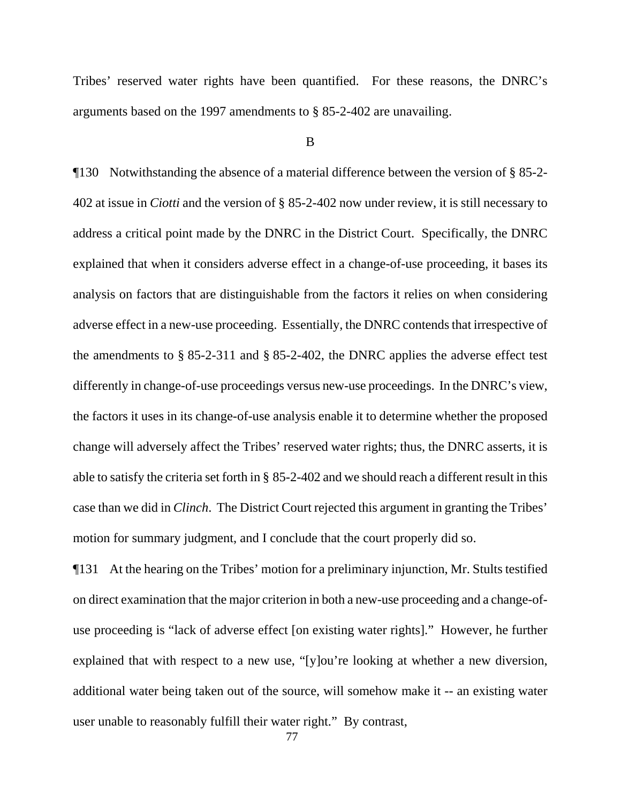Tribes' reserved water rights have been quantified. For these reasons, the DNRC's arguments based on the 1997 amendments to § 85-2-402 are unavailing.

### B

¶130 Notwithstanding the absence of a material difference between the version of § 85-2- 402 at issue in *Ciotti* and the version of § 85-2-402 now under review, it is still necessary to address a critical point made by the DNRC in the District Court. Specifically, the DNRC explained that when it considers adverse effect in a change-of-use proceeding, it bases its analysis on factors that are distinguishable from the factors it relies on when considering adverse effect in a new-use proceeding. Essentially, the DNRC contends that irrespective of the amendments to § 85-2-311 and § 85-2-402, the DNRC applies the adverse effect test differently in change-of-use proceedings versus new-use proceedings. In the DNRC's view, the factors it uses in its change-of-use analysis enable it to determine whether the proposed change will adversely affect the Tribes' reserved water rights; thus, the DNRC asserts, it is able to satisfy the criteria set forth in § 85-2-402 and we should reach a different result in this case than we did in *Clinch*. The District Court rejected this argument in granting the Tribes' motion for summary judgment, and I conclude that the court properly did so.

¶131 At the hearing on the Tribes' motion for a preliminary injunction, Mr. Stults testified on direct examination that the major criterion in both a new-use proceeding and a change-ofuse proceeding is "lack of adverse effect [on existing water rights]." However, he further explained that with respect to a new use, "[y]ou're looking at whether a new diversion, additional water being taken out of the source, will somehow make it -- an existing water user unable to reasonably fulfill their water right." By contrast,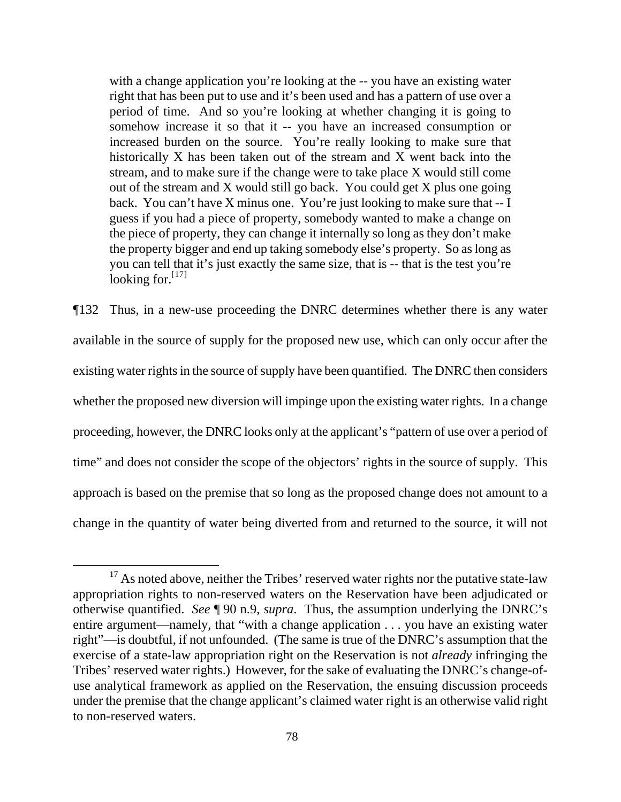with a change application you're looking at the -- you have an existing water right that has been put to use and it's been used and has a pattern of use over a period of time. And so you're looking at whether changing it is going to somehow increase it so that it -- you have an increased consumption or increased burden on the source. You're really looking to make sure that historically X has been taken out of the stream and X went back into the stream, and to make sure if the change were to take place X would still come out of the stream and X would still go back. You could get X plus one going back. You can't have X minus one. You're just looking to make sure that -- I guess if you had a piece of property, somebody wanted to make a change on the piece of property, they can change it internally so long as they don't make the property bigger and end up taking somebody else's property. So as long as you can tell that it's just exactly the same size, that is -- that is the test you're looking for.<sup>[\[](#page-77-0)17]</sup>

¶132 Thus, in a new-use proceeding the DNRC determines whether there is any water available in the source of supply for the proposed new use, which can only occur after the existing water rights in the source of supply have been quantified. The DNRC then considers whether the proposed new diversion will impinge upon the existing water rights. In a change proceeding, however, the DNRC looks only at the applicant's "pattern of use over a period of time" and does not consider the scope of the objectors' rights in the source of supply. This approach is based on the premise that so long as the proposed change does not amount to a change in the quantity of water being diverted from and returned to the source, it will not

<span id="page-77-0"></span> $17$  As noted above, neither the Tribes' reserved water rights nor the putative state-law appropriation rights to non-reserved waters on the Reservation have been adjudicated or otherwise quantified. *See* ¶ 90 n.9, *supra*. Thus, the assumption underlying the DNRC's entire argument—namely, that "with a change application . . . you have an existing water right"—is doubtful, if not unfounded. (The same is true of the DNRC's assumption that the exercise of a state-law appropriation right on the Reservation is not *already* infringing the Tribes' reserved water rights.) However, for the sake of evaluating the DNRC's change-ofuse analytical framework as applied on the Reservation, the ensuing discussion proceeds under the premise that the change applicant's claimed water right is an otherwise valid right to non-reserved waters.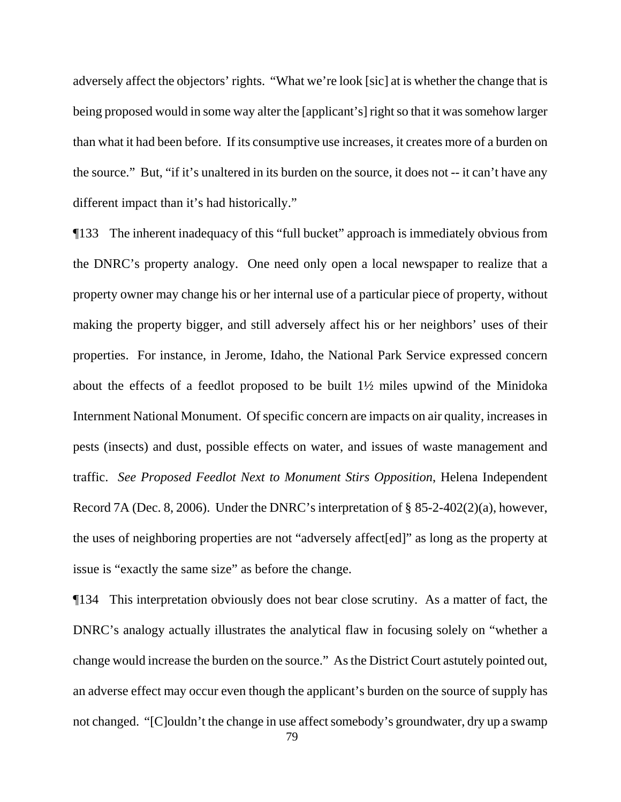adversely affect the objectors' rights. "What we're look [sic] at is whether the change that is being proposed would in some way alter the [applicant's] right so that it was somehow larger than what it had been before. If its consumptive use increases, it creates more of a burden on the source." But, "if it's unaltered in its burden on the source, it does not -- it can't have any different impact than it's had historically."

¶133 The inherent inadequacy of this "full bucket" approach is immediately obvious from the DNRC's property analogy. One need only open a local newspaper to realize that a property owner may change his or her internal use of a particular piece of property, without making the property bigger, and still adversely affect his or her neighbors' uses of their properties. For instance, in Jerome, Idaho, the National Park Service expressed concern about the effects of a feedlot proposed to be built 1½ miles upwind of the Minidoka Internment National Monument. Of specific concern are impacts on air quality, increases in pests (insects) and dust, possible effects on water, and issues of waste management and traffic. *See Proposed Feedlot Next to Monument Stirs Opposition*, Helena Independent Record 7A (Dec. 8, 2006). Under the DNRC's interpretation of § 85-2-402(2)(a), however, the uses of neighboring properties are not "adversely affect[ed]" as long as the property at issue is "exactly the same size" as before the change.

¶134 This interpretation obviously does not bear close scrutiny. As a matter of fact, the DNRC's analogy actually illustrates the analytical flaw in focusing solely on "whether a change would increase the burden on the source." As the District Court astutely pointed out, an adverse effect may occur even though the applicant's burden on the source of supply has not changed. "[C]ouldn't the change in use affect somebody's groundwater, dry up a swamp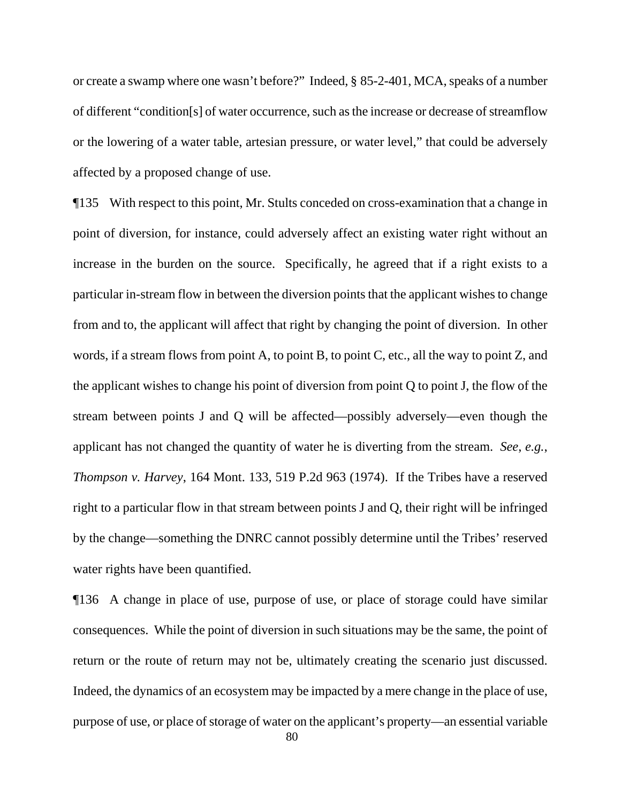or create a swamp where one wasn't before?" Indeed, § 85-2-401, MCA, speaks of a number of different "condition[s] of water occurrence, such as the increase or decrease of streamflow or the lowering of a water table, artesian pressure, or water level," that could be adversely affected by a proposed change of use.

¶135 With respect to this point, Mr. Stults conceded on cross-examination that a change in point of diversion, for instance, could adversely affect an existing water right without an increase in the burden on the source. Specifically, he agreed that if a right exists to a particular in-stream flow in between the diversion points that the applicant wishes to change from and to, the applicant will affect that right by changing the point of diversion. In other words, if a stream flows from point A, to point B, to point C, etc., all the way to point Z, and the applicant wishes to change his point of diversion from point Q to point J, the flow of the stream between points J and Q will be affected—possibly adversely—even though the applicant has not changed the quantity of water he is diverting from the stream. *See*, *e.g.*, *Thompson v. Harvey*, 164 Mont. 133, 519 P.2d 963 (1974). If the Tribes have a reserved right to a particular flow in that stream between points J and Q, their right will be infringed by the change—something the DNRC cannot possibly determine until the Tribes' reserved water rights have been quantified.

¶136 A change in place of use, purpose of use, or place of storage could have similar consequences. While the point of diversion in such situations may be the same, the point of return or the route of return may not be, ultimately creating the scenario just discussed. Indeed, the dynamics of an ecosystem may be impacted by a mere change in the place of use, purpose of use, or place of storage of water on the applicant's property—an essential variable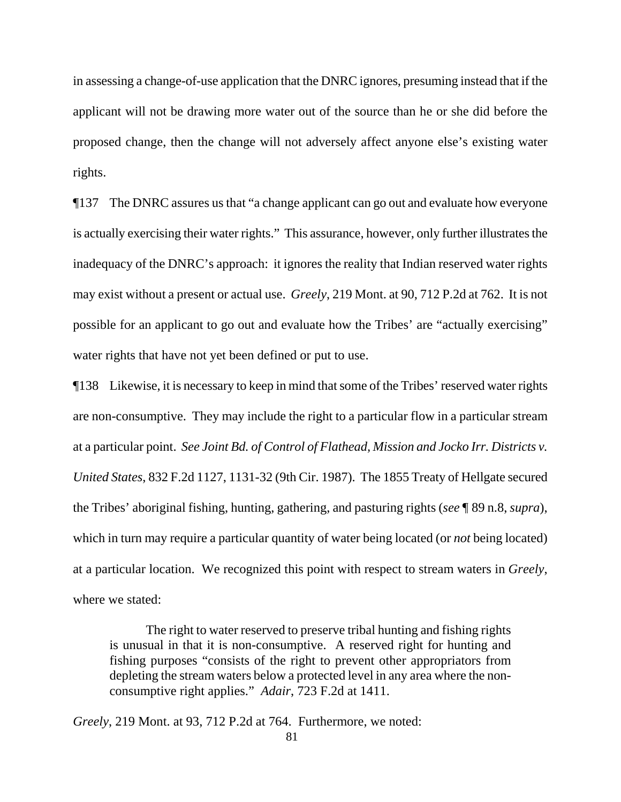in assessing a change-of-use application that the DNRC ignores, presuming instead that if the applicant will not be drawing more water out of the source than he or she did before the proposed change, then the change will not adversely affect anyone else's existing water rights.

¶137 The DNRC assures us that "a change applicant can go out and evaluate how everyone is actually exercising their water rights." This assurance, however, only further illustrates the inadequacy of the DNRC's approach: it ignores the reality that Indian reserved water rights may exist without a present or actual use. *Greely*, 219 Mont. at 90, 712 P.2d at 762. It is not possible for an applicant to go out and evaluate how the Tribes' are "actually exercising" water rights that have not yet been defined or put to use.

¶138 Likewise, it is necessary to keep in mind that some of the Tribes' reserved water rights are non-consumptive. They may include the right to a particular flow in a particular stream at a particular point. *See Joint Bd. of Control of Flathead, Mission and Jocko Irr. Districts v. United States*, 832 F.2d 1127, 1131-32 (9th Cir. 1987). The 1855 Treaty of Hellgate secured the Tribes' aboriginal fishing, hunting, gathering, and pasturing rights (*see* ¶ 89 n.8, *supra*), which in turn may require a particular quantity of water being located (or *not* being located) at a particular location. We recognized this point with respect to stream waters in *Greely*, where we stated:

The right to water reserved to preserve tribal hunting and fishing rights is unusual in that it is non-consumptive. A reserved right for hunting and fishing purposes "consists of the right to prevent other appropriators from depleting the stream waters below a protected level in any area where the nonconsumptive right applies." *Adair*, 723 F.2d at 1411.

*Greely*, 219 Mont. at 93, 712 P.2d at 764. Furthermore, we noted: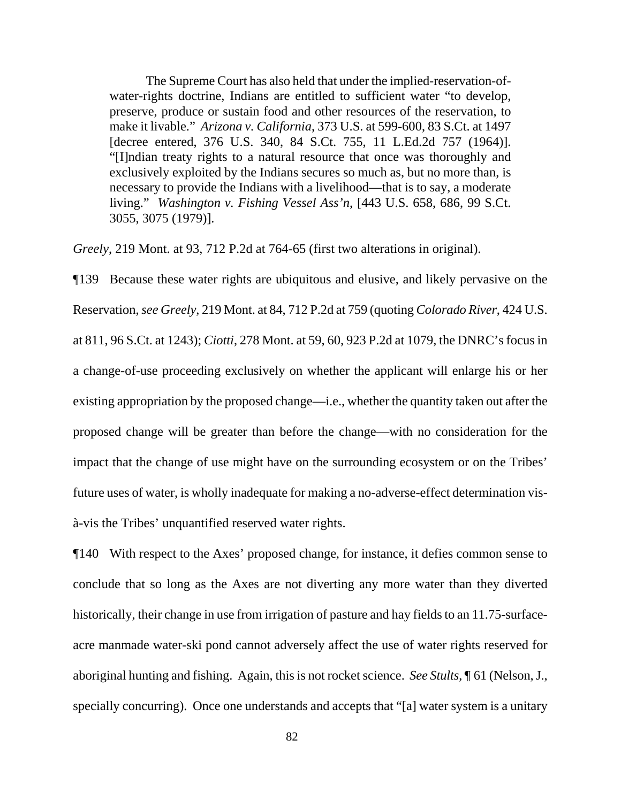The Supreme Court has also held that under the implied-reservation-ofwater-rights doctrine, Indians are entitled to sufficient water "to develop, preserve, produce or sustain food and other resources of the reservation, to make it livable." *Arizona v. California*, 373 U.S. at 599-600, 83 S.Ct. at 1497 [decree entered, 376 U.S. 340, 84 S.Ct. 755, 11 L.Ed.2d 757 (1964)]. "[I]ndian treaty rights to a natural resource that once was thoroughly and exclusively exploited by the Indians secures so much as, but no more than, is necessary to provide the Indians with a livelihood—that is to say, a moderate living." *Washington v. Fishing Vessel Ass'n*, [443 U.S. 658, 686, 99 S.Ct. 3055, 3075 (1979)].

*Greely*, 219 Mont. at 93, 712 P.2d at 764-65 (first two alterations in original).

¶139 Because these water rights are ubiquitous and elusive, and likely pervasive on the Reservation, *see Greely*, 219 Mont. at 84, 712 P.2d at 759 (quoting *Colorado River*, 424 U.S. at 811, 96 S.Ct. at 1243); *Ciotti*, 278 Mont. at 59, 60, 923 P.2d at 1079, the DNRC's focus in a change-of-use proceeding exclusively on whether the applicant will enlarge his or her existing appropriation by the proposed change—i.e., whether the quantity taken out after the proposed change will be greater than before the change—with no consideration for the impact that the change of use might have on the surrounding ecosystem or on the Tribes' future uses of water, is wholly inadequate for making a no-adverse-effect determination visà-vis the Tribes' unquantified reserved water rights.

¶140 With respect to the Axes' proposed change, for instance, it defies common sense to conclude that so long as the Axes are not diverting any more water than they diverted historically, their change in use from irrigation of pasture and hay fields to an 11.75-surfaceacre manmade water-ski pond cannot adversely affect the use of water rights reserved for aboriginal hunting and fishing. Again, this is not rocket science. *See Stults*, ¶ 61 (Nelson, J., specially concurring). Once one understands and accepts that "[a] water system is a unitary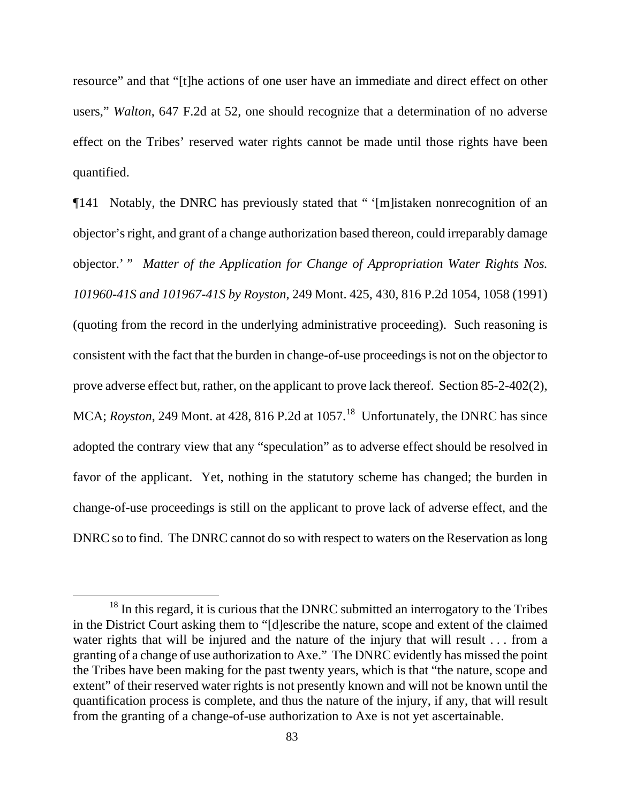resource" and that "[t]he actions of one user have an immediate and direct effect on other users," *Walton*, 647 F.2d at 52, one should recognize that a determination of no adverse effect on the Tribes' reserved water rights cannot be made until those rights have been quantified.

¶141 Notably, the DNRC has previously stated that " '[m]istaken nonrecognition of an objector's right, and grant of a change authorization based thereon, could irreparably damage objector.' " *Matter of the Application for Change of Appropriation Water Rights Nos. 101960-41S and 101967-41S by Royston*, 249 Mont. 425, 430, 816 P.2d 1054, 1058 (1991) (quoting from the record in the underlying administrative proceeding). Such reasoning is consistent with the fact that the burden in change-of-use proceedings is not on the objector to prove adverse effect but, rather, on the applicant to prove lack thereof. Section 85-2-402(2), MCA; *Royston*, 249 Mont. at 428, 816 P.2d at 1057.<sup>[18](#page-82-0)</sup> Unfortunately, the DNRC has since adopted the contrary view that any "speculation" as to adverse effect should be resolved in favor of the applicant. Yet, nothing in the statutory scheme has changed; the burden in change-of-use proceedings is still on the applicant to prove lack of adverse effect, and the DNRC so to find. The DNRC cannot do so with respect to waters on the Reservation as long

<span id="page-82-0"></span><sup>&</sup>lt;sup>18</sup> In this regard, it is curious that the DNRC submitted an interrogatory to the Tribes in the District Court asking them to "[d]escribe the nature, scope and extent of the claimed water rights that will be injured and the nature of the injury that will result . . . from a granting of a change of use authorization to Axe." The DNRC evidently has missed the point the Tribes have been making for the past twenty years, which is that "the nature, scope and extent" of their reserved water rights is not presently known and will not be known until the quantification process is complete, and thus the nature of the injury, if any, that will result from the granting of a change-of-use authorization to Axe is not yet ascertainable.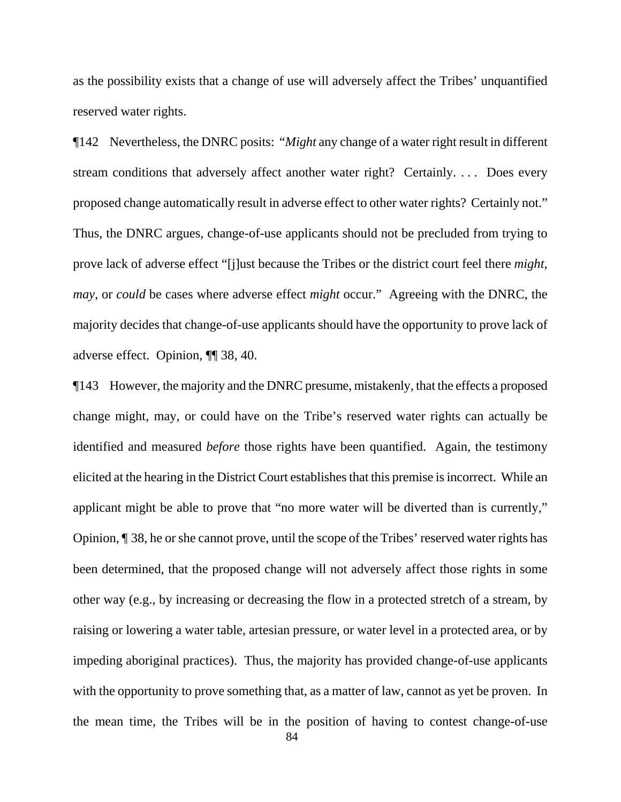as the possibility exists that a change of use will adversely affect the Tribes' unquantified reserved water rights.

¶142 Nevertheless, the DNRC posits: "*Might* any change of a water right result in different stream conditions that adversely affect another water right? Certainly. . . . Does every proposed change automatically result in adverse effect to other water rights? Certainly not." Thus, the DNRC argues, change-of-use applicants should not be precluded from trying to prove lack of adverse effect "[j]ust because the Tribes or the district court feel there *might*, *may*, or *could* be cases where adverse effect *might* occur." Agreeing with the DNRC, the majority decides that change-of-use applicants should have the opportunity to prove lack of adverse effect. Opinion, ¶¶ 38, 40.

¶143 However, the majority and the DNRC presume, mistakenly, that the effects a proposed change might, may, or could have on the Tribe's reserved water rights can actually be identified and measured *before* those rights have been quantified. Again, the testimony elicited at the hearing in the District Court establishes that this premise is incorrect. While an applicant might be able to prove that "no more water will be diverted than is currently," Opinion, ¶ 38, he or she cannot prove, until the scope of the Tribes' reserved water rights has been determined, that the proposed change will not adversely affect those rights in some other way (e.g., by increasing or decreasing the flow in a protected stretch of a stream, by raising or lowering a water table, artesian pressure, or water level in a protected area, or by impeding aboriginal practices). Thus, the majority has provided change-of-use applicants with the opportunity to prove something that, as a matter of law, cannot as yet be proven. In the mean time, the Tribes will be in the position of having to contest change-of-use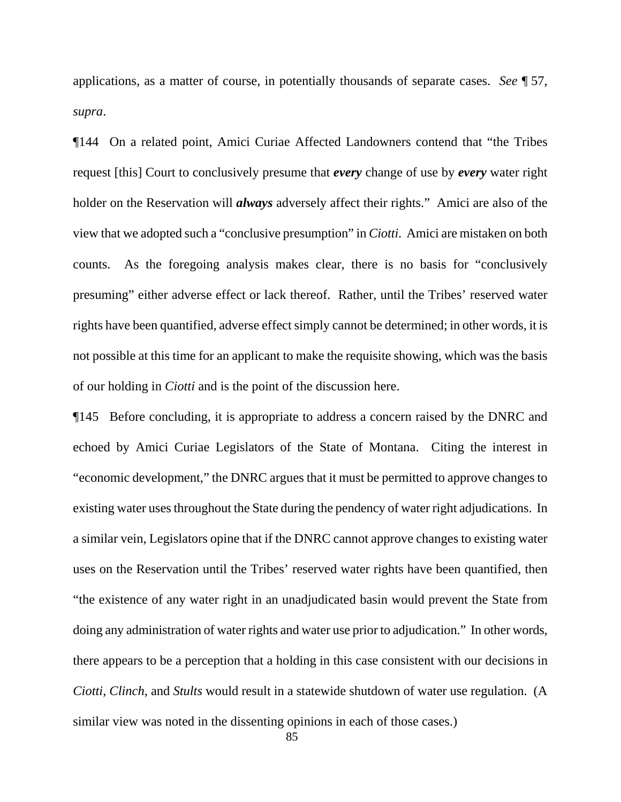applications, as a matter of course, in potentially thousands of separate cases. *See* ¶ 57, *supra*.

¶144 On a related point, Amici Curiae Affected Landowners contend that "the Tribes request [this] Court to conclusively presume that *every* change of use by *every* water right holder on the Reservation will *always* adversely affect their rights." Amici are also of the view that we adopted such a "conclusive presumption" in *Ciotti*. Amici are mistaken on both counts. As the foregoing analysis makes clear, there is no basis for "conclusively presuming" either adverse effect or lack thereof. Rather, until the Tribes' reserved water rights have been quantified, adverse effect simply cannot be determined; in other words, it is not possible at this time for an applicant to make the requisite showing, which was the basis of our holding in *Ciotti* and is the point of the discussion here.

¶145 Before concluding, it is appropriate to address a concern raised by the DNRC and echoed by Amici Curiae Legislators of the State of Montana. Citing the interest in "economic development," the DNRC argues that it must be permitted to approve changes to existing water uses throughout the State during the pendency of water right adjudications. In a similar vein, Legislators opine that if the DNRC cannot approve changes to existing water uses on the Reservation until the Tribes' reserved water rights have been quantified, then "the existence of any water right in an unadjudicated basin would prevent the State from doing any administration of water rights and water use prior to adjudication." In other words, there appears to be a perception that a holding in this case consistent with our decisions in *Ciotti*, *Clinch*, and *Stults* would result in a statewide shutdown of water use regulation. (A similar view was noted in the dissenting opinions in each of those cases.)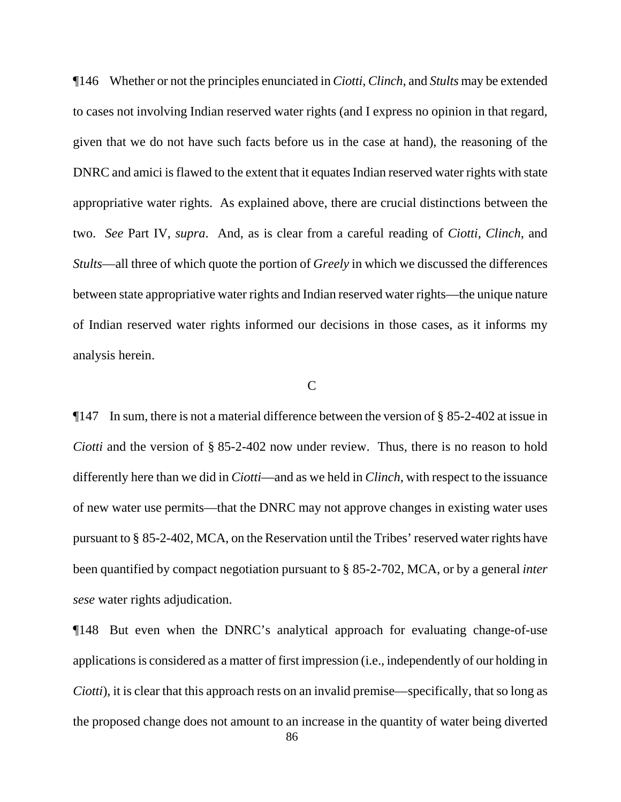¶146 Whether or not the principles enunciated in *Ciotti*, *Clinch*, and *Stults* may be extended to cases not involving Indian reserved water rights (and I express no opinion in that regard, given that we do not have such facts before us in the case at hand), the reasoning of the DNRC and amici is flawed to the extent that it equates Indian reserved water rights with state appropriative water rights. As explained above, there are crucial distinctions between the two. *See* Part IV, *supra*. And, as is clear from a careful reading of *Ciotti*, *Clinch*, and *Stults*—all three of which quote the portion of *Greely* in which we discussed the differences between state appropriative water rights and Indian reserved water rights—the unique nature of Indian reserved water rights informed our decisions in those cases, as it informs my analysis herein.

## C

¶147 In sum, there is not a material difference between the version of § 85-2-402 at issue in *Ciotti* and the version of § 85-2-402 now under review. Thus, there is no reason to hold differently here than we did in *Ciotti*—and as we held in *Clinch*, with respect to the issuance of new water use permits—that the DNRC may not approve changes in existing water uses pursuant to § 85-2-402, MCA, on the Reservation until the Tribes' reserved water rights have been quantified by compact negotiation pursuant to § 85-2-702, MCA, or by a general *inter sese* water rights adjudication.

¶148 But even when the DNRC's analytical approach for evaluating change-of-use applications is considered as a matter of first impression (i.e., independently of our holding in *Ciotti*), it is clear that this approach rests on an invalid premise—specifically, that so long as the proposed change does not amount to an increase in the quantity of water being diverted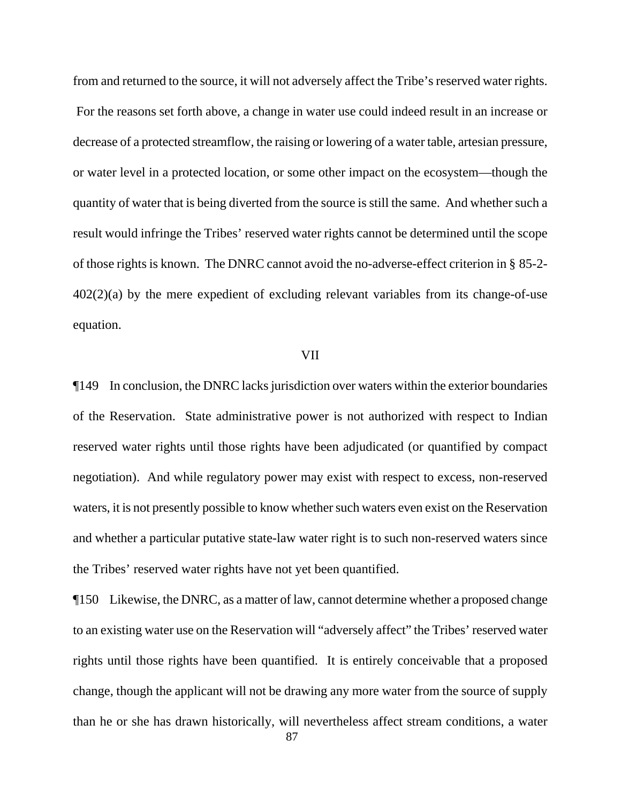from and returned to the source, it will not adversely affect the Tribe's reserved water rights. For the reasons set forth above, a change in water use could indeed result in an increase or decrease of a protected streamflow, the raising or lowering of a water table, artesian pressure, or water level in a protected location, or some other impact on the ecosystem—though the quantity of water that is being diverted from the source is still the same. And whether such a result would infringe the Tribes' reserved water rights cannot be determined until the scope of those rights is known. The DNRC cannot avoid the no-adverse-effect criterion in § 85-2- 402(2)(a) by the mere expedient of excluding relevant variables from its change-of-use equation.

#### VII

¶149 In conclusion, the DNRC lacks jurisdiction over waters within the exterior boundaries of the Reservation. State administrative power is not authorized with respect to Indian reserved water rights until those rights have been adjudicated (or quantified by compact negotiation). And while regulatory power may exist with respect to excess, non-reserved waters, it is not presently possible to know whether such waters even exist on the Reservation and whether a particular putative state-law water right is to such non-reserved waters since the Tribes' reserved water rights have not yet been quantified.

¶150 Likewise, the DNRC, as a matter of law, cannot determine whether a proposed change to an existing water use on the Reservation will "adversely affect" the Tribes' reserved water rights until those rights have been quantified. It is entirely conceivable that a proposed change, though the applicant will not be drawing any more water from the source of supply than he or she has drawn historically, will nevertheless affect stream conditions, a water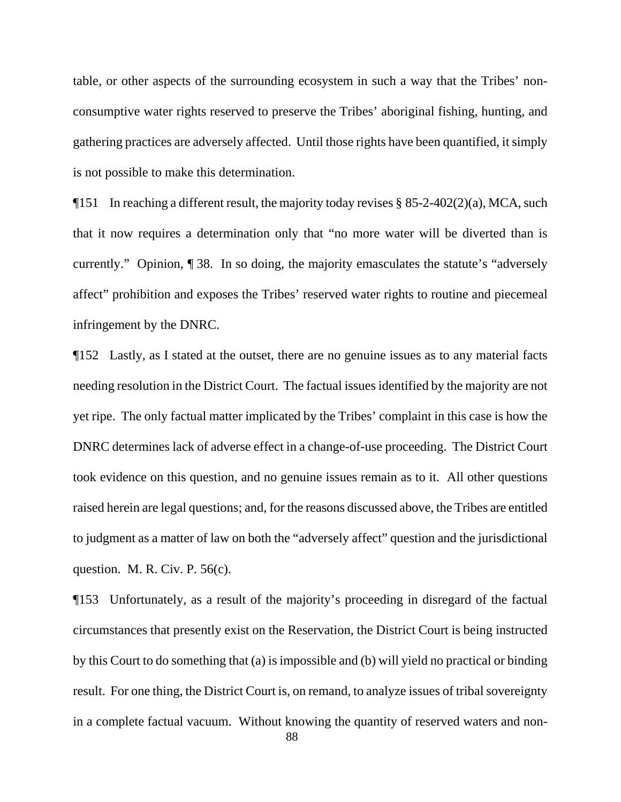table, or other aspects of the surrounding ecosystem in such a way that the Tribes' nonconsumptive water rights reserved to preserve the Tribes' aboriginal fishing, hunting, and gathering practices are adversely affected. Until those rights have been quantified, it simply is not possible to make this determination.

 $\P$ 151 In reaching a different result, the majority today revises § 85-2-402(2)(a), MCA, such that it now requires a determination only that "no more water will be diverted than is currently." Opinion, ¶ 38. In so doing, the majority emasculates the statute's "adversely affect" prohibition and exposes the Tribes' reserved water rights to routine and piecemeal infringement by the DNRC.

¶152 Lastly, as I stated at the outset, there are no genuine issues as to any material facts needing resolution in the District Court. The factual issues identified by the majority are not yet ripe. The only factual matter implicated by the Tribes' complaint in this case is how the DNRC determines lack of adverse effect in a change-of-use proceeding. The District Court took evidence on this question, and no genuine issues remain as to it. All other questions raised herein are legal questions; and, for the reasons discussed above, the Tribes are entitled to judgment as a matter of law on both the "adversely affect" question and the jurisdictional question. M. R. Civ. P. 56(c).

¶153 Unfortunately, as a result of the majority's proceeding in disregard of the factual circumstances that presently exist on the Reservation, the District Court is being instructed by this Court to do something that (a) is impossible and (b) will yield no practical or binding result. For one thing, the District Court is, on remand, to analyze issues of tribal sovereignty in a complete factual vacuum. Without knowing the quantity of reserved waters and non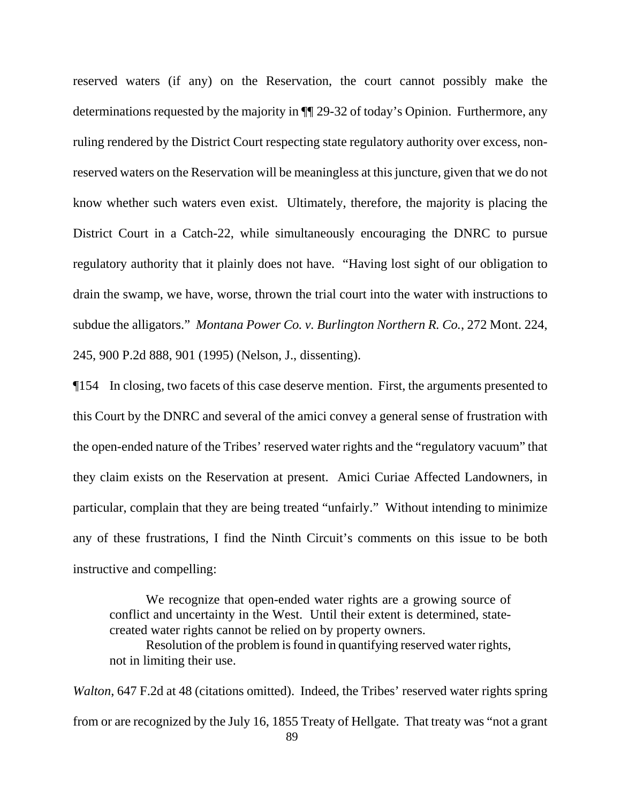reserved waters (if any) on the Reservation, the court cannot possibly make the determinations requested by the majority in ¶¶ 29-32 of today's Opinion. Furthermore, any ruling rendered by the District Court respecting state regulatory authority over excess, nonreserved waters on the Reservation will be meaningless at this juncture, given that we do not know whether such waters even exist. Ultimately, therefore, the majority is placing the District Court in a Catch-22, while simultaneously encouraging the DNRC to pursue regulatory authority that it plainly does not have. "Having lost sight of our obligation to drain the swamp, we have, worse, thrown the trial court into the water with instructions to subdue the alligators." *Montana Power Co. v. Burlington Northern R. Co.*, 272 Mont. 224, 245, 900 P.2d 888, 901 (1995) (Nelson, J., dissenting).

¶154 In closing, two facets of this case deserve mention. First, the arguments presented to this Court by the DNRC and several of the amici convey a general sense of frustration with the open-ended nature of the Tribes' reserved water rights and the "regulatory vacuum" that they claim exists on the Reservation at present. Amici Curiae Affected Landowners, in particular, complain that they are being treated "unfairly." Without intending to minimize any of these frustrations, I find the Ninth Circuit's comments on this issue to be both instructive and compelling:

We recognize that open-ended water rights are a growing source of conflict and uncertainty in the West. Until their extent is determined, statecreated water rights cannot be relied on by property owners.

Resolution of the problem is found in quantifying reserved water rights, not in limiting their use.

 89 *Walton*, 647 F.2d at 48 (citations omitted). Indeed, the Tribes' reserved water rights spring from or are recognized by the July 16, 1855 Treaty of Hellgate. That treaty was "not a grant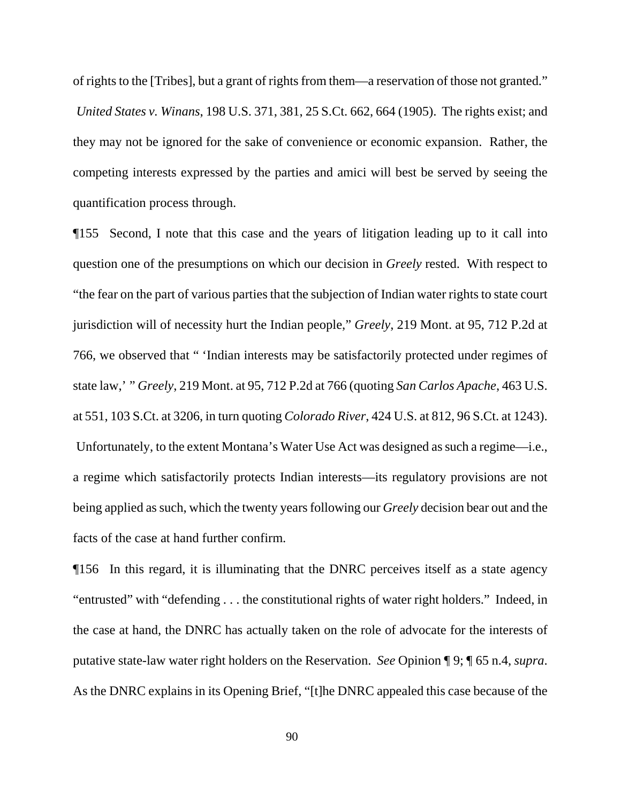of rights to the [Tribes], but a grant of rights from them—a reservation of those not granted." *United States v. Winans*, 198 U.S. 371, 381, 25 S.Ct. 662, 664 (1905). The rights exist; and they may not be ignored for the sake of convenience or economic expansion. Rather, the competing interests expressed by the parties and amici will best be served by seeing the quantification process through.

¶155 Second, I note that this case and the years of litigation leading up to it call into question one of the presumptions on which our decision in *Greely* rested. With respect to "the fear on the part of various parties that the subjection of Indian water rights to state court jurisdiction will of necessity hurt the Indian people," *Greely*, 219 Mont. at 95, 712 P.2d at 766, we observed that " 'Indian interests may be satisfactorily protected under regimes of state law,' " *Greely*, 219 Mont. at 95, 712 P.2d at 766 (quoting *San Carlos Apache*, 463 U.S. at 551, 103 S.Ct. at 3206, in turn quoting *Colorado River*, 424 U.S. at 812, 96 S.Ct. at 1243). Unfortunately, to the extent Montana's Water Use Act was designed as such a regime—i.e., a regime which satisfactorily protects Indian interests—its regulatory provisions are not being applied as such, which the twenty years following our *Greely* decision bear out and the facts of the case at hand further confirm.

¶156 In this regard, it is illuminating that the DNRC perceives itself as a state agency "entrusted" with "defending . . . the constitutional rights of water right holders." Indeed, in the case at hand, the DNRC has actually taken on the role of advocate for the interests of putative state-law water right holders on the Reservation. *See* Opinion ¶ 9; ¶ 65 n.4, *supra*. As the DNRC explains in its Opening Brief, "[t]he DNRC appealed this case because of the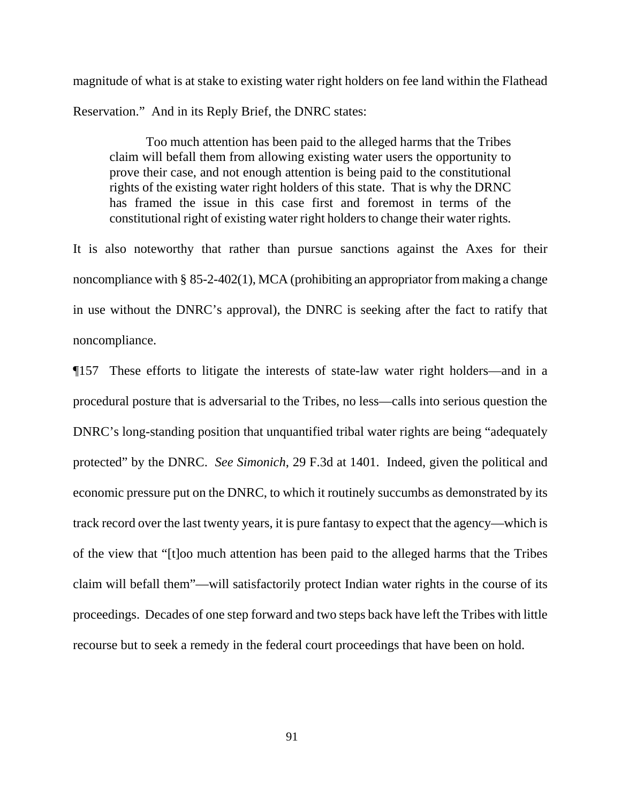magnitude of what is at stake to existing water right holders on fee land within the Flathead Reservation." And in its Reply Brief, the DNRC states:

Too much attention has been paid to the alleged harms that the Tribes claim will befall them from allowing existing water users the opportunity to prove their case, and not enough attention is being paid to the constitutional rights of the existing water right holders of this state. That is why the DRNC has framed the issue in this case first and foremost in terms of the constitutional right of existing water right holders to change their water rights.

It is also noteworthy that rather than pursue sanctions against the Axes for their noncompliance with § 85-2-402(1), MCA (prohibiting an appropriator from making a change in use without the DNRC's approval), the DNRC is seeking after the fact to ratify that noncompliance.

¶157 These efforts to litigate the interests of state-law water right holders—and in a procedural posture that is adversarial to the Tribes, no less—calls into serious question the DNRC's long-standing position that unquantified tribal water rights are being "adequately protected" by the DNRC. *See Simonich*, 29 F.3d at 1401. Indeed, given the political and economic pressure put on the DNRC, to which it routinely succumbs as demonstrated by its track record over the last twenty years, it is pure fantasy to expect that the agency—which is of the view that "[t]oo much attention has been paid to the alleged harms that the Tribes claim will befall them"—will satisfactorily protect Indian water rights in the course of its proceedings. Decades of one step forward and two steps back have left the Tribes with little recourse but to seek a remedy in the federal court proceedings that have been on hold.